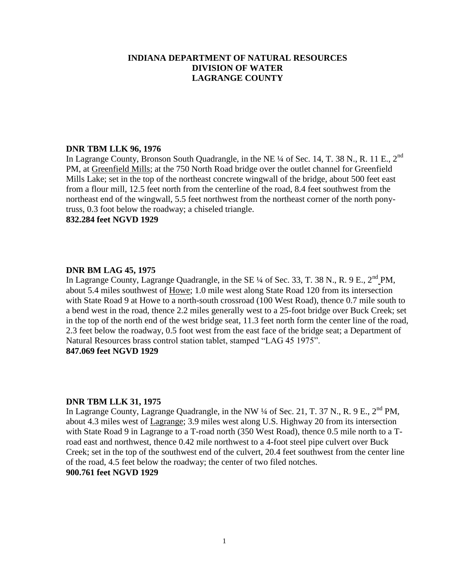#### **DNR TBM LLK 96, 1976**

In Lagrange County, Bronson South Quadrangle, in the NE ¼ of Sec. 14, T. 38 N., R. 11 E., 2<sup>nd</sup> PM, at Greenfield Mills; at the 750 North Road bridge over the outlet channel for Greenfield Mills Lake; set in the top of the northeast concrete wingwall of the bridge, about 500 feet east from a flour mill, 12.5 feet north from the centerline of the road, 8.4 feet southwest from the northeast end of the wingwall, 5.5 feet northwest from the northeast corner of the north ponytruss, 0.3 foot below the roadway; a chiseled triangle.

**832.284 feet NGVD 1929**

### **DNR BM LAG 45, 1975**

In Lagrange County, Lagrange Quadrangle, in the SE  $\frac{1}{4}$  of Sec. 33, T. 38 N., R. 9 E., 2<sup>nd</sup> PM, about 5.4 miles southwest of Howe; 1.0 mile west along State Road 120 from its intersection with State Road 9 at Howe to a north-south crossroad (100 West Road), thence 0.7 mile south to a bend west in the road, thence 2.2 miles generally west to a 25-foot bridge over Buck Creek; set in the top of the north end of the west bridge seat, 11.3 feet north form the center line of the road, 2.3 feet below the roadway, 0.5 foot west from the east face of the bridge seat; a Department of Natural Resources brass control station tablet, stamped "LAG 45 1975". **847.069 feet NGVD 1929**

### **DNR TBM LLK 31, 1975**

In Lagrange County, Lagrange Quadrangle, in the NW  $\frac{1}{4}$  of Sec. 21, T. 37 N., R. 9 E., 2<sup>nd</sup> PM, about 4.3 miles west of Lagrange; 3.9 miles west along U.S. Highway 20 from its intersection with State Road 9 in Lagrange to a T-road north (350 West Road), thence 0.5 mile north to a Troad east and northwest, thence 0.42 mile northwest to a 4-foot steel pipe culvert over Buck Creek; set in the top of the southwest end of the culvert, 20.4 feet southwest from the center line of the road, 4.5 feet below the roadway; the center of two filed notches. **900.761 feet NGVD 1929**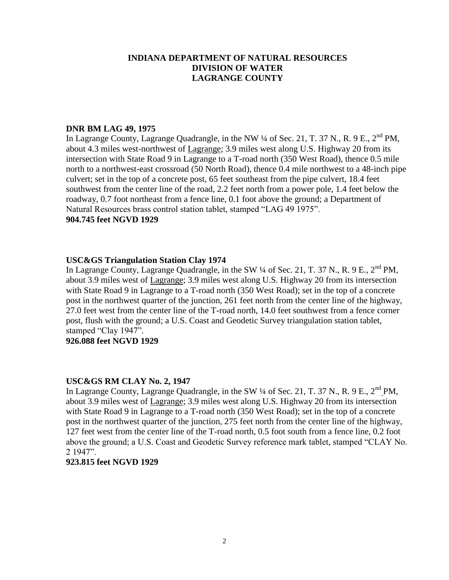## **DNR BM LAG 49, 1975**

In Lagrange County, Lagrange Quadrangle, in the NW ¼ of Sec. 21, T. 37 N., R. 9 E., 2<sup>nd</sup> PM, about 4.3 miles west-northwest of Lagrange; 3.9 miles west along U.S. Highway 20 from its intersection with State Road 9 in Lagrange to a T-road north (350 West Road), thence 0.5 mile north to a northwest-east crossroad (50 North Road), thence 0.4 mile northwest to a 48-inch pipe culvert; set in the top of a concrete post, 65 feet southeast from the pipe culvert, 18.4 feet southwest from the center line of the road, 2.2 feet north from a power pole, 1.4 feet below the roadway, 0.7 foot northeast from a fence line, 0.1 foot above the ground; a Department of Natural Resources brass control station tablet, stamped "LAG 49 1975". **904.745 feet NGVD 1929**

### **USC&GS Triangulation Station Clay 1974**

In Lagrange County, Lagrange Quadrangle, in the SW  $\frac{1}{4}$  of Sec. 21, T. 37 N., R. 9 E., 2<sup>nd</sup> PM, about 3.9 miles west of Lagrange; 3.9 miles west along U.S. Highway 20 from its intersection with State Road 9 in Lagrange to a T-road north (350 West Road); set in the top of a concrete post in the northwest quarter of the junction, 261 feet north from the center line of the highway, 27.0 feet west from the center line of the T-road north, 14.0 feet southwest from a fence corner post, flush with the ground; a U.S. Coast and Geodetic Survey triangulation station tablet, stamped "Clay 1947".

### **926.088 feet NGVD 1929**

### **USC&GS RM CLAY No. 2, 1947**

In Lagrange County, Lagrange Quadrangle, in the SW 1/4 of Sec. 21, T. 37 N., R. 9 E., 2<sup>nd</sup> PM, about 3.9 miles west of Lagrange; 3.9 miles west along U.S. Highway 20 from its intersection with State Road 9 in Lagrange to a T-road north (350 West Road); set in the top of a concrete post in the northwest quarter of the junction, 275 feet north from the center line of the highway, 127 feet west from the center line of the T-road north, 0.5 foot south from a fence line, 0.2 foot above the ground; a U.S. Coast and Geodetic Survey reference mark tablet, stamped "CLAY No. 2 1947".

### **923.815 feet NGVD 1929**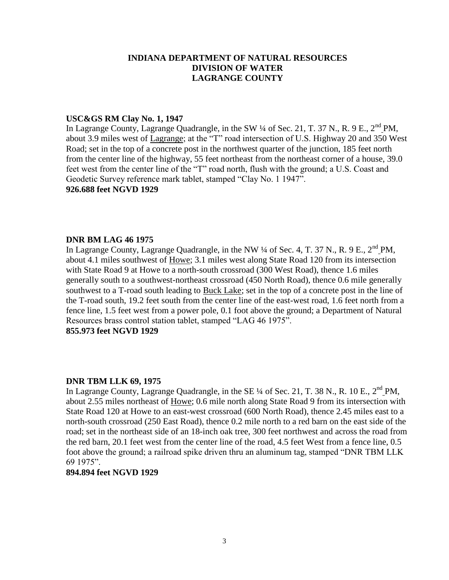#### **USC&GS RM Clay No. 1, 1947**

In Lagrange County, Lagrange Quadrangle, in the SW  $\frac{1}{4}$  of Sec. 21, T. 37 N., R. 9 E., 2<sup>nd</sup> PM, about 3.9 miles west of Lagrange; at the "T" road intersection of U.S. Highway 20 and 350 West Road; set in the top of a concrete post in the northwest quarter of the junction, 185 feet north from the center line of the highway, 55 feet northeast from the northeast corner of a house, 39.0 feet west from the center line of the "T" road north, flush with the ground; a U.S. Coast and Geodetic Survey reference mark tablet, stamped "Clay No. 1 1947".

# **926.688 feet NGVD 1929**

### **DNR BM LAG 46 1975**

In Lagrange County, Lagrange Quadrangle, in the NW  $\frac{1}{4}$  of Sec. 4, T. 37 N., R. 9 E.,  $2^{nd}$  PM, about 4.1 miles southwest of Howe; 3.1 miles west along State Road 120 from its intersection with State Road 9 at Howe to a north-south crossroad (300 West Road), thence 1.6 miles generally south to a southwest-northeast crossroad (450 North Road), thence 0.6 mile generally southwest to a T-road south leading to Buck Lake; set in the top of a concrete post in the line of the T-road south, 19.2 feet south from the center line of the east-west road, 1.6 feet north from a fence line, 1.5 feet west from a power pole, 0.1 foot above the ground; a Department of Natural Resources brass control station tablet, stamped "LAG 46 1975".

# **855.973 feet NGVD 1929**

### **DNR TBM LLK 69, 1975**

In Lagrange County, Lagrange Quadrangle, in the SE  $\frac{1}{4}$  of Sec. 21, T. 38 N., R. 10 E., 2<sup>nd</sup> PM, about 2.55 miles northeast of Howe; 0.6 mile north along State Road 9 from its intersection with State Road 120 at Howe to an east-west crossroad (600 North Road), thence 2.45 miles east to a north-south crossroad (250 East Road), thence 0.2 mile north to a red barn on the east side of the road; set in the northeast side of an 18-inch oak tree, 300 feet northwest and across the road from the red barn, 20.1 feet west from the center line of the road, 4.5 feet West from a fence line, 0.5 foot above the ground; a railroad spike driven thru an aluminum tag, stamped "DNR TBM LLK 69 1975".

### **894.894 feet NGVD 1929**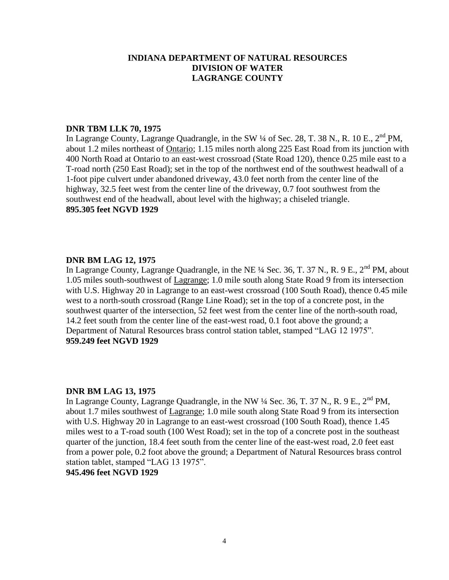### **DNR TBM LLK 70, 1975**

In Lagrange County, Lagrange Quadrangle, in the SW  $\frac{1}{4}$  of Sec. 28, T. 38 N., R. 10 E., 2<sup>nd</sup> PM, about 1.2 miles northeast of Ontario; 1.15 miles north along 225 East Road from its junction with 400 North Road at Ontario to an east-west crossroad (State Road 120), thence 0.25 mile east to a T-road north (250 East Road); set in the top of the northwest end of the southwest headwall of a 1-foot pipe culvert under abandoned driveway, 43.0 feet north from the center line of the highway, 32.5 feet west from the center line of the driveway, 0.7 foot southwest from the southwest end of the headwall, about level with the highway; a chiseled triangle. **895.305 feet NGVD 1929**

### **DNR BM LAG 12, 1975**

In Lagrange County, Lagrange Quadrangle, in the NE <sup>1</sup>/4 Sec. 36, T. 37 N., R. 9 E., 2<sup>nd</sup> PM, about 1.05 miles south-southwest of Lagrange; 1.0 mile south along State Road 9 from its intersection with U.S. Highway 20 in Lagrange to an east-west crossroad (100 South Road), thence 0.45 mile west to a north-south crossroad (Range Line Road); set in the top of a concrete post, in the southwest quarter of the intersection, 52 feet west from the center line of the north-south road, 14.2 feet south from the center line of the east-west road, 0.1 foot above the ground; a Department of Natural Resources brass control station tablet, stamped "LAG 12 1975". **959.249 feet NGVD 1929**

### **DNR BM LAG 13, 1975**

In Lagrange County, Lagrange Quadrangle, in the NW  $\frac{1}{4}$  Sec. 36, T. 37 N., R. 9 E., 2<sup>nd</sup> PM, about 1.7 miles southwest of Lagrange; 1.0 mile south along State Road 9 from its intersection with U.S. Highway 20 in Lagrange to an east-west crossroad (100 South Road), thence 1.45 miles west to a T-road south (100 West Road); set in the top of a concrete post in the southeast quarter of the junction, 18.4 feet south from the center line of the east-west road, 2.0 feet east from a power pole, 0.2 foot above the ground; a Department of Natural Resources brass control station tablet, stamped "LAG 13 1975".

**945.496 feet NGVD 1929**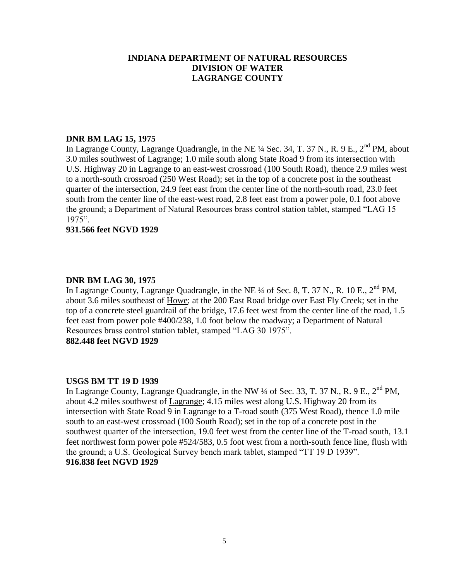### **DNR BM LAG 15, 1975**

In Lagrange County, Lagrange Quadrangle, in the NE ¼ Sec. 34, T. 37 N., R. 9 E., 2<sup>nd</sup> PM, about 3.0 miles southwest of Lagrange; 1.0 mile south along State Road 9 from its intersection with U.S. Highway 20 in Lagrange to an east-west crossroad (100 South Road), thence 2.9 miles west to a north-south crossroad (250 West Road); set in the top of a concrete post in the southeast quarter of the intersection, 24.9 feet east from the center line of the north-south road, 23.0 feet south from the center line of the east-west road, 2.8 feet east from a power pole, 0.1 foot above the ground; a Department of Natural Resources brass control station tablet, stamped "LAG 15 1975".

### **931.566 feet NGVD 1929**

### **DNR BM LAG 30, 1975**

In Lagrange County, Lagrange Quadrangle, in the NE <sup>1</sup>/4 of Sec. 8, T. 37 N., R. 10 E., 2<sup>nd</sup> PM, about 3.6 miles southeast of Howe; at the 200 East Road bridge over East Fly Creek; set in the top of a concrete steel guardrail of the bridge, 17.6 feet west from the center line of the road, 1.5 feet east from power pole #400/238, 1.0 foot below the roadway; a Department of Natural Resources brass control station tablet, stamped "LAG 30 1975". **882.448 feet NGVD 1929**

### **USGS BM TT 19 D 1939**

In Lagrange County, Lagrange Quadrangle, in the NW  $\frac{1}{4}$  of Sec. 33, T. 37 N., R. 9 E., 2<sup>nd</sup> PM, about 4.2 miles southwest of Lagrange; 4.15 miles west along U.S. Highway 20 from its intersection with State Road 9 in Lagrange to a T-road south (375 West Road), thence 1.0 mile south to an east-west crossroad (100 South Road); set in the top of a concrete post in the southwest quarter of the intersection, 19.0 feet west from the center line of the T-road south, 13.1 feet northwest form power pole #524/583, 0.5 foot west from a north-south fence line, flush with the ground; a U.S. Geological Survey bench mark tablet, stamped "TT 19 D 1939". **916.838 feet NGVD 1929**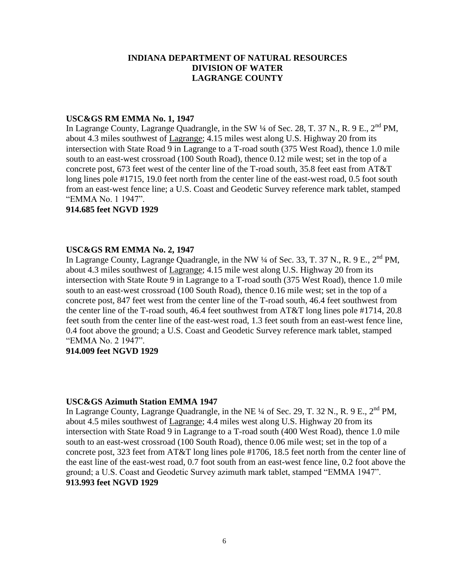#### **USC&GS RM EMMA No. 1, 1947**

In Lagrange County, Lagrange Quadrangle, in the SW  $\frac{1}{4}$  of Sec. 28, T. 37 N., R. 9 E., 2<sup>nd</sup> PM, about 4.3 miles southwest of Lagrange; 4.15 miles west along U.S. Highway 20 from its intersection with State Road 9 in Lagrange to a T-road south (375 West Road), thence 1.0 mile south to an east-west crossroad (100 South Road), thence 0.12 mile west; set in the top of a concrete post, 673 feet west of the center line of the T-road south, 35.8 feet east from AT&T long lines pole #1715, 19.0 feet north from the center line of the east-west road, 0.5 foot south from an east-west fence line; a U.S. Coast and Geodetic Survey reference mark tablet, stamped "EMMA No. 1 1947".

**914.685 feet NGVD 1929**

### **USC&GS RM EMMA No. 2, 1947**

In Lagrange County, Lagrange Quadrangle, in the NW  $\frac{1}{4}$  of Sec. 33, T. 37 N., R. 9 E.,  $2^{nd}$  PM. about 4.3 miles southwest of Lagrange; 4.15 mile west along U.S. Highway 20 from its intersection with State Route 9 in Lagrange to a T-road south (375 West Road), thence 1.0 mile south to an east-west crossroad (100 South Road), thence 0.16 mile west; set in the top of a concrete post, 847 feet west from the center line of the T-road south, 46.4 feet southwest from the center line of the T-road south, 46.4 feet southwest from AT&T long lines pole #1714, 20.8 feet south from the center line of the east-west road, 1.3 feet south from an east-west fence line, 0.4 foot above the ground; a U.S. Coast and Geodetic Survey reference mark tablet, stamped "EMMA No. 2 1947".

### **914.009 feet NGVD 1929**

#### **USC&GS Azimuth Station EMMA 1947**

In Lagrange County, Lagrange Quadrangle, in the NE  $\frac{1}{4}$  of Sec. 29, T. 32 N., R. 9 E., 2<sup>nd</sup> PM, about 4.5 miles southwest of Lagrange; 4.4 miles west along U.S. Highway 20 from its intersection with State Road 9 in Lagrange to a T-road south (400 West Road), thence 1.0 mile south to an east-west crossroad (100 South Road), thence 0.06 mile west; set in the top of a concrete post, 323 feet from AT&T long lines pole #1706, 18.5 feet north from the center line of the east line of the east-west road, 0.7 foot south from an east-west fence line, 0.2 foot above the ground; a U.S. Coast and Geodetic Survey azimuth mark tablet, stamped "EMMA 1947". **913.993 feet NGVD 1929**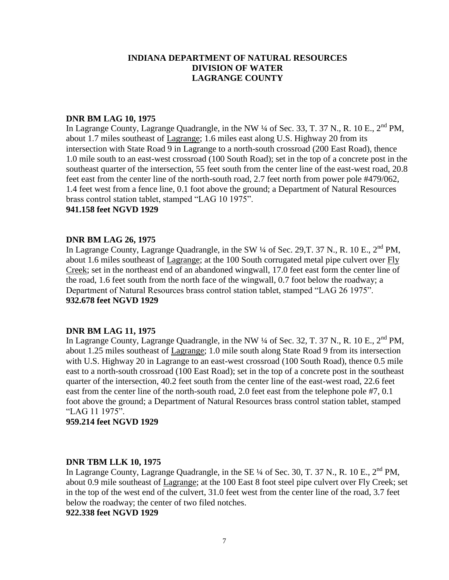### **DNR BM LAG 10, 1975**

In Lagrange County, Lagrange Quadrangle, in the NW  $\frac{1}{4}$  of Sec. 33, T. 37 N., R. 10 E., 2<sup>nd</sup> PM, about 1.7 miles southeast of Lagrange; 1.6 miles east along U.S. Highway 20 from its intersection with State Road 9 in Lagrange to a north-south crossroad (200 East Road), thence 1.0 mile south to an east-west crossroad (100 South Road); set in the top of a concrete post in the southeast quarter of the intersection, 55 feet south from the center line of the east-west road, 20.8 feet east from the center line of the north-south road, 2.7 feet north from power pole #479/062, 1.4 feet west from a fence line, 0.1 foot above the ground; a Department of Natural Resources brass control station tablet, stamped "LAG 10 1975".

### **941.158 feet NGVD 1929**

#### **DNR BM LAG 26, 1975**

In Lagrange County, Lagrange Quadrangle, in the SW  $\frac{1}{4}$  of Sec. 29, T. 37 N., R. 10 E., 2<sup>nd</sup> PM, about 1.6 miles southeast of Lagrange; at the 100 South corrugated metal pipe culvert over Fly Creek; set in the northeast end of an abandoned wingwall, 17.0 feet east form the center line of the road, 1.6 feet south from the north face of the wingwall, 0.7 foot below the roadway; a Department of Natural Resources brass control station tablet, stamped "LAG 26 1975". **932.678 feet NGVD 1929**

### **DNR BM LAG 11, 1975**

In Lagrange County, Lagrange Quadrangle, in the NW  $\frac{1}{4}$  of Sec. 32, T. 37 N., R. 10 E., 2<sup>nd</sup> PM, about 1.25 miles southeast of Lagrange; 1.0 mile south along State Road 9 from its intersection with U.S. Highway 20 in Lagrange to an east-west crossroad (100 South Road), thence 0.5 mile east to a north-south crossroad (100 East Road); set in the top of a concrete post in the southeast quarter of the intersection, 40.2 feet south from the center line of the east-west road, 22.6 feet east from the center line of the north-south road, 2.0 feet east from the telephone pole #7, 0.1 foot above the ground; a Department of Natural Resources brass control station tablet, stamped "LAG 11 1975".

### **959.214 feet NGVD 1929**

#### **DNR TBM LLK 10, 1975**

In Lagrange County, Lagrange Quadrangle, in the SE  $\frac{1}{4}$  of Sec. 30, T. 37 N., R. 10 E.,  $2^{nd}$  PM, about 0.9 mile southeast of Lagrange; at the 100 East 8 foot steel pipe culvert over Fly Creek; set in the top of the west end of the culvert, 31.0 feet west from the center line of the road, 3.7 feet below the roadway; the center of two filed notches.

**922.338 feet NGVD 1929**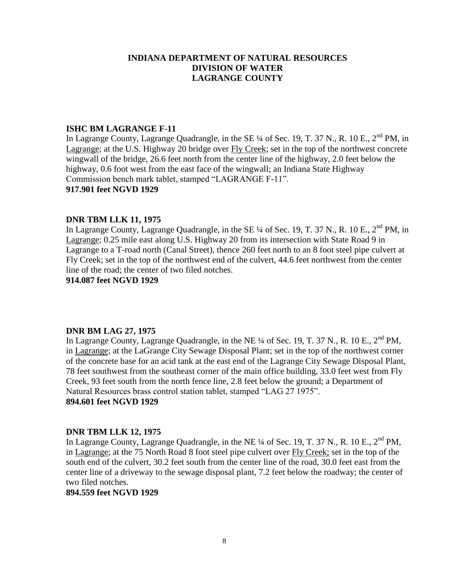### **ISHC BM LAGRANGE F-11**

In Lagrange County, Lagrange Quadrangle, in the SE  $\frac{1}{4}$  of Sec. 19, T. 37 N., R. 10 E., 2<sup>nd</sup> PM, in Lagrange; at the U.S. Highway 20 bridge over Fly Creek; set in the top of the northwest concrete wingwall of the bridge, 26.6 feet north from the center line of the highway, 2.0 feet below the highway, 0.6 foot west from the east face of the wingwall; an Indiana State Highway Commission bench mark tablet, stamped "LAGRANGE F-11".

### **917.901 feet NGVD 1929**

### **DNR TBM LLK 11, 1975**

In Lagrange County, Lagrange Quadrangle, in the SE  $\frac{1}{4}$  of Sec. 19, T. 37 N., R. 10 E., 2<sup>nd</sup> PM, in Lagrange; 0.25 mile east along U.S. Highway 20 from its intersection with State Road 9 in Lagrange to a T-road north (Canal Street), thence 260 feet north to an 8 foot steel pipe culvert at Fly Creek; set in the top of the northwest end of the culvert, 44.6 feet northwest from the center line of the road; the center of two filed notches.

**914.087 feet NGVD 1929**

### **DNR BM LAG 27, 1975**

In Lagrange County, Lagrange Quadrangle, in the NE  $\frac{1}{4}$  of Sec. 19, T. 37 N., R. 10 E., 2<sup>nd</sup> PM, in Lagrange; at the LaGrange City Sewage Disposal Plant; set in the top of the northwest corner of the concrete base for an acid tank at the east end of the Lagrange City Sewage Disposal Plant, 78 feet southwest from the southeast corner of the main office building, 33.0 feet west from Fly Creek, 93 feet south from the north fence line, 2.8 feet below the ground; a Department of Natural Resources brass control station tablet, stamped "LAG 27 1975". **894.601 feet NGVD 1929**

## **DNR TBM LLK 12, 1975**

In Lagrange County, Lagrange Quadrangle, in the NE  $\frac{1}{4}$  of Sec. 19, T. 37 N., R. 10 E., 2<sup>nd</sup> PM, in Lagrange; at the 75 North Road 8 foot steel pipe culvert over Fly Creek; set in the top of the south end of the culvert, 30.2 feet south from the center line of the road, 30.0 feet east from the center line of a driveway to the sewage disposal plant, 7.2 feet below the roadway; the center of two filed notches.

### **894.559 feet NGVD 1929**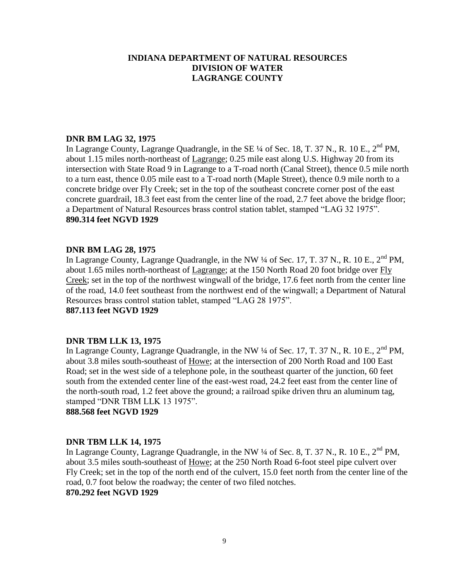### **DNR BM LAG 32, 1975**

In Lagrange County, Lagrange Quadrangle, in the SE  $\frac{1}{4}$  of Sec. 18, T. 37 N., R. 10 E.,  $2^{nd}$  PM, about 1.15 miles north-northeast of Lagrange; 0.25 mile east along U.S. Highway 20 from its intersection with State Road 9 in Lagrange to a T-road north (Canal Street), thence 0.5 mile north to a turn east, thence 0.05 mile east to a T-road north (Maple Street), thence 0.9 mile north to a concrete bridge over Fly Creek; set in the top of the southeast concrete corner post of the east concrete guardrail, 18.3 feet east from the center line of the road, 2.7 feet above the bridge floor; a Department of Natural Resources brass control station tablet, stamped "LAG 32 1975". **890.314 feet NGVD 1929**

#### **DNR BM LAG 28, 1975**

In Lagrange County, Lagrange Quadrangle, in the NW  $\frac{1}{4}$  of Sec. 17, T. 37 N., R. 10 E., 2<sup>nd</sup> PM, about 1.65 miles north-northeast of Lagrange; at the 150 North Road 20 foot bridge over Fly Creek; set in the top of the northwest wingwall of the bridge, 17.6 feet north from the center line of the road, 14.0 feet southeast from the northwest end of the wingwall; a Department of Natural Resources brass control station tablet, stamped "LAG 28 1975".

# **887.113 feet NGVD 1929**

### **DNR TBM LLK 13, 1975**

In Lagrange County, Lagrange Quadrangle, in the NW  $\frac{1}{4}$  of Sec. 17, T. 37 N., R. 10 E., 2<sup>nd</sup> PM, about 3.8 miles south-southeast of Howe; at the intersection of 200 North Road and 100 East Road; set in the west side of a telephone pole, in the southeast quarter of the junction, 60 feet south from the extended center line of the east-west road, 24.2 feet east from the center line of the north-south road, 1.2 feet above the ground; a railroad spike driven thru an aluminum tag, stamped "DNR TBM LLK 13 1975".

**888.568 feet NGVD 1929**

#### **DNR TBM LLK 14, 1975**

In Lagrange County, Lagrange Quadrangle, in the NW  $\frac{1}{4}$  of Sec. 8, T. 37 N., R. 10 E.,  $2^{nd}$  PM, about 3.5 miles south-southeast of Howe; at the 250 North Road 6-foot steel pipe culvert over Fly Creek; set in the top of the north end of the culvert, 15.0 feet north from the center line of the road, 0.7 foot below the roadway; the center of two filed notches. **870.292 feet NGVD 1929**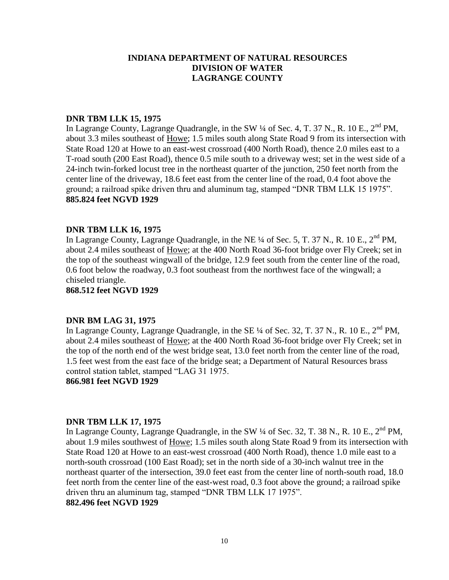### **DNR TBM LLK 15, 1975**

In Lagrange County, Lagrange Quadrangle, in the SW  $\frac{1}{4}$  of Sec. 4, T. 37 N., R. 10 E., 2<sup>nd</sup> PM, about 3.3 miles southeast of Howe; 1.5 miles south along State Road 9 from its intersection with State Road 120 at Howe to an east-west crossroad (400 North Road), thence 2.0 miles east to a T-road south (200 East Road), thence 0.5 mile south to a driveway west; set in the west side of a 24-inch twin-forked locust tree in the northeast quarter of the junction, 250 feet north from the center line of the driveway, 18.6 feet east from the center line of the road, 0.4 foot above the ground; a railroad spike driven thru and aluminum tag, stamped "DNR TBM LLK 15 1975". **885.824 feet NGVD 1929**

### **DNR TBM LLK 16, 1975**

In Lagrange County, Lagrange Quadrangle, in the NE ¼ of Sec. 5, T. 37 N., R. 10 E., 2<sup>nd</sup> PM, about 2.4 miles southeast of Howe; at the 400 North Road 36-foot bridge over Fly Creek; set in the top of the southeast wingwall of the bridge, 12.9 feet south from the center line of the road, 0.6 foot below the roadway, 0.3 foot southeast from the northwest face of the wingwall; a chiseled triangle.

**868.512 feet NGVD 1929**

### **DNR BM LAG 31, 1975**

In Lagrange County, Lagrange Quadrangle, in the SE  $\frac{1}{4}$  of Sec. 32, T. 37 N., R. 10 E.,  $2^{nd}$  PM, about 2.4 miles southeast of Howe; at the 400 North Road 36-foot bridge over Fly Creek; set in the top of the north end of the west bridge seat, 13.0 feet north from the center line of the road, 1.5 feet west from the east face of the bridge seat; a Department of Natural Resources brass control station tablet, stamped "LAG 31 1975.

**866.981 feet NGVD 1929**

#### **DNR TBM LLK 17, 1975**

In Lagrange County, Lagrange Quadrangle, in the SW  $\frac{1}{4}$  of Sec. 32, T. 38 N., R. 10 E.,  $2^{nd}$  PM, about 1.9 miles southwest of Howe; 1.5 miles south along State Road 9 from its intersection with State Road 120 at Howe to an east-west crossroad (400 North Road), thence 1.0 mile east to a north-south crossroad (100 East Road); set in the north side of a 30-inch walnut tree in the northeast quarter of the intersection, 39.0 feet east from the center line of north-south road, 18.0 feet north from the center line of the east-west road, 0.3 foot above the ground; a railroad spike driven thru an aluminum tag, stamped "DNR TBM LLK 17 1975".

**882.496 feet NGVD 1929**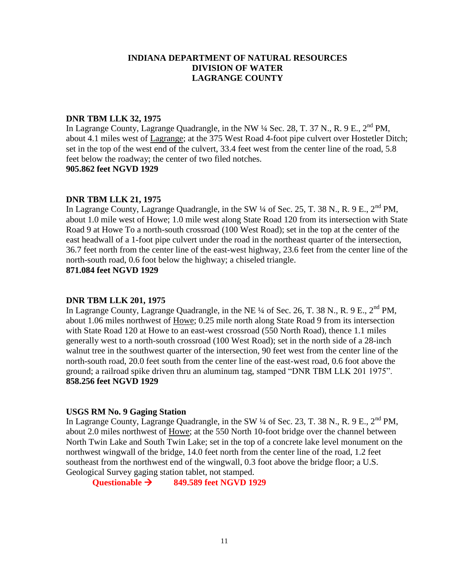## **DNR TBM LLK 32, 1975**

In Lagrange County, Lagrange Quadrangle, in the NW  $\frac{1}{4}$  Sec. 28, T. 37 N., R. 9 E., 2<sup>nd</sup> PM, about 4.1 miles west of Lagrange; at the 375 West Road 4-foot pipe culvert over Hostetler Ditch; set in the top of the west end of the culvert, 33.4 feet west from the center line of the road, 5.8 feet below the roadway; the center of two filed notches. **905.862 feet NGVD 1929**

### **DNR TBM LLK 21, 1975**

In Lagrange County, Lagrange Quadrangle, in the SW  $\frac{1}{4}$  of Sec. 25, T. 38 N., R. 9 E., 2<sup>nd</sup> PM, about 1.0 mile west of Howe; 1.0 mile west along State Road 120 from its intersection with State Road 9 at Howe To a north-south crossroad (100 West Road); set in the top at the center of the east headwall of a 1-foot pipe culvert under the road in the northeast quarter of the intersection, 36.7 feet north from the center line of the east-west highway, 23.6 feet from the center line of the north-south road, 0.6 foot below the highway; a chiseled triangle.

**871.084 feet NGVD 1929**

## **DNR TBM LLK 201, 1975**

In Lagrange County, Lagrange Quadrangle, in the NE  $\frac{1}{4}$  of Sec. 26, T. 38 N., R. 9 E., 2<sup>nd</sup> PM, about 1.06 miles northwest of Howe; 0.25 mile north along State Road 9 from its intersection with State Road 120 at Howe to an east-west crossroad (550 North Road), thence 1.1 miles generally west to a north-south crossroad (100 West Road); set in the north side of a 28-inch walnut tree in the southwest quarter of the intersection, 90 feet west from the center line of the north-south road, 20.0 feet south from the center line of the east-west road, 0.6 foot above the ground; a railroad spike driven thru an aluminum tag, stamped "DNR TBM LLK 201 1975". **858.256 feet NGVD 1929**

### **USGS RM No. 9 Gaging Station**

In Lagrange County, Lagrange Quadrangle, in the SW  $\frac{1}{4}$  of Sec. 23, T. 38 N., R. 9 E., 2<sup>nd</sup> PM, about 2.0 miles northwest of Howe; at the 550 North 10-foot bridge over the channel between North Twin Lake and South Twin Lake; set in the top of a concrete lake level monument on the northwest wingwall of the bridge, 14.0 feet north from the center line of the road, 1.2 feet southeast from the northwest end of the wingwall, 0.3 foot above the bridge floor; a U.S. Geological Survey gaging station tablet, not stamped.

**Questionable 849.589 feet NGVD 1929**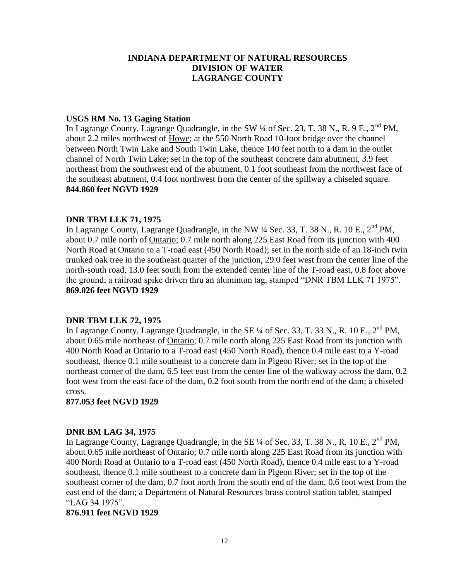### **USGS RM No. 13 Gaging Station**

In Lagrange County, Lagrange Quadrangle, in the SW  $\frac{1}{4}$  of Sec. 23, T. 38 N., R. 9 E., 2<sup>nd</sup> PM, about 2.2 miles northwest of Howe; at the 550 North Road 10-foot bridge over the channel between North Twin Lake and South Twin Lake, thence 140 feet north to a dam in the outlet channel of North Twin Lake; set in the top of the southeast concrete dam abutment, 3.9 feet northeast from the southwest end of the abutment, 0.1 foot southeast from the northwest face of the southeast abutment, 0.4 foot northwest from the center of the spillway a chiseled square. **844.860 feet NGVD 1929**

### **DNR TBM LLK 71, 1975**

In Lagrange County, Lagrange Quadrangle, in the NW  $\frac{1}{4}$  Sec. 33, T. 38 N., R. 10 E., 2<sup>nd</sup> PM, about 0.7 mile north of Ontario; 0.7 mile north along 225 East Road from its junction with 400 North Road at Ontario to a T-road east (450 North Road); set in the north side of an 18-inch twin trunked oak tree in the southeast quarter of the junction, 29.0 feet west from the center line of the north-south road, 13.0 feet south from the extended center line of the T-road east, 0.8 foot above the ground; a railroad spike driven thru an aluminum tag, stamped "DNR TBM LLK 71 1975". **869.026 feet NGVD 1929**

#### **DNR TBM LLK 72, 1975**

In Lagrange County, Lagrange Quadrangle, in the SE  $\frac{1}{4}$  of Sec. 33, T. 33 N., R. 10 E., 2<sup>nd</sup> PM, about 0.65 mile northeast of Ontario; 0.7 mile north along 225 East Road from its junction with 400 North Road at Ontario to a T-road east (450 North Road), thence 0.4 mile east to a Y-road southeast, thence 0.1 mile southeast to a concrete dam in Pigeon River; set in the top of the northeast corner of the dam, 6.5 feet east from the center line of the walkway across the dam, 0.2 foot west from the east face of the dam, 0.2 foot south from the north end of the dam; a chiseled cross.

**877.053 feet NGVD 1929**

### **DNR BM LAG 34, 1975**

In Lagrange County, Lagrange Quadrangle, in the SE  $\frac{1}{4}$  of Sec. 33, T. 38 N., R. 10 E., 2<sup>nd</sup> PM, about 0.65 mile northeast of Ontario; 0.7 mile north along 225 East Road from its junction with 400 North Road at Ontario to a T-road east (450 North Road), thence 0.4 mile east to a Y-road southeast, thence 0.1 mile southeast to a concrete dam in Pigeon River; set in the top of the southeast corner of the dam, 0.7 foot north from the south end of the dam, 0.6 foot west from the east end of the dam; a Department of Natural Resources brass control station tablet, stamped "LAG 34 1975".

#### **876.911 feet NGVD 1929**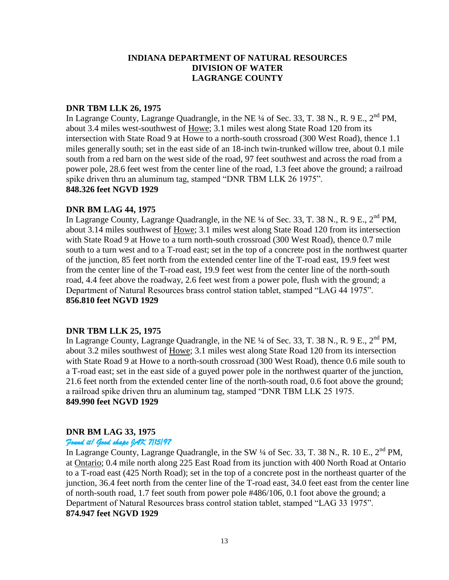## **DNR TBM LLK 26, 1975**

In Lagrange County, Lagrange Quadrangle, in the NE <sup>1</sup>/4 of Sec. 33, T. 38 N., R. 9 E., 2<sup>nd</sup> PM, about 3.4 miles west-southwest of Howe; 3.1 miles west along State Road 120 from its intersection with State Road 9 at Howe to a north-south crossroad (300 West Road), thence 1.1 miles generally south; set in the east side of an 18-inch twin-trunked willow tree, about 0.1 mile south from a red barn on the west side of the road, 97 feet southwest and across the road from a power pole, 28.6 feet west from the center line of the road, 1.3 feet above the ground; a railroad spike driven thru an aluminum tag, stamped "DNR TBM LLK 26 1975". **848.326 feet NGVD 1929**

### **DNR BM LAG 44, 1975**

In Lagrange County, Lagrange Quadrangle, in the NE  $\frac{1}{4}$  of Sec. 33, T. 38 N., R. 9 E., 2<sup>nd</sup> PM, about 3.14 miles southwest of Howe; 3.1 miles west along State Road 120 from its intersection with State Road 9 at Howe to a turn north-south crossroad (300 West Road), thence 0.7 mile south to a turn west and to a T-road east; set in the top of a concrete post in the northwest quarter of the junction, 85 feet north from the extended center line of the T-road east, 19.9 feet west from the center line of the T-road east, 19.9 feet west from the center line of the north-south road, 4.4 feet above the roadway, 2.6 feet west from a power pole, flush with the ground; a Department of Natural Resources brass control station tablet, stamped "LAG 44 1975". **856.810 feet NGVD 1929**

## **DNR TBM LLK 25, 1975**

In Lagrange County, Lagrange Quadrangle, in the NE  $\frac{1}{4}$  of Sec. 33, T. 38 N., R. 9 E., 2<sup>nd</sup> PM, about 3.2 miles southwest of Howe; 3.1 miles west along State Road 120 from its intersection with State Road 9 at Howe to a north-south crossroad (300 West Road), thence 0.6 mile south to a T-road east; set in the east side of a guyed power pole in the northwest quarter of the junction, 21.6 feet north from the extended center line of the north-south road, 0.6 foot above the ground; a railroad spike driven thru an aluminum tag, stamped "DNR TBM LLK 25 1975. **849.990 feet NGVD 1929**

## **DNR BM LAG 33, 1975**

### *Found it! Good shape JAK 7/15/97*

In Lagrange County, Lagrange Quadrangle, in the SW <sup>1</sup>/4 of Sec. 33, T. 38 N., R. 10 E., 2<sup>nd</sup> PM. at Ontario; 0.4 mile north along 225 East Road from its junction with 400 North Road at Ontario to a T-road east (425 North Road); set in the top of a concrete post in the northeast quarter of the junction, 36.4 feet north from the center line of the T-road east, 34.0 feet east from the center line of north-south road, 1.7 feet south from power pole #486/106, 0.1 foot above the ground; a Department of Natural Resources brass control station tablet, stamped "LAG 33 1975". **874.947 feet NGVD 1929**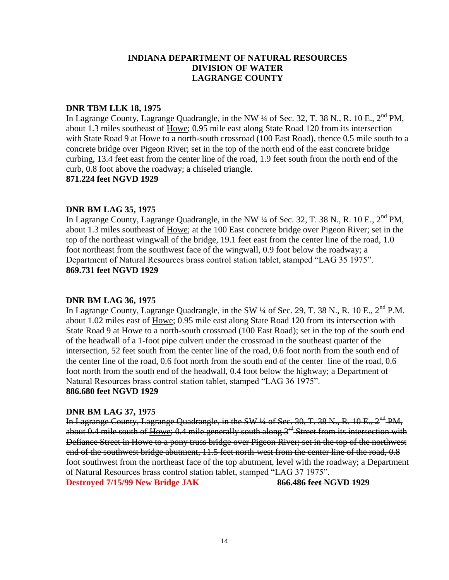### **DNR TBM LLK 18, 1975**

In Lagrange County, Lagrange Quadrangle, in the NW 1/4 of Sec. 32, T. 38 N., R. 10 E., 2<sup>nd</sup> PM, about 1.3 miles southeast of Howe; 0.95 mile east along State Road 120 from its intersection with State Road 9 at Howe to a north-south crossroad (100 East Road), thence 0.5 mile south to a concrete bridge over Pigeon River; set in the top of the north end of the east concrete bridge curbing, 13.4 feet east from the center line of the road, 1.9 feet south from the north end of the curb, 0.8 foot above the roadway; a chiseled triangle.

**871.224 feet NGVD 1929**

## **DNR BM LAG 35, 1975**

In Lagrange County, Lagrange Quadrangle, in the NW  $\frac{1}{4}$  of Sec. 32, T. 38 N., R. 10 E., 2<sup>nd</sup> PM, about 1.3 miles southeast of Howe; at the 100 East concrete bridge over Pigeon River; set in the top of the northeast wingwall of the bridge, 19.1 feet east from the center line of the road, 1.0 foot northeast from the southwest face of the wingwall, 0.9 foot below the roadway; a Department of Natural Resources brass control station tablet, stamped "LAG 35 1975". **869.731 feet NGVD 1929**

## **DNR BM LAG 36, 1975**

In Lagrange County, Lagrange Quadrangle, in the SW  $\frac{1}{4}$  of Sec. 29, T. 38 N., R. 10 E.,  $2^{nd}$  P.M. about 1.02 miles east of Howe; 0.95 mile east along State Road 120 from its intersection with State Road 9 at Howe to a north-south crossroad (100 East Road); set in the top of the south end of the headwall of a 1-foot pipe culvert under the crossroad in the southeast quarter of the intersection, 52 feet south from the center line of the road, 0.6 foot north from the south end of the center line of the road, 0.6 foot north from the south end of the center line of the road, 0.6 foot north from the south end of the headwall, 0.4 foot below the highway; a Department of Natural Resources brass control station tablet, stamped "LAG 36 1975". **886.680 feet NGVD 1929**

## **DNR BM LAG 37, 1975**

In Lagrange County, Lagrange Quadrangle, in the SW 1/4 of Sec. 30, T. 38 N., R. 10 E., 2<sup>nd</sup> PM, about 0.4 mile south of Howe; 0.4 mile generally south along 3<sup>rd</sup> Street from its intersection with Defiance Street in Howe to a pony truss bridge over Pigeon River; set in the top of the northwest end of the southwest bridge abutment, 11.5 feet north-west from the center line of the road, 0.8 foot southwest from the northeast face of the top abutment, level with the roadway; a Department of Natural Resources brass control station tablet, stamped "LAG 37 1975".

**Destroyed 7/15/99 New Bridge JAK 866.486 feet NGVD 1929**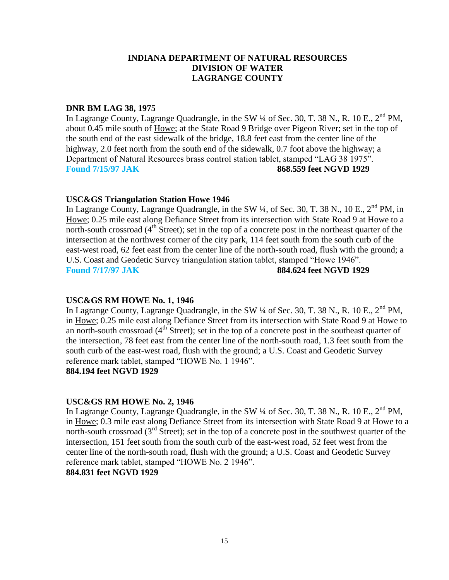### **DNR BM LAG 38, 1975**

In Lagrange County, Lagrange Quadrangle, in the SW  $\frac{1}{4}$  of Sec. 30, T. 38 N., R. 10 E., 2<sup>nd</sup> PM, about 0.45 mile south of Howe; at the State Road 9 Bridge over Pigeon River; set in the top of the south end of the east sidewalk of the bridge, 18.8 feet east from the center line of the highway, 2.0 feet north from the south end of the sidewalk, 0.7 foot above the highway; a Department of Natural Resources brass control station tablet, stamped "LAG 38 1975". **Found 7/15/97 JAK 868.559 feet NGVD 1929**

### **USC&GS Triangulation Station Howe 1946**

In Lagrange County, Lagrange Quadrangle, in the SW  $\frac{1}{4}$ , of Sec. 30, T. 38 N., 10 E., 2<sup>nd</sup> PM, in Howe; 0.25 mile east along Defiance Street from its intersection with State Road 9 at Howe to a north-south crossroad  $(4<sup>th</sup> Street)$ ; set in the top of a concrete post in the northeast quarter of the intersection at the northwest corner of the city park, 114 feet south from the south curb of the east-west road, 62 feet east from the center line of the north-south road, flush with the ground; a U.S. Coast and Geodetic Survey triangulation station tablet, stamped "Howe 1946". **Found 7/17/97 JAK 884.624 feet NGVD 1929**

## **USC&GS RM HOWE No. 1, 1946**

In Lagrange County, Lagrange Quadrangle, in the SW  $\frac{1}{4}$  of Sec. 30, T. 38 N., R. 10 E., 2<sup>nd</sup> PM, in Howe; 0.25 mile east along Defiance Street from its intersection with State Road 9 at Howe to an north-south crossroad  $(4^{th}$  Street); set in the top of a concrete post in the southeast quarter of the intersection, 78 feet east from the center line of the north-south road, 1.3 feet south from the south curb of the east-west road, flush with the ground; a U.S. Coast and Geodetic Survey reference mark tablet, stamped "HOWE No. 1 1946".

# **884.194 feet NGVD 1929**

## **USC&GS RM HOWE No. 2, 1946**

In Lagrange County, Lagrange Quadrangle, in the SW  $\frac{1}{4}$  of Sec. 30, T. 38 N., R. 10 E., 2<sup>nd</sup> PM. in Howe; 0.3 mile east along Defiance Street from its intersection with State Road 9 at Howe to a north-south crossroad  $(3<sup>rd</sup> Street)$ ; set in the top of a concrete post in the southwest quarter of the intersection, 151 feet south from the south curb of the east-west road, 52 feet west from the center line of the north-south road, flush with the ground; a U.S. Coast and Geodetic Survey reference mark tablet, stamped "HOWE No. 2 1946". **884.831 feet NGVD 1929**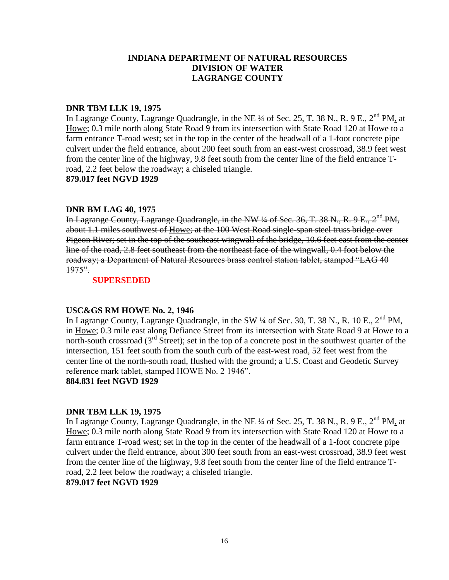### **DNR TBM LLK 19, 1975**

In Lagrange County, Lagrange Quadrangle, in the NE ¼ of Sec. 25, T. 38 N., R. 9 E., 2<sup>nd</sup> PM, at Howe; 0.3 mile north along State Road 9 from its intersection with State Road 120 at Howe to a farm entrance T-road west; set in the top in the center of the headwall of a 1-foot concrete pipe culvert under the field entrance, about 200 feet south from an east-west crossroad, 38.9 feet west from the center line of the highway, 9.8 feet south from the center line of the field entrance Troad, 2.2 feet below the roadway; a chiseled triangle.

**879.017 feet NGVD 1929**

### **DNR BM LAG 40, 1975**

In Lagrange County, Lagrange Quadrangle, in the NW  $\frac{1}{4}$  of Sec. 36, T. 38 N., R. 9 E.,  $2^{nd}$  PM, about 1.1 miles southwest of Howe; at the 100 West Road single-span steel truss bridge over Pigeon River; set in the top of the southeast wingwall of the bridge, 10.6 feet east from the center line of the road, 2.8 feet southeast from the northeast face of the wingwall, 0.4 foot below the roadway; a Department of Natural Resources brass control station tablet, stamped "LAG 40  $1975"$ .

### **SUPERSEDED**

### **USC&GS RM HOWE No. 2, 1946**

In Lagrange County, Lagrange Quadrangle, in the SW  $\frac{1}{4}$  of Sec. 30, T. 38 N., R. 10 E., 2<sup>nd</sup> PM, in Howe; 0.3 mile east along Defiance Street from its intersection with State Road 9 at Howe to a north-south crossroad  $(3<sup>rd</sup> Street)$ ; set in the top of a concrete post in the southwest quarter of the intersection, 151 feet south from the south curb of the east-west road, 52 feet west from the center line of the north-south road, flushed with the ground; a U.S. Coast and Geodetic Survey reference mark tablet, stamped HOWE No. 2 1946".

### **884.831 feet NGVD 1929**

## **DNR TBM LLK 19, 1975**

In Lagrange County, Lagrange Quadrangle, in the NE <sup>1/4</sup> of Sec. 25, T. 38 N., R. 9 E., 2<sup>nd</sup> PM, at Howe; 0.3 mile north along State Road 9 from its intersection with State Road 120 at Howe to a farm entrance T-road west; set in the top in the center of the headwall of a 1-foot concrete pipe culvert under the field entrance, about 300 feet south from an east-west crossroad, 38.9 feet west from the center line of the highway, 9.8 feet south from the center line of the field entrance Troad, 2.2 feet below the roadway; a chiseled triangle.

# **879.017 feet NGVD 1929**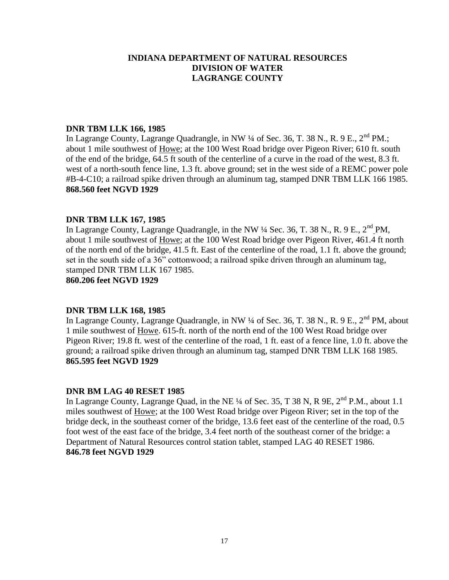### **DNR TBM LLK 166, 1985**

In Lagrange County, Lagrange Quadrangle, in NW ¼ of Sec. 36, T. 38 N., R. 9 E., 2<sup>nd</sup> PM.; about 1 mile southwest of Howe; at the 100 West Road bridge over Pigeon River; 610 ft. south of the end of the bridge, 64.5 ft south of the centerline of a curve in the road of the west, 8.3 ft. west of a north-south fence line, 1.3 ft. above ground; set in the west side of a REMC power pole #B-4-C10; a railroad spike driven through an aluminum tag, stamped DNR TBM LLK 166 1985. **868.560 feet NGVD 1929**

### **DNR TBM LLK 167, 1985**

In Lagrange County, Lagrange Quadrangle, in the NW  $\frac{1}{4}$  Sec. 36, T. 38 N., R. 9 E.,  $2^{nd}$  PM. about 1 mile southwest of Howe; at the 100 West Road bridge over Pigeon River, 461.4 ft north of the north end of the bridge, 41.5 ft. East of the centerline of the road, 1.1 ft. above the ground; set in the south side of a 36" cottonwood; a railroad spike driven through an aluminum tag, stamped DNR TBM LLK 167 1985.

**860.206 feet NGVD 1929**

### **DNR TBM LLK 168, 1985**

In Lagrange County, Lagrange Quadrangle, in NW  $\frac{1}{4}$  of Sec. 36, T. 38 N., R. 9 E., 2<sup>nd</sup> PM, about 1 mile southwest of Howe. 615-ft. north of the north end of the 100 West Road bridge over Pigeon River; 19.8 ft. west of the centerline of the road, 1 ft. east of a fence line, 1.0 ft. above the ground; a railroad spike driven through an aluminum tag, stamped DNR TBM LLK 168 1985. **865.595 feet NGVD 1929**

### **DNR BM LAG 40 RESET 1985**

In Lagrange County, Lagrange Quad, in the NE  $\frac{1}{4}$  of Sec. 35, T 38 N, R 9E,  $2^{nd}$  P.M., about 1.1 miles southwest of Howe; at the 100 West Road bridge over Pigeon River; set in the top of the bridge deck, in the southeast corner of the bridge, 13.6 feet east of the centerline of the road, 0.5 foot west of the east face of the bridge, 3.4 feet north of the southeast corner of the bridge: a Department of Natural Resources control station tablet, stamped LAG 40 RESET 1986. **846.78 feet NGVD 1929**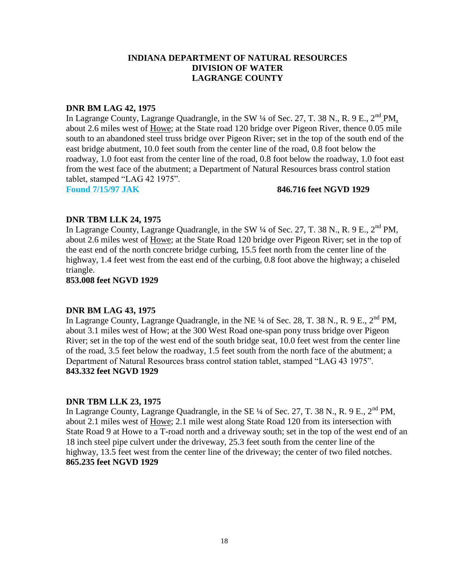### **DNR BM LAG 42, 1975**

In Lagrange County, Lagrange Quadrangle, in the SW ¼ of Sec. 27, T. 38 N., R. 9 E., 2<sup>nd</sup> PM, about 2.6 miles west of Howe; at the State road 120 bridge over Pigeon River, thence 0.05 mile south to an abandoned steel truss bridge over Pigeon River; set in the top of the south end of the east bridge abutment, 10.0 feet south from the center line of the road, 0.8 foot below the roadway, 1.0 foot east from the center line of the road, 0.8 foot below the roadway, 1.0 foot east from the west face of the abutment; a Department of Natural Resources brass control station tablet, stamped "LAG 42 1975".

#### **Found 7/15/97 JAK 846.716 feet NGVD 1929**

## **DNR TBM LLK 24, 1975**

In Lagrange County, Lagrange Quadrangle, in the SW  $\frac{1}{4}$  of Sec. 27, T. 38 N., R. 9 E., 2<sup>nd</sup> PM. about 2.6 miles west of Howe; at the State Road 120 bridge over Pigeon River; set in the top of the east end of the north concrete bridge curbing, 15.5 feet north from the center line of the highway, 1.4 feet west from the east end of the curbing, 0.8 foot above the highway; a chiseled triangle.

**853.008 feet NGVD 1929**

## **DNR BM LAG 43, 1975**

In Lagrange County, Lagrange Quadrangle, in the NE  $\frac{1}{4}$  of Sec. 28, T. 38 N., R. 9 E., 2<sup>nd</sup> PM, about 3.1 miles west of How; at the 300 West Road one-span pony truss bridge over Pigeon River; set in the top of the west end of the south bridge seat, 10.0 feet west from the center line of the road, 3.5 feet below the roadway, 1.5 feet south from the north face of the abutment; a Department of Natural Resources brass control station tablet, stamped "LAG 43 1975". **843.332 feet NGVD 1929**

### **DNR TBM LLK 23, 1975**

In Lagrange County, Lagrange Quadrangle, in the SE  $\frac{1}{4}$  of Sec. 27, T. 38 N., R. 9 E., 2<sup>nd</sup> PM, about 2.1 miles west of Howe; 2.1 mile west along State Road 120 from its intersection with State Road 9 at Howe to a T-road north and a driveway south; set in the top of the west end of an 18 inch steel pipe culvert under the driveway, 25.3 feet south from the center line of the highway, 13.5 feet west from the center line of the driveway; the center of two filed notches. **865.235 feet NGVD 1929**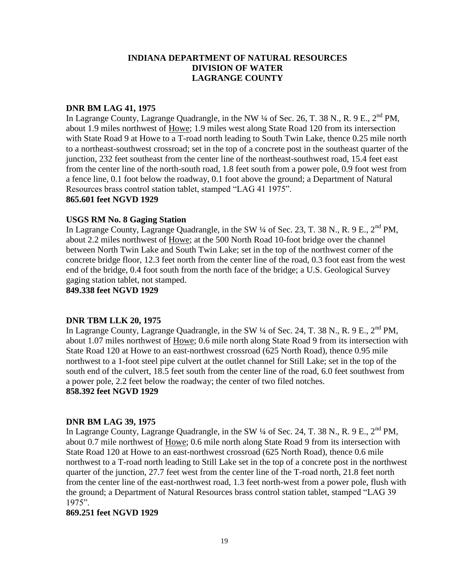### **DNR BM LAG 41, 1975**

In Lagrange County, Lagrange Quadrangle, in the NW  $\frac{1}{4}$  of Sec. 26, T. 38 N., R. 9 E.,  $2^{nd}$  PM, about 1.9 miles northwest of Howe; 1.9 miles west along State Road 120 from its intersection with State Road 9 at Howe to a T-road north leading to South Twin Lake, thence 0.25 mile north to a northeast-southwest crossroad; set in the top of a concrete post in the southeast quarter of the junction, 232 feet southeast from the center line of the northeast-southwest road, 15.4 feet east from the center line of the north-south road, 1.8 feet south from a power pole, 0.9 foot west from a fence line, 0.1 foot below the roadway, 0.1 foot above the ground; a Department of Natural Resources brass control station tablet, stamped "LAG 41 1975". **865.601 feet NGVD 1929**

# **USGS RM No. 8 Gaging Station**

In Lagrange County, Lagrange Quadrangle, in the SW  $\frac{1}{4}$  of Sec. 23, T. 38 N., R. 9 E., 2<sup>nd</sup> PM, about 2.2 miles northwest of Howe; at the 500 North Road 10-foot bridge over the channel between North Twin Lake and South Twin Lake; set in the top of the northwest corner of the concrete bridge floor, 12.3 feet north from the center line of the road, 0.3 foot east from the west end of the bridge, 0.4 foot south from the north face of the bridge; a U.S. Geological Survey gaging station tablet, not stamped.

**849.338 feet NGVD 1929**

### **DNR TBM LLK 20, 1975**

In Lagrange County, Lagrange Quadrangle, in the SW  $\frac{1}{4}$  of Sec. 24, T. 38 N., R. 9 E., 2<sup>nd</sup> PM, about 1.07 miles northwest of Howe; 0.6 mile north along State Road 9 from its intersection with State Road 120 at Howe to an east-northwest crossroad (625 North Road), thence 0.95 mile northwest to a 1-foot steel pipe culvert at the outlet channel for Still Lake; set in the top of the south end of the culvert, 18.5 feet south from the center line of the road, 6.0 feet southwest from a power pole, 2.2 feet below the roadway; the center of two filed notches. **858.392 feet NGVD 1929**

### **DNR BM LAG 39, 1975**

In Lagrange County, Lagrange Quadrangle, in the SW  $\frac{1}{4}$  of Sec. 24, T. 38 N., R. 9 E., 2<sup>nd</sup> PM, about 0.7 mile northwest of Howe; 0.6 mile north along State Road 9 from its intersection with State Road 120 at Howe to an east-northwest crossroad (625 North Road), thence 0.6 mile northwest to a T-road north leading to Still Lake set in the top of a concrete post in the northwest quarter of the junction, 27.7 feet west from the center line of the T-road north, 21.8 feet north from the center line of the east-northwest road, 1.3 feet north-west from a power pole, flush with the ground; a Department of Natural Resources brass control station tablet, stamped "LAG 39 1975".

### **869.251 feet NGVD 1929**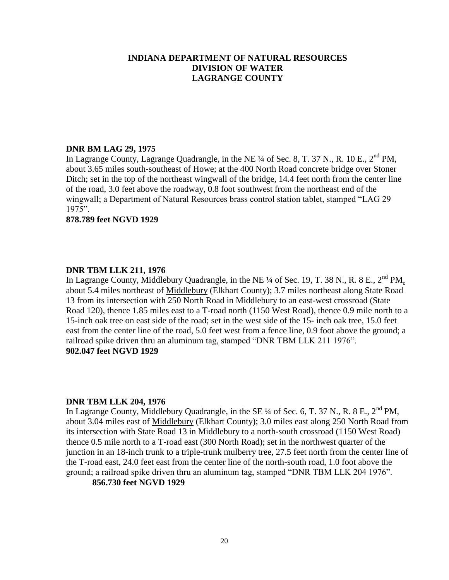## **DNR BM LAG 29, 1975**

In Lagrange County, Lagrange Quadrangle, in the NE  $\frac{1}{4}$  of Sec. 8, T. 37 N., R. 10 E.,  $2^{nd}$  PM. about 3.65 miles south-southeast of Howe; at the 400 North Road concrete bridge over Stoner Ditch; set in the top of the northeast wingwall of the bridge, 14.4 feet north from the center line of the road, 3.0 feet above the roadway, 0.8 foot southwest from the northeast end of the wingwall; a Department of Natural Resources brass control station tablet, stamped "LAG 29 1975".

### **878.789 feet NGVD 1929**

# **DNR TBM LLK 211, 1976**

In Lagrange County, Middlebury Quadrangle, in the NE  $\frac{1}{4}$  of Sec. 19, T. 38 N., R. 8 E., 2<sup>nd</sup> PM, about 5.4 miles northeast of Middlebury (Elkhart County); 3.7 miles northeast along State Road 13 from its intersection with 250 North Road in Middlebury to an east-west crossroad (State Road 120), thence 1.85 miles east to a T-road north (1150 West Road), thence 0.9 mile north to a 15-inch oak tree on east side of the road; set in the west side of the 15- inch oak tree, 15.0 feet east from the center line of the road, 5.0 feet west from a fence line, 0.9 foot above the ground; a railroad spike driven thru an aluminum tag, stamped "DNR TBM LLK 211 1976". **902.047 feet NGVD 1929**

## **DNR TBM LLK 204, 1976**

In Lagrange County, Middlebury Quadrangle, in the SE  $\frac{1}{4}$  of Sec. 6, T. 37 N., R. 8 E., 2<sup>nd</sup> PM, about 3.04 miles east of Middlebury (Elkhart County); 3.0 miles east along 250 North Road from its intersection with State Road 13 in Middlebury to a north-south crossroad (1150 West Road) thence 0.5 mile north to a T-road east (300 North Road); set in the northwest quarter of the junction in an 18-inch trunk to a triple-trunk mulberry tree, 27.5 feet north from the center line of the T-road east, 24.0 feet east from the center line of the north-south road, 1.0 foot above the ground; a railroad spike driven thru an aluminum tag, stamped "DNR TBM LLK 204 1976".

## **856.730 feet NGVD 1929**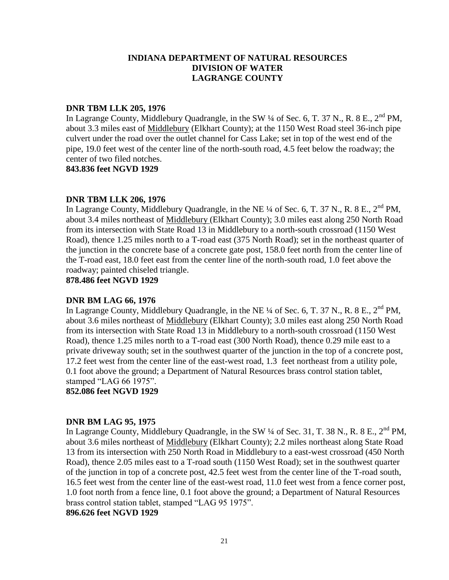### **DNR TBM LLK 205, 1976**

In Lagrange County, Middlebury Quadrangle, in the SW  $\frac{1}{4}$  of Sec. 6, T. 37 N., R. 8 E.,  $2^{nd}$  PM, about 3.3 miles east of Middlebury (Elkhart County); at the 1150 West Road steel 36-inch pipe culvert under the road over the outlet channel for Cass Lake; set in top of the west end of the pipe, 19.0 feet west of the center line of the north-south road, 4.5 feet below the roadway; the center of two filed notches.

**843.836 feet NGVD 1929**

### **DNR TBM LLK 206, 1976**

In Lagrange County, Middlebury Quadrangle, in the NE  $\frac{1}{4}$  of Sec. 6, T. 37 N., R. 8 E., 2<sup>nd</sup> PM, about 3.4 miles northeast of Middlebury (Elkhart County); 3.0 miles east along 250 North Road from its intersection with State Road 13 in Middlebury to a north-south crossroad (1150 West Road), thence 1.25 miles north to a T-road east (375 North Road); set in the northeast quarter of the junction in the concrete base of a concrete gate post, 158.0 feet north from the center line of the T-road east, 18.0 feet east from the center line of the north-south road, 1.0 feet above the roadway; painted chiseled triangle.

**878.486 feet NGVD 1929**

## **DNR BM LAG 66, 1976**

In Lagrange County, Middlebury Quadrangle, in the NE  $\frac{1}{4}$  of Sec. 6, T. 37 N., R. 8 E., 2<sup>nd</sup> PM, about 3.6 miles northeast of Middlebury (Elkhart County); 3.0 miles east along 250 North Road from its intersection with State Road 13 in Middlebury to a north-south crossroad (1150 West Road), thence 1.25 miles north to a T-road east (300 North Road), thence 0.29 mile east to a private driveway south; set in the southwest quarter of the junction in the top of a concrete post, 17.2 feet west from the center line of the east-west road, 1.3 feet northeast from a utility pole, 0.1 foot above the ground; a Department of Natural Resources brass control station tablet, stamped "LAG 66 1975".

**852.086 feet NGVD 1929**

## **DNR BM LAG 95, 1975**

In Lagrange County, Middlebury Quadrangle, in the SW  $\frac{1}{4}$  of Sec. 31, T. 38 N., R. 8 E.,  $2^{nd}$  PM, about 3.6 miles northeast of Middlebury (Elkhart County); 2.2 miles northeast along State Road 13 from its intersection with 250 North Road in Middlebury to a east-west crossroad (450 North Road), thence 2.05 miles east to a T-road south (1150 West Road); set in the southwest quarter of the junction in top of a concrete post, 42.5 feet west from the center line of the T-road south, 16.5 feet west from the center line of the east-west road, 11.0 feet west from a fence corner post, 1.0 foot north from a fence line, 0.1 foot above the ground; a Department of Natural Resources brass control station tablet, stamped "LAG 95 1975".

### **896.626 feet NGVD 1929**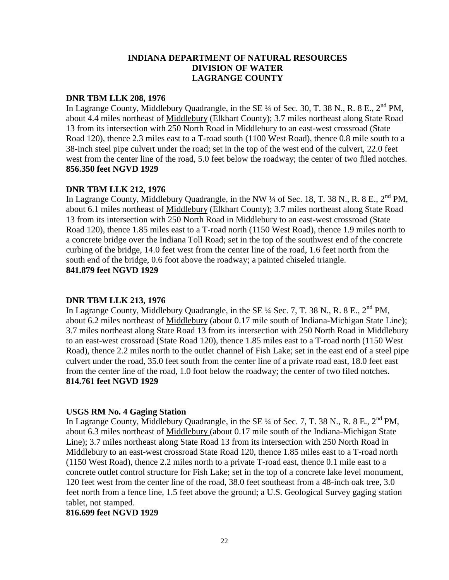### **DNR TBM LLK 208, 1976**

In Lagrange County, Middlebury Quadrangle, in the SE <sup>1</sup>/4 of Sec. 30, T. 38 N., R. 8 E., 2<sup>nd</sup> PM, about 4.4 miles northeast of Middlebury (Elkhart County); 3.7 miles northeast along State Road 13 from its intersection with 250 North Road in Middlebury to an east-west crossroad (State Road 120), thence 2.3 miles east to a T-road south (1100 West Road), thence 0.8 mile south to a 38-inch steel pipe culvert under the road; set in the top of the west end of the culvert, 22.0 feet west from the center line of the road, 5.0 feet below the roadway; the center of two filed notches. **856.350 feet NGVD 1929**

## **DNR TBM LLK 212, 1976**

In Lagrange County, Middlebury Quadrangle, in the NW  $\frac{1}{4}$  of Sec. 18, T. 38 N., R. 8 E.,  $2^{nd}$  PM, about 6.1 miles northeast of Middlebury (Elkhart County); 3.7 miles northeast along State Road 13 from its intersection with 250 North Road in Middlebury to an east-west crossroad (State Road 120), thence 1.85 miles east to a T-road north (1150 West Road), thence 1.9 miles north to a concrete bridge over the Indiana Toll Road; set in the top of the southwest end of the concrete curbing of the bridge, 14.0 feet west from the center line of the road, 1.6 feet north from the south end of the bridge, 0.6 foot above the roadway; a painted chiseled triangle. **841.879 feet NGVD 1929**

## **DNR TBM LLK 213, 1976**

In Lagrange County, Middlebury Quadrangle, in the SE  $\frac{1}{4}$  Sec. 7, T. 38 N., R. 8 E., 2<sup>nd</sup> PM, about 6.2 miles northeast of Middlebury (about 0.17 mile south of Indiana-Michigan State Line); 3.7 miles northeast along State Road 13 from its intersection with 250 North Road in Middlebury to an east-west crossroad (State Road 120), thence 1.85 miles east to a T-road north (1150 West Road), thence 2.2 miles north to the outlet channel of Fish Lake; set in the east end of a steel pipe culvert under the road, 35.0 feet south from the center line of a private road east, 18.0 feet east from the center line of the road, 1.0 foot below the roadway; the center of two filed notches. **814.761 feet NGVD 1929**

## **USGS RM No. 4 Gaging Station**

In Lagrange County, Middlebury Quadrangle, in the SE  $\frac{1}{4}$  of Sec. 7, T. 38 N., R. 8 E.,  $2^{nd}$  PM, about 6.3 miles northeast of Middlebury (about 0.17 mile south of the Indiana-Michigan State Line); 3.7 miles northeast along State Road 13 from its intersection with 250 North Road in Middlebury to an east-west crossroad State Road 120, thence 1.85 miles east to a T-road north (1150 West Road), thence 2.2 miles north to a private T-road east, thence 0.1 mile east to a concrete outlet control structure for Fish Lake; set in the top of a concrete lake level monument, 120 feet west from the center line of the road, 38.0 feet southeast from a 48-inch oak tree, 3.0 feet north from a fence line, 1.5 feet above the ground; a U.S. Geological Survey gaging station tablet, not stamped.

### **816.699 feet NGVD 1929**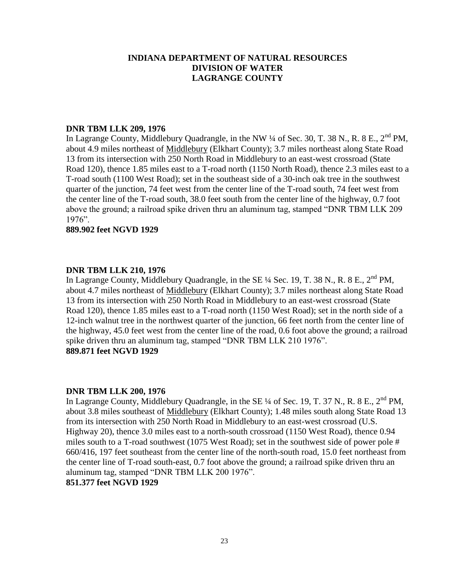### **DNR TBM LLK 209, 1976**

In Lagrange County, Middlebury Quadrangle, in the NW ¼ of Sec. 30, T. 38 N., R. 8 E., 2<sup>nd</sup> PM, about 4.9 miles northeast of Middlebury (Elkhart County); 3.7 miles northeast along State Road 13 from its intersection with 250 North Road in Middlebury to an east-west crossroad (State Road 120), thence 1.85 miles east to a T-road north (1150 North Road), thence 2.3 miles east to a T-road south (1100 West Road); set in the southeast side of a 30-inch oak tree in the southwest quarter of the junction, 74 feet west from the center line of the T-road south, 74 feet west from the center line of the T-road south, 38.0 feet south from the center line of the highway, 0.7 foot above the ground; a railroad spike driven thru an aluminum tag, stamped "DNR TBM LLK 209 1976".

### **889.902 feet NGVD 1929**

### **DNR TBM LLK 210, 1976**

In Lagrange County, Middlebury Quadrangle, in the SE  $\frac{1}{4}$  Sec. 19, T. 38 N., R. 8 E., 2<sup>nd</sup> PM, about 4.7 miles northeast of Middlebury (Elkhart County); 3.7 miles northeast along State Road 13 from its intersection with 250 North Road in Middlebury to an east-west crossroad (State Road 120), thence 1.85 miles east to a T-road north (1150 West Road); set in the north side of a 12-inch walnut tree in the northwest quarter of the junction, 66 feet north from the center line of the highway, 45.0 feet west from the center line of the road, 0.6 foot above the ground; a railroad spike driven thru an aluminum tag, stamped "DNR TBM LLK 210 1976". **889.871 feet NGVD 1929**

### **DNR TBM LLK 200, 1976**

In Lagrange County, Middlebury Quadrangle, in the SE  $\frac{1}{4}$  of Sec. 19, T. 37 N., R. 8 E., 2<sup>nd</sup> PM, about 3.8 miles southeast of Middlebury (Elkhart County); 1.48 miles south along State Road 13 from its intersection with 250 North Road in Middlebury to an east-west crossroad (U.S. Highway 20), thence 3.0 miles east to a north-south crossroad (1150 West Road), thence 0.94 miles south to a T-road southwest (1075 West Road); set in the southwest side of power pole # 660/416, 197 feet southeast from the center line of the north-south road, 15.0 feet northeast from the center line of T-road south-east, 0.7 foot above the ground; a railroad spike driven thru an aluminum tag, stamped "DNR TBM LLK 200 1976".

# **851.377 feet NGVD 1929**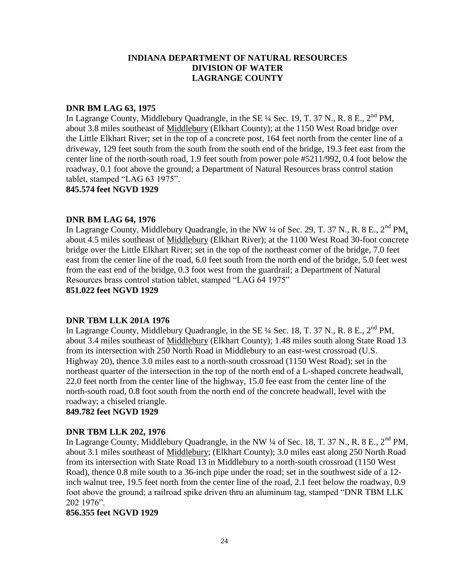### **DNR BM LAG 63, 1975**

In Lagrange County, Middlebury Quadrangle, in the SE  $\frac{1}{4}$  Sec. 19, T. 37 N., R. 8 E., 2<sup>nd</sup> PM, about 3.8 miles southeast of Middlebury (Elkhart County); at the 1150 West Road bridge over the Little Elkhart River; set in the top of a concrete post, 164 feet north from the center line of a driveway, 129 feet south from the south from the south end of the bridge, 19.3 feet east from the center line of the north-south road, 1.9 feet south from power pole #5211/992, 0.4 foot below the roadway, 0.1 foot above the ground; a Department of Natural Resources brass control station tablet, stamped "LAG 63 1975".

**845.574 feet NGVD 1929**

### **DNR BM LAG 64, 1976**

In Lagrange County, Middlebury Quadrangle, in the NW  $\frac{1}{4}$  of Sec. 29, T. 37 N., R. 8 E., 2<sup>nd</sup> PM. about 4.5 miles southeast of Middlebury (Elkhart River); at the 1100 West Road 30-foot concrete bridge over the Little Elkhart River; set in the top of the northeast corner of the bridge, 7.0 feet east from the center line of the road, 6.0 feet south from the north end of the bridge, 5.0 feet west from the east end of the bridge, 0.3 foot west from the guardrail; a Department of Natural Resources brass control station tablet, stamped "LAG 64 1975" **851.022 feet NGVD 1929**

### **DNR TBM LLK 201A 1976**

In Lagrange County, Middlebury Quadrangle, in the SE  $\frac{1}{4}$  Sec. 18, T. 37 N., R. 8 E.,  $2^{nd}$  PM, about 3.4 miles southeast of Middlebury (Elkhart County); 1.48 miles south along State Road 13 from its intersection with 250 North Road in Middlebury to an east-west crossroad (U.S. Highway 20), thence 3.0 miles east to a north-south crossroad (1150 West Road); set in the northeast quarter of the intersection in the top of the north end of a L-shaped concrete headwall, 22.0 feet north from the center line of the highway, 15.0 fee east from the center line of the north-south road, 0.8 foot south from the north end of the concrete headwall, level with the roadway; a chiseled triangle.

**849.782 feet NGVD 1929**

## **DNR TBM LLK 202, 1976**

In Lagrange County, Middlebury Quadrangle, in the NW  $\frac{1}{4}$  of Sec. 18, T. 37 N., R. 8 E., 2<sup>nd</sup> PM, about 3.1 miles southeast of Middlebury; (Elkhart County); 3.0 miles east along 250 North Road from its intersection with State Road 13 in Middlebury to a north-south crossroad (1150 West Road), thence 0.8 mile south to a 36-inch pipe under the road; set in the southwest side of a 12 inch walnut tree, 19.5 feet north from the center line of the road, 2.1 feet below the roadway, 0.9 foot above the ground; a railroad spike driven thru an aluminum tag, stamped "DNR TBM LLK 202 1976".

### **856.355 feet NGVD 1929**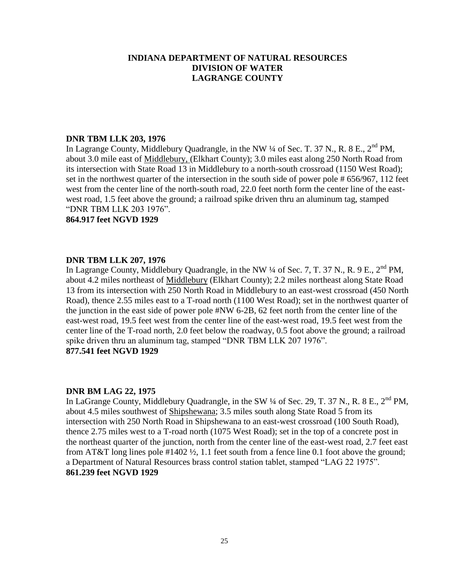### **DNR TBM LLK 203, 1976**

In Lagrange County, Middlebury Quadrangle, in the NW  $\frac{1}{4}$  of Sec. T. 37 N., R. 8 E., 2<sup>nd</sup> PM, about 3.0 mile east of Middlebury, (Elkhart County); 3.0 miles east along 250 North Road from its intersection with State Road 13 in Middlebury to a north-south crossroad (1150 West Road); set in the northwest quarter of the intersection in the south side of power pole # 656/967, 112 feet west from the center line of the north-south road, 22.0 feet north form the center line of the eastwest road, 1.5 feet above the ground; a railroad spike driven thru an aluminum tag, stamped "DNR TBM LLK 203 1976".

**864.917 feet NGVD 1929**

## **DNR TBM LLK 207, 1976**

In Lagrange County, Middlebury Quadrangle, in the NW  $\frac{1}{4}$  of Sec. 7, T. 37 N., R. 9 E.,  $2^{nd}$  PM, about 4.2 miles northeast of Middlebury (Elkhart County); 2.2 miles northeast along State Road 13 from its intersection with 250 North Road in Middlebury to an east-west crossroad (450 North Road), thence 2.55 miles east to a T-road north (1100 West Road); set in the northwest quarter of the junction in the east side of power pole #NW 6-2B, 62 feet north from the center line of the east-west road, 19.5 feet west from the center line of the east-west road, 19.5 feet west from the center line of the T-road north, 2.0 feet below the roadway, 0.5 foot above the ground; a railroad spike driven thru an aluminum tag, stamped "DNR TBM LLK 207 1976". **877.541 feet NGVD 1929**

## **DNR BM LAG 22, 1975**

In LaGrange County, Middlebury Quadrangle, in the SW  $\frac{1}{4}$  of Sec. 29, T. 37 N., R. 8 E., 2<sup>nd</sup> PM, about 4.5 miles southwest of Shipshewana; 3.5 miles south along State Road 5 from its intersection with 250 North Road in Shipshewana to an east-west crossroad (100 South Road), thence 2.75 miles west to a T-road north (1075 West Road); set in the top of a concrete post in the northeast quarter of the junction, north from the center line of the east-west road, 2.7 feet east from AT&T long lines pole #1402 ½, 1.1 feet south from a fence line 0.1 foot above the ground; a Department of Natural Resources brass control station tablet, stamped "LAG 22 1975". **861.239 feet NGVD 1929**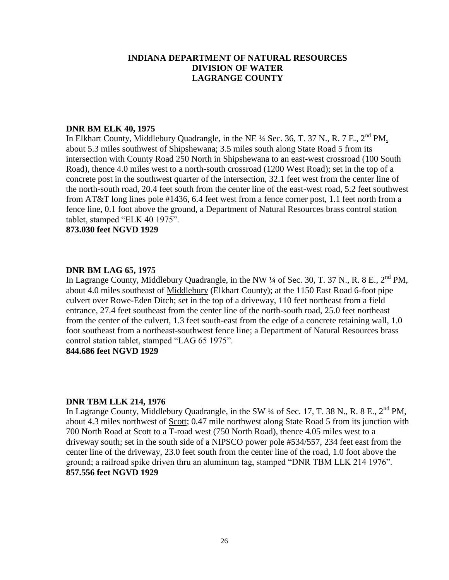### **DNR BM ELK 40, 1975**

In Elkhart County, Middlebury Quadrangle, in the NE <sup>1</sup>/4 Sec. 36, T. 37 N., R. 7 E., 2<sup>nd</sup> PM, about 5.3 miles southwest of Shipshewana; 3.5 miles south along State Road 5 from its intersection with County Road 250 North in Shipshewana to an east-west crossroad (100 South Road), thence 4.0 miles west to a north-south crossroad (1200 West Road); set in the top of a concrete post in the southwest quarter of the intersection, 32.1 feet west from the center line of the north-south road, 20.4 feet south from the center line of the east-west road, 5.2 feet southwest from AT&T long lines pole #1436, 6.4 feet west from a fence corner post, 1.1 feet north from a fence line, 0.1 foot above the ground, a Department of Natural Resources brass control station tablet, stamped "ELK 40 1975".

## **873.030 feet NGVD 1929**

#### **DNR BM LAG 65, 1975**

In Lagrange County, Middlebury Quadrangle, in the NW  $\frac{1}{4}$  of Sec. 30, T. 37 N., R. 8 E., 2<sup>nd</sup> PM, about 4.0 miles southeast of Middlebury (Elkhart County); at the 1150 East Road 6-foot pipe culvert over Rowe-Eden Ditch; set in the top of a driveway, 110 feet northeast from a field entrance, 27.4 feet southeast from the center line of the north-south road, 25.0 feet northeast from the center of the culvert, 1.3 feet south-east from the edge of a concrete retaining wall, 1.0 foot southeast from a northeast-southwest fence line; a Department of Natural Resources brass control station tablet, stamped "LAG 65 1975".

**844.686 feet NGVD 1929**

#### **DNR TBM LLK 214, 1976**

In Lagrange County, Middlebury Quadrangle, in the SW  $\frac{1}{4}$  of Sec. 17, T. 38 N., R. 8 E., 2<sup>nd</sup> PM, about 4.3 miles northwest of Scott; 0.47 mile northwest along State Road 5 from its junction with 700 North Road at Scott to a T-road west (750 North Road), thence 4.05 miles west to a driveway south; set in the south side of a NIPSCO power pole #534/557, 234 feet east from the center line of the driveway, 23.0 feet south from the center line of the road, 1.0 foot above the ground; a railroad spike driven thru an aluminum tag, stamped "DNR TBM LLK 214 1976". **857.556 feet NGVD 1929**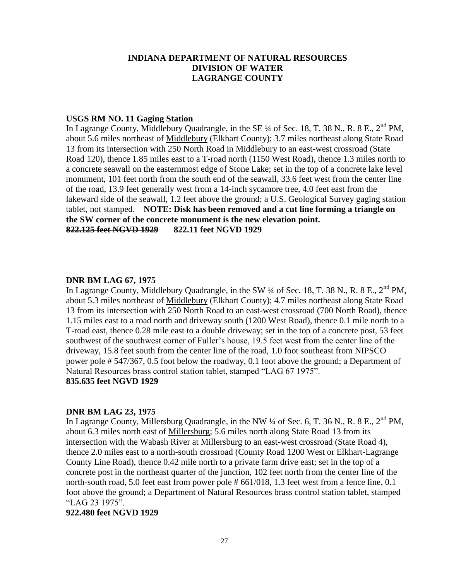### **USGS RM NO. 11 Gaging Station**

In Lagrange County, Middlebury Quadrangle, in the SE  $\frac{1}{4}$  of Sec. 18, T. 38 N., R. 8 E., 2<sup>nd</sup> PM, about 5.6 miles northeast of Middlebury (Elkhart County); 3.7 miles northeast along State Road 13 from its intersection with 250 North Road in Middlebury to an east-west crossroad (State Road 120), thence 1.85 miles east to a T-road north (1150 West Road), thence 1.3 miles north to a concrete seawall on the easternmost edge of Stone Lake; set in the top of a concrete lake level monument, 101 feet north from the south end of the seawall, 33.6 feet west from the center line of the road, 13.9 feet generally west from a 14-inch sycamore tree, 4.0 feet east from the lakeward side of the seawall, 1.2 feet above the ground; a U.S. Geological Survey gaging station tablet, not stamped. **NOTE: Disk has been removed and a cut line forming a triangle on the SW corner of the concrete monument is the new elevation point. 822.125 feet NGVD 1929 822.11 feet NGVD 1929**

#### **DNR BM LAG 67, 1975**

In Lagrange County, Middlebury Quadrangle, in the SW 1/4 of Sec. 18, T. 38 N., R. 8 E., 2<sup>nd</sup> PM, about 5.3 miles northeast of Middlebury (Elkhart County); 4.7 miles northeast along State Road 13 from its intersection with 250 North Road to an east-west crossroad (700 North Road), thence 1.15 miles east to a road north and driveway south (1200 West Road), thence 0.1 mile north to a T-road east, thence 0.28 mile east to a double driveway; set in the top of a concrete post, 53 feet southwest of the southwest corner of Fuller's house, 19.5 feet west from the center line of the driveway, 15.8 feet south from the center line of the road, 1.0 foot southeast from NIPSCO power pole # 547/367, 0.5 foot below the roadway, 0.1 foot above the ground; a Department of Natural Resources brass control station tablet, stamped "LAG 67 1975". **835.635 feet NGVD 1929**

#### **DNR BM LAG 23, 1975**

In Lagrange County, Millersburg Quadrangle, in the NW  $\frac{1}{4}$  of Sec. 6, T. 36 N., R. 8 E., 2<sup>nd</sup> PM, about 6.3 miles north east of Millersburg; 5.6 miles north along State Road 13 from its intersection with the Wabash River at Millersburg to an east-west crossroad (State Road 4), thence 2.0 miles east to a north-south crossroad (County Road 1200 West or Elkhart-Lagrange County Line Road), thence 0.42 mile north to a private farm drive east; set in the top of a concrete post in the northeast quarter of the junction, 102 feet north from the center line of the north-south road, 5.0 feet east from power pole # 661/018, 1.3 feet west from a fence line, 0.1 foot above the ground; a Department of Natural Resources brass control station tablet, stamped "LAG 23 1975".

#### **922.480 feet NGVD 1929**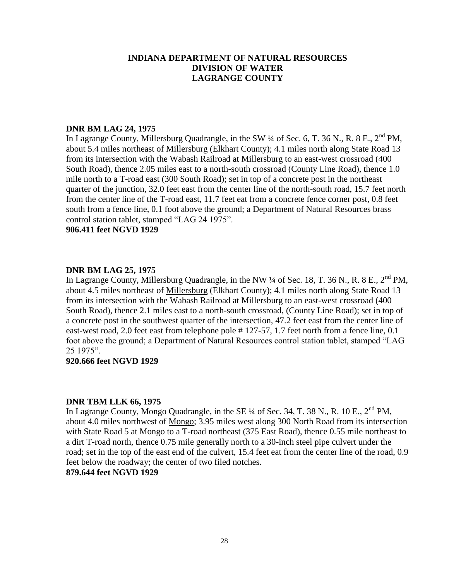### **DNR BM LAG 24, 1975**

In Lagrange County, Millersburg Quadrangle, in the SW 1/4 of Sec. 6, T. 36 N., R. 8 E., 2<sup>nd</sup> PM, about 5.4 miles northeast of Millersburg (Elkhart County); 4.1 miles north along State Road 13 from its intersection with the Wabash Railroad at Millersburg to an east-west crossroad (400 South Road), thence 2.05 miles east to a north-south crossroad (County Line Road), thence 1.0 mile north to a T-road east (300 South Road); set in top of a concrete post in the northeast quarter of the junction, 32.0 feet east from the center line of the north-south road, 15.7 feet north from the center line of the T-road east, 11.7 feet eat from a concrete fence corner post, 0.8 feet south from a fence line, 0.1 foot above the ground; a Department of Natural Resources brass control station tablet, stamped "LAG 24 1975".

### **906.411 feet NGVD 1929**

### **DNR BM LAG 25, 1975**

In Lagrange County, Millersburg Quadrangle, in the NW  $\frac{1}{4}$  of Sec. 18, T. 36 N., R. 8 E., 2<sup>nd</sup> PM, about 4.5 miles northeast of Millersburg (Elkhart County); 4.1 miles north along State Road 13 from its intersection with the Wabash Railroad at Millersburg to an east-west crossroad (400 South Road), thence 2.1 miles east to a north-south crossroad, (County Line Road); set in top of a concrete post in the southwest quarter of the intersection, 47.2 feet east from the center line of east-west road, 2.0 feet east from telephone pole # 127-57, 1.7 feet north from a fence line, 0.1 foot above the ground; a Department of Natural Resources control station tablet, stamped "LAG 25 1975".

### **920.666 feet NGVD 1929**

### **DNR TBM LLK 66, 1975**

In Lagrange County, Mongo Quadrangle, in the SE  $\frac{1}{4}$  of Sec. 34, T. 38 N., R. 10 E.,  $2^{nd}$  PM, about 4.0 miles northwest of Mongo; 3.95 miles west along 300 North Road from its intersection with State Road 5 at Mongo to a T-road northeast (375 East Road), thence 0.55 mile northeast to a dirt T-road north, thence 0.75 mile generally north to a 30-inch steel pipe culvert under the road; set in the top of the east end of the culvert, 15.4 feet eat from the center line of the road, 0.9 feet below the roadway; the center of two filed notches.

## **879.644 feet NGVD 1929**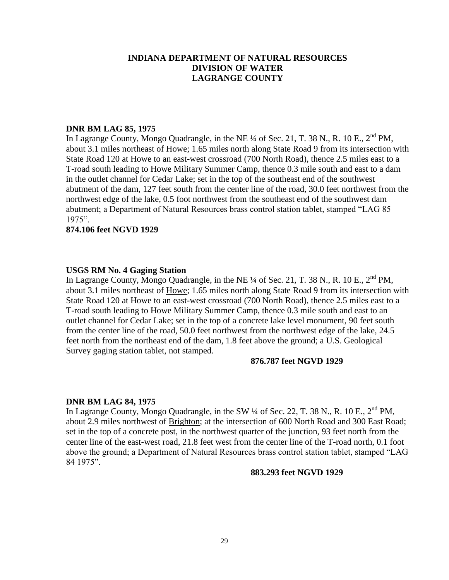### **DNR BM LAG 85, 1975**

In Lagrange County, Mongo Quadrangle, in the NE  $\frac{1}{4}$  of Sec. 21, T. 38 N., R. 10 E., 2<sup>nd</sup> PM, about 3.1 miles northeast of Howe; 1.65 miles north along State Road 9 from its intersection with State Road 120 at Howe to an east-west crossroad (700 North Road), thence 2.5 miles east to a T-road south leading to Howe Military Summer Camp, thence 0.3 mile south and east to a dam in the outlet channel for Cedar Lake; set in the top of the southeast end of the southwest abutment of the dam, 127 feet south from the center line of the road, 30.0 feet northwest from the northwest edge of the lake, 0.5 foot northwest from the southeast end of the southwest dam abutment; a Department of Natural Resources brass control station tablet, stamped "LAG 85 1975".

### **874.106 feet NGVD 1929**

### **USGS RM No. 4 Gaging Station**

In Lagrange County, Mongo Quadrangle, in the NE  $\frac{1}{4}$  of Sec. 21, T. 38 N., R. 10 E.,  $2^{nd}$  PM. about 3.1 miles northeast of Howe; 1.65 miles north along State Road 9 from its intersection with State Road 120 at Howe to an east-west crossroad (700 North Road), thence 2.5 miles east to a T-road south leading to Howe Military Summer Camp, thence 0.3 mile south and east to an outlet channel for Cedar Lake; set in the top of a concrete lake level monument, 90 feet south from the center line of the road, 50.0 feet northwest from the northwest edge of the lake, 24.5 feet north from the northeast end of the dam, 1.8 feet above the ground; a U.S. Geological Survey gaging station tablet, not stamped.

### **876.787 feet NGVD 1929**

### **DNR BM LAG 84, 1975**

In Lagrange County, Mongo Quadrangle, in the SW  $\frac{1}{4}$  of Sec. 22, T. 38 N., R. 10 E.,  $2^{nd}$  PM, about 2.9 miles northwest of Brighton; at the intersection of 600 North Road and 300 East Road; set in the top of a concrete post, in the northwest quarter of the junction, 93 feet north from the center line of the east-west road, 21.8 feet west from the center line of the T-road north, 0.1 foot above the ground; a Department of Natural Resources brass control station tablet, stamped "LAG 84 1975".

#### **883.293 feet NGVD 1929**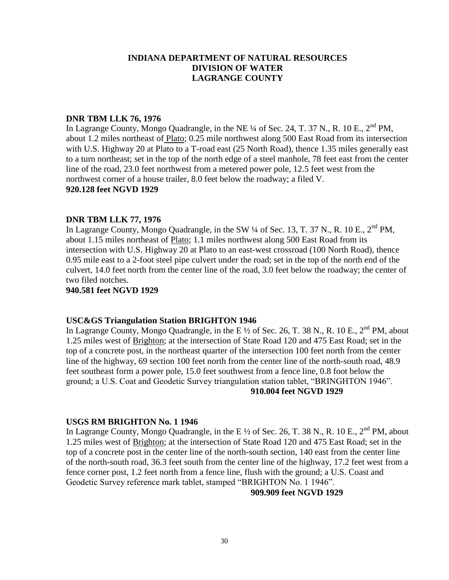### **DNR TBM LLK 76, 1976**

In Lagrange County, Mongo Quadrangle, in the NE  $\frac{1}{4}$  of Sec. 24, T. 37 N., R. 10 E., 2<sup>nd</sup> PM, about 1.2 miles northeast of Plato; 0.25 mile northwest along 500 East Road from its intersection with U.S. Highway 20 at Plato to a T-road east (25 North Road), thence 1.35 miles generally east to a turn northeast; set in the top of the north edge of a steel manhole, 78 feet east from the center line of the road, 23.0 feet northwest from a metered power pole, 12.5 feet west from the northwest corner of a house trailer, 8.0 feet below the roadway; a filed V. **920.128 feet NGVD 1929**

### **DNR TBM LLK 77, 1976**

In Lagrange County, Mongo Quadrangle, in the SW  $\frac{1}{4}$  of Sec. 13, T. 37 N., R. 10 E.,  $2^{nd}$  PM, about 1.15 miles northeast of Plato; 1.1 miles northwest along 500 East Road from its intersection with U.S. Highway 20 at Plato to an east-west crossroad (100 North Road), thence 0.95 mile east to a 2-foot steel pipe culvert under the road; set in the top of the north end of the culvert, 14.0 feet north from the center line of the road, 3.0 feet below the roadway; the center of two filed notches.

### **940.581 feet NGVD 1929**

### **USC&GS Triangulation Station BRIGHTON 1946**

In Lagrange County, Mongo Quadrangle, in the E  $\frac{1}{2}$  of Sec. 26, T. 38 N., R. 10 E., 2<sup>nd</sup> PM, about 1.25 miles west of Brighton; at the intersection of State Road 120 and 475 East Road; set in the top of a concrete post, in the northeast quarter of the intersection 100 feet north from the center line of the highway, 69 section 100 feet north from the center line of the north-south road, 48.9 feet southeast form a power pole, 15.0 feet southwest from a fence line, 0.8 foot below the ground; a U.S. Coat and Geodetic Survey triangulation station tablet, "BRINGHTON 1946". **910.004 feet NGVD 1929**

### **USGS RM BRIGHTON No. 1 1946**

In Lagrange County, Mongo Quadrangle, in the E  $\frac{1}{2}$  of Sec. 26, T. 38 N., R. 10 E., 2<sup>nd</sup> PM, about 1.25 miles west of Brighton; at the intersection of State Road 120 and 475 East Road; set in the top of a concrete post in the center line of the north-south section, 140 east from the center line of the north-south road, 36.3 feet south from the center line of the highway, 17.2 feet west from a fence corner post, 1.2 feet north from a fence line, flush with the ground; a U.S. Coast and Geodetic Survey reference mark tablet, stamped "BRIGHTON No. 1 1946".

### **909.909 feet NGVD 1929**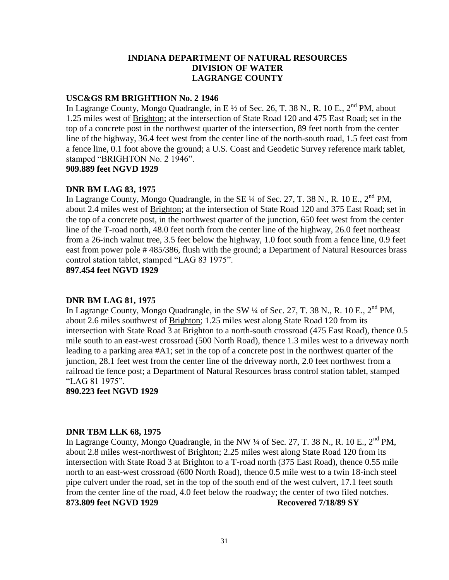### **USC&GS RM BRIGHTHON No. 2 1946**

In Lagrange County, Mongo Quadrangle, in E  $\frac{1}{2}$  of Sec. 26, T. 38 N., R. 10 E., 2<sup>nd</sup> PM, about 1.25 miles west of Brighton; at the intersection of State Road 120 and 475 East Road; set in the top of a concrete post in the northwest quarter of the intersection, 89 feet north from the center line of the highway, 36.4 feet west from the center line of the north-south road, 1.5 feet east from a fence line, 0.1 foot above the ground; a U.S. Coast and Geodetic Survey reference mark tablet, stamped "BRIGHTON No. 2 1946".

**909.889 feet NGVD 1929**

## **DNR BM LAG 83, 1975**

In Lagrange County, Mongo Quadrangle, in the SE  $\frac{1}{4}$  of Sec. 27, T. 38 N., R. 10 E., 2<sup>nd</sup> PM, about 2.4 miles west of Brighton; at the intersection of State Road 120 and 375 East Road; set in the top of a concrete post, in the northwest quarter of the junction, 650 feet west from the center line of the T-road north, 48.0 feet north from the center line of the highway, 26.0 feet northeast from a 26-inch walnut tree, 3.5 feet below the highway, 1.0 foot south from a fence line, 0.9 feet east from power pole # 485/386, flush with the ground; a Department of Natural Resources brass control station tablet, stamped "LAG 83 1975".

**897.454 feet NGVD 1929**

### **DNR BM LAG 81, 1975**

In Lagrange County, Mongo Quadrangle, in the SW  $\frac{1}{4}$  of Sec. 27, T. 38 N., R. 10 E., 2<sup>nd</sup> PM, about 2.6 miles southwest of Brighton; 1.25 miles west along State Road 120 from its intersection with State Road 3 at Brighton to a north-south crossroad (475 East Road), thence 0.5 mile south to an east-west crossroad (500 North Road), thence 1.3 miles west to a driveway north leading to a parking area #A1; set in the top of a concrete post in the northwest quarter of the junction, 28.1 feet west from the center line of the driveway north, 2.0 feet northwest from a railroad tie fence post; a Department of Natural Resources brass control station tablet, stamped "LAG 81 1975".

**890.223 feet NGVD 1929**

### **DNR TBM LLK 68, 1975**

In Lagrange County, Mongo Quadrangle, in the NW  $\frac{1}{4}$  of Sec. 27, T. 38 N., R. 10 E., 2<sup>nd</sup> PM, about 2.8 miles west-northwest of Brighton; 2.25 miles west along State Road 120 from its intersection with State Road 3 at Brighton to a T-road north (375 East Road), thence 0.55 mile north to an east-west crossroad (600 North Road), thence 0.5 mile west to a twin 18-inch steel pipe culvert under the road, set in the top of the south end of the west culvert, 17.1 feet south from the center line of the road, 4.0 feet below the roadway; the center of two filed notches. **873.809 feet NGVD 1929 Recovered 7/18/89 SY**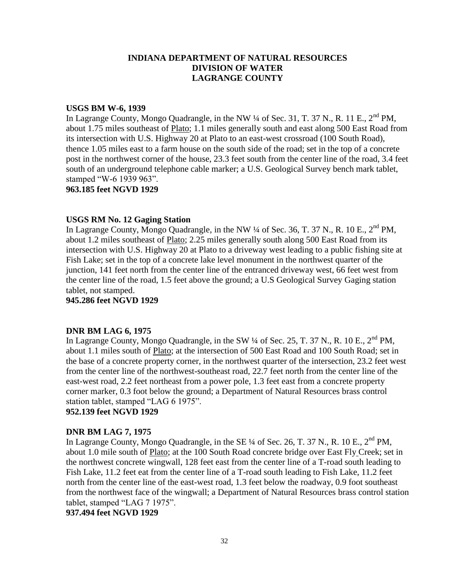### **USGS BM W-6, 1939**

In Lagrange County, Mongo Quadrangle, in the NW  $\frac{1}{4}$  of Sec. 31, T. 37 N., R. 11 E.,  $2^{nd}$  PM, about 1.75 miles southeast of Plato; 1.1 miles generally south and east along 500 East Road from its intersection with U.S. Highway 20 at Plato to an east-west crossroad (100 South Road), thence 1.05 miles east to a farm house on the south side of the road; set in the top of a concrete post in the northwest corner of the house, 23.3 feet south from the center line of the road, 3.4 feet south of an underground telephone cable marker; a U.S. Geological Survey bench mark tablet, stamped "W-6 1939 963".

**963.185 feet NGVD 1929**

### **USGS RM No. 12 Gaging Station**

In Lagrange County, Mongo Quadrangle, in the NW  $\frac{1}{4}$  of Sec. 36, T. 37 N., R. 10 E., 2<sup>nd</sup> PM, about 1.2 miles southeast of Plato; 2.25 miles generally south along 500 East Road from its intersection with U.S. Highway 20 at Plato to a driveway west leading to a public fishing site at Fish Lake; set in the top of a concrete lake level monument in the northwest quarter of the junction, 141 feet north from the center line of the entranced driveway west, 66 feet west from the center line of the road, 1.5 feet above the ground; a U.S Geological Survey Gaging station tablet, not stamped.

**945.286 feet NGVD 1929**

## **DNR BM LAG 6, 1975**

In Lagrange County, Mongo Quadrangle, in the SW  $\frac{1}{4}$  of Sec. 25, T. 37 N., R. 10 E., 2<sup>nd</sup> PM, about 1.1 miles south of Plato; at the intersection of 500 East Road and 100 South Road; set in the base of a concrete property corner, in the northwest quarter of the intersection, 23.2 feet west from the center line of the northwest-southeast road, 22.7 feet north from the center line of the east-west road, 2.2 feet northeast from a power pole, 1.3 feet east from a concrete property corner marker, 0.3 foot below the ground; a Department of Natural Resources brass control station tablet, stamped "LAG 6 1975".

# **952.139 feet NGVD 1929**

## **DNR BM LAG 7, 1975**

In Lagrange County, Mongo Quadrangle, in the SE  $\frac{1}{4}$  of Sec. 26, T. 37 N., R. 10 E., 2<sup>nd</sup> PM, about 1.0 mile south of Plato; at the 100 South Road concrete bridge over East Fly Creek; set in the northwest concrete wingwall, 128 feet east from the center line of a T-road south leading to Fish Lake, 11.2 feet eat from the center line of a T-road south leading to Fish Lake, 11.2 feet north from the center line of the east-west road, 1.3 feet below the roadway, 0.9 foot southeast from the northwest face of the wingwall; a Department of Natural Resources brass control station tablet, stamped "LAG 7 1975".

**937.494 feet NGVD 1929**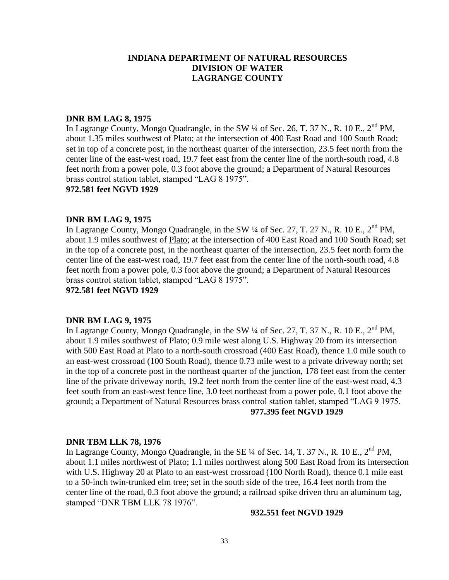## **DNR BM LAG 8, 1975**

In Lagrange County, Mongo Quadrangle, in the SW 1/4 of Sec. 26, T. 37 N., R. 10 E., 2<sup>nd</sup> PM, about 1.35 miles southwest of Plato; at the intersection of 400 East Road and 100 South Road; set in top of a concrete post, in the northeast quarter of the intersection, 23.5 feet north from the center line of the east-west road, 19.7 feet east from the center line of the north-south road, 4.8 feet north from a power pole, 0.3 foot above the ground; a Department of Natural Resources brass control station tablet, stamped "LAG 8 1975".

#### **972.581 feet NGVD 1929**

#### **DNR BM LAG 9, 1975**

In Lagrange County, Mongo Quadrangle, in the SW  $\frac{1}{4}$  of Sec. 27, T. 27 N., R. 10 E., 2<sup>nd</sup> PM, about 1.9 miles southwest of Plato; at the intersection of 400 East Road and 100 South Road; set in the top of a concrete post, in the northeast quarter of the intersection, 23.5 feet north form the center line of the east-west road, 19.7 feet east from the center line of the north-south road, 4.8 feet north from a power pole, 0.3 foot above the ground; a Department of Natural Resources brass control station tablet, stamped "LAG 8 1975".

**972.581 feet NGVD 1929**

#### **DNR BM LAG 9, 1975**

In Lagrange County, Mongo Quadrangle, in the SW  $\frac{1}{4}$  of Sec. 27, T. 37 N., R. 10 E., 2<sup>nd</sup> PM, about 1.9 miles southwest of Plato; 0.9 mile west along U.S. Highway 20 from its intersection with 500 East Road at Plato to a north-south crossroad (400 East Road), thence 1.0 mile south to an east-west crossroad (100 South Road), thence 0.73 mile west to a private driveway north; set in the top of a concrete post in the northeast quarter of the junction, 178 feet east from the center line of the private driveway north, 19.2 feet north from the center line of the east-west road, 4.3 feet south from an east-west fence line, 3.0 feet northeast from a power pole, 0.1 foot above the ground; a Department of Natural Resources brass control station tablet, stamped "LAG 9 1975. **977.395 feet NGVD 1929**

#### **DNR TBM LLK 78, 1976**

In Lagrange County, Mongo Quadrangle, in the SE <sup>1</sup>/4 of Sec. 14, T. 37 N., R. 10 E., 2<sup>nd</sup> PM, about 1.1 miles northwest of Plato; 1.1 miles northwest along 500 East Road from its intersection with U.S. Highway 20 at Plato to an east-west crossroad (100 North Road), thence 0.1 mile east to a 50-inch twin-trunked elm tree; set in the south side of the tree, 16.4 feet north from the center line of the road, 0.3 foot above the ground; a railroad spike driven thru an aluminum tag, stamped "DNR TBM LLK 78 1976".

#### **932.551 feet NGVD 1929**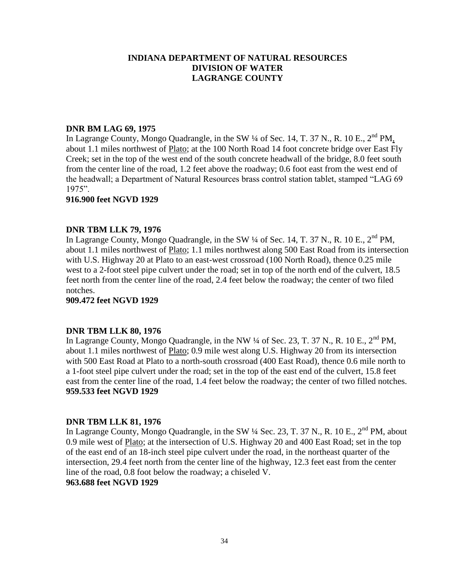## **DNR BM LAG 69, 1975**

In Lagrange County, Mongo Quadrangle, in the SW ¼ of Sec. 14, T. 37 N., R. 10 E., 2<sup>nd</sup> PM, about 1.1 miles northwest of Plato; at the 100 North Road 14 foot concrete bridge over East Fly Creek; set in the top of the west end of the south concrete headwall of the bridge, 8.0 feet south from the center line of the road, 1.2 feet above the roadway; 0.6 foot east from the west end of the headwall; a Department of Natural Resources brass control station tablet, stamped "LAG 69 1975".

### **916.900 feet NGVD 1929**

### **DNR TBM LLK 79, 1976**

In Lagrange County, Mongo Quadrangle, in the SW  $\frac{1}{4}$  of Sec. 14, T. 37 N., R. 10 E., 2<sup>nd</sup> PM, about 1.1 miles northwest of Plato; 1.1 miles northwest along 500 East Road from its intersection with U.S. Highway 20 at Plato to an east-west crossroad (100 North Road), thence 0.25 mile west to a 2-foot steel pipe culvert under the road; set in top of the north end of the culvert, 18.5 feet north from the center line of the road, 2.4 feet below the roadway; the center of two filed notches.

**909.472 feet NGVD 1929**

### **DNR TBM LLK 80, 1976**

In Lagrange County, Mongo Quadrangle, in the NW  $\frac{1}{4}$  of Sec. 23, T. 37 N., R. 10 E., 2<sup>nd</sup> PM, about 1.1 miles northwest of Plato; 0.9 mile west along U.S. Highway 20 from its intersection with 500 East Road at Plato to a north-south crossroad (400 East Road), thence 0.6 mile north to a 1-foot steel pipe culvert under the road; set in the top of the east end of the culvert, 15.8 feet east from the center line of the road, 1.4 feet below the roadway; the center of two filled notches. **959.533 feet NGVD 1929**

### **DNR TBM LLK 81, 1976**

In Lagrange County, Mongo Quadrangle, in the SW  $\frac{1}{4}$  Sec. 23, T. 37 N., R. 10 E., 2<sup>nd</sup> PM, about 0.9 mile west of Plato; at the intersection of U.S. Highway 20 and 400 East Road; set in the top of the east end of an 18-inch steel pipe culvert under the road, in the northeast quarter of the intersection, 29.4 feet north from the center line of the highway, 12.3 feet east from the center line of the road, 0.8 foot below the roadway; a chiseled V. **963.688 feet NGVD 1929**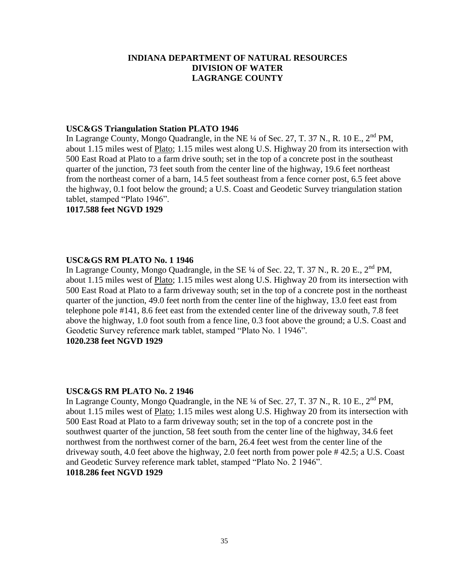### **USC&GS Triangulation Station PLATO 1946**

In Lagrange County, Mongo Quadrangle, in the NE  $\frac{1}{4}$  of Sec. 27, T. 37 N., R. 10 E., 2<sup>nd</sup> PM, about 1.15 miles west of Plato; 1.15 miles west along U.S. Highway 20 from its intersection with 500 East Road at Plato to a farm drive south; set in the top of a concrete post in the southeast quarter of the junction, 73 feet south from the center line of the highway, 19.6 feet northeast from the northeast corner of a barn, 14.5 feet southeast from a fence corner post, 6.5 feet above the highway, 0.1 foot below the ground; a U.S. Coast and Geodetic Survey triangulation station tablet, stamped "Plato 1946".

**1017.588 feet NGVD 1929**

### **USC&GS RM PLATO No. 1 1946**

In Lagrange County, Mongo Quadrangle, in the SE  $\frac{1}{4}$  of Sec. 22, T. 37 N., R. 20 E., 2<sup>nd</sup> PM, about 1.15 miles west of Plato; 1.15 miles west along U.S. Highway 20 from its intersection with 500 East Road at Plato to a farm driveway south; set in the top of a concrete post in the northeast quarter of the junction, 49.0 feet north from the center line of the highway, 13.0 feet east from telephone pole #141, 8.6 feet east from the extended center line of the driveway south, 7.8 feet above the highway, 1.0 foot south from a fence line, 0.3 foot above the ground; a U.S. Coast and Geodetic Survey reference mark tablet, stamped "Plato No. 1 1946". **1020.238 feet NGVD 1929**

### **USC&GS RM PLATO No. 2 1946**

In Lagrange County, Mongo Quadrangle, in the NE  $\frac{1}{4}$  of Sec. 27, T. 37 N., R. 10 E., 2<sup>nd</sup> PM, about 1.15 miles west of Plato; 1.15 miles west along U.S. Highway 20 from its intersection with 500 East Road at Plato to a farm driveway south; set in the top of a concrete post in the southwest quarter of the junction, 58 feet south from the center line of the highway, 34.6 feet northwest from the northwest corner of the barn, 26.4 feet west from the center line of the driveway south, 4.0 feet above the highway, 2.0 feet north from power pole # 42.5; a U.S. Coast and Geodetic Survey reference mark tablet, stamped "Plato No. 2 1946". **1018.286 feet NGVD 1929**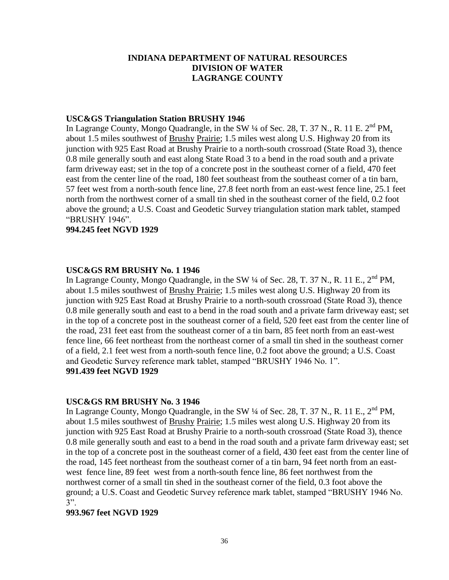### **USC&GS Triangulation Station BRUSHY 1946**

In Lagrange County, Mongo Quadrangle, in the SW  $\frac{1}{4}$  of Sec. 28, T. 37 N., R. 11 E. 2<sup>nd</sup> PM, about 1.5 miles southwest of Brushy Prairie; 1.5 miles west along U.S. Highway 20 from its junction with 925 East Road at Brushy Prairie to a north-south crossroad (State Road 3), thence 0.8 mile generally south and east along State Road 3 to a bend in the road south and a private farm driveway east; set in the top of a concrete post in the southeast corner of a field, 470 feet east from the center line of the road, 180 feet southeast from the southeast corner of a tin barn, 57 feet west from a north-south fence line, 27.8 feet north from an east-west fence line, 25.1 feet north from the northwest corner of a small tin shed in the southeast corner of the field, 0.2 foot above the ground; a U.S. Coast and Geodetic Survey triangulation station mark tablet, stamped "BRUSHY 1946".

### **994.245 feet NGVD 1929**

### **USC&GS RM BRUSHY No. 1 1946**

In Lagrange County, Mongo Quadrangle, in the SW  $\frac{1}{4}$  of Sec. 28, T. 37 N., R. 11 E.,  $2^{nd}$  PM, about 1.5 miles southwest of Brushy Prairie; 1.5 miles west along U.S. Highway 20 from its junction with 925 East Road at Brushy Prairie to a north-south crossroad (State Road 3), thence 0.8 mile generally south and east to a bend in the road south and a private farm driveway east; set in the top of a concrete post in the southeast corner of a field, 520 feet east from the center line of the road, 231 feet east from the southeast corner of a tin barn, 85 feet north from an east-west fence line, 66 feet northeast from the northeast corner of a small tin shed in the southeast corner of a field, 2.1 feet west from a north-south fence line, 0.2 foot above the ground; a U.S. Coast and Geodetic Survey reference mark tablet, stamped "BRUSHY 1946 No. 1". **991.439 feet NGVD 1929**

### **USC&GS RM BRUSHY No. 3 1946**

In Lagrange County, Mongo Quadrangle, in the SW  $\frac{1}{4}$  of Sec. 28, T. 37 N., R. 11 E., 2<sup>nd</sup> PM, about 1.5 miles southwest of Brushy Prairie; 1.5 miles west along U.S. Highway 20 from its junction with 925 East Road at Brushy Prairie to a north-south crossroad (State Road 3), thence 0.8 mile generally south and east to a bend in the road south and a private farm driveway east; set in the top of a concrete post in the southeast corner of a field, 430 feet east from the center line of the road, 145 feet northeast from the southeast corner of a tin barn, 94 feet north from an eastwest fence line, 89 feet west from a north-south fence line, 86 feet northwest from the northwest corner of a small tin shed in the southeast corner of the field, 0.3 foot above the ground; a U.S. Coast and Geodetic Survey reference mark tablet, stamped "BRUSHY 1946 No. 3".

### **993.967 feet NGVD 1929**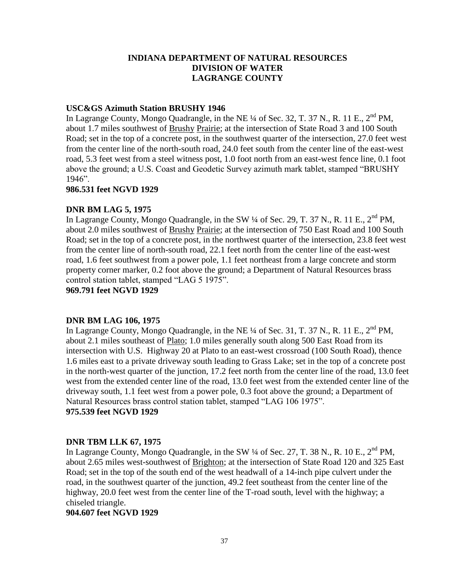# **USC&GS Azimuth Station BRUSHY 1946**

In Lagrange County, Mongo Quadrangle, in the NE  $\frac{1}{4}$  of Sec. 32, T. 37 N., R. 11 E.,  $2^{nd}$  PM, about 1.7 miles southwest of Brushy Prairie; at the intersection of State Road 3 and 100 South Road; set in the top of a concrete post, in the southwest quarter of the intersection, 27.0 feet west from the center line of the north-south road, 24.0 feet south from the center line of the east-west road, 5.3 feet west from a steel witness post, 1.0 foot north from an east-west fence line, 0.1 foot above the ground; a U.S. Coast and Geodetic Survey azimuth mark tablet, stamped "BRUSHY 1946".

## **986.531 feet NGVD 1929**

# **DNR BM LAG 5, 1975**

In Lagrange County, Mongo Quadrangle, in the SW  $\frac{1}{4}$  of Sec. 29, T. 37 N., R. 11 E.,  $2^{nd}$  PM, about 2.0 miles southwest of Brushy Prairie; at the intersection of 750 East Road and 100 South Road; set in the top of a concrete post, in the northwest quarter of the intersection, 23.8 feet west from the center line of north-south road, 22.1 feet north from the center line of the east-west road, 1.6 feet southwest from a power pole, 1.1 feet northeast from a large concrete and storm property corner marker, 0.2 foot above the ground; a Department of Natural Resources brass control station tablet, stamped "LAG 5 1975".

**969.791 feet NGVD 1929**

# **DNR BM LAG 106, 1975**

In Lagrange County, Mongo Quadrangle, in the NE  $\frac{1}{4}$  of Sec. 31, T. 37 N., R. 11 E.,  $2^{nd}$  PM, about 2.1 miles southeast of Plato; 1.0 miles generally south along 500 East Road from its intersection with U.S. Highway 20 at Plato to an east-west crossroad (100 South Road), thence 1.6 miles east to a private driveway south leading to Grass Lake; set in the top of a concrete post in the north-west quarter of the junction, 17.2 feet north from the center line of the road, 13.0 feet west from the extended center line of the road, 13.0 feet west from the extended center line of the driveway south, 1.1 feet west from a power pole, 0.3 foot above the ground; a Department of Natural Resources brass control station tablet, stamped "LAG 106 1975". **975.539 feet NGVD 1929**

# **DNR TBM LLK 67, 1975**

In Lagrange County, Mongo Quadrangle, in the SW  $\frac{1}{4}$  of Sec. 27, T. 38 N., R. 10 E.,  $2^{nd}$  PM, about 2.65 miles west-southwest of Brighton; at the intersection of State Road 120 and 325 East Road; set in the top of the south end of the west headwall of a 14-inch pipe culvert under the road, in the southwest quarter of the junction, 49.2 feet southeast from the center line of the highway, 20.0 feet west from the center line of the T-road south, level with the highway; a chiseled triangle.

**904.607 feet NGVD 1929**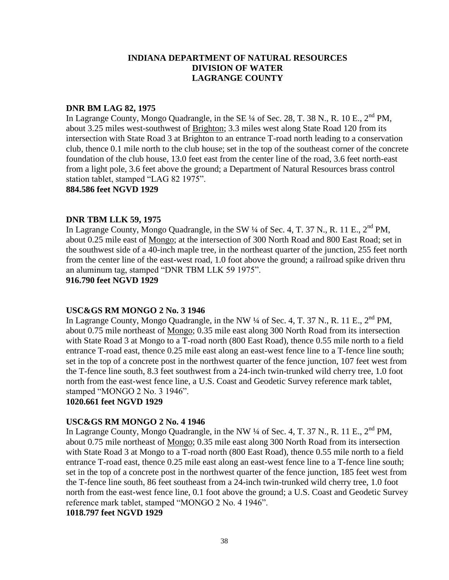#### **DNR BM LAG 82, 1975**

In Lagrange County, Mongo Quadrangle, in the SE  $\frac{1}{4}$  of Sec. 28, T. 38 N., R. 10 E., 2<sup>nd</sup> PM, about 3.25 miles west-southwest of Brighton; 3.3 miles west along State Road 120 from its intersection with State Road 3 at Brighton to an entrance T-road north leading to a conservation club, thence 0.1 mile north to the club house; set in the top of the southeast corner of the concrete foundation of the club house, 13.0 feet east from the center line of the road, 3.6 feet north-east from a light pole, 3.6 feet above the ground; a Department of Natural Resources brass control station tablet, stamped "LAG 82 1975".

**884.586 feet NGVD 1929**

## **DNR TBM LLK 59, 1975**

In Lagrange County, Mongo Quadrangle, in the SW ¼ of Sec. 4, T. 37 N., R. 11 E., 2<sup>nd</sup> PM. about 0.25 mile east of Mongo; at the intersection of 300 North Road and 800 East Road; set in the southwest side of a 40-inch maple tree, in the northeast quarter of the junction, 255 feet north from the center line of the east-west road, 1.0 foot above the ground; a railroad spike driven thru an aluminum tag, stamped "DNR TBM LLK 59 1975".

**916.790 feet NGVD 1929**

# **USC&GS RM MONGO 2 No. 3 1946**

In Lagrange County, Mongo Quadrangle, in the NW  $\frac{1}{4}$  of Sec. 4, T. 37 N., R. 11 E.,  $2^{nd}$  PM, about 0.75 mile northeast of Mongo; 0.35 mile east along 300 North Road from its intersection with State Road 3 at Mongo to a T-road north (800 East Road), thence 0.55 mile north to a field entrance T-road east, thence 0.25 mile east along an east-west fence line to a T-fence line south; set in the top of a concrete post in the northwest quarter of the fence junction, 107 feet west from the T-fence line south, 8.3 feet southwest from a 24-inch twin-trunked wild cherry tree, 1.0 foot north from the east-west fence line, a U.S. Coast and Geodetic Survey reference mark tablet, stamped "MONGO 2 No. 3 1946".

# **1020.661 feet NGVD 1929**

# **USC&GS RM MONGO 2 No. 4 1946**

In Lagrange County, Mongo Quadrangle, in the NW  $\frac{1}{4}$  of Sec. 4, T. 37 N., R. 11 E., 2<sup>nd</sup> PM, about 0.75 mile northeast of Mongo; 0.35 mile east along 300 North Road from its intersection with State Road 3 at Mongo to a T-road north (800 East Road), thence 0.55 mile north to a field entrance T-road east, thence 0.25 mile east along an east-west fence line to a T-fence line south; set in the top of a concrete post in the northwest quarter of the fence junction, 185 feet west from the T-fence line south, 86 feet southeast from a 24-inch twin-trunked wild cherry tree, 1.0 foot north from the east-west fence line, 0.1 foot above the ground; a U.S. Coast and Geodetic Survey reference mark tablet, stamped "MONGO 2 No. 4 1946".

**1018.797 feet NGVD 1929**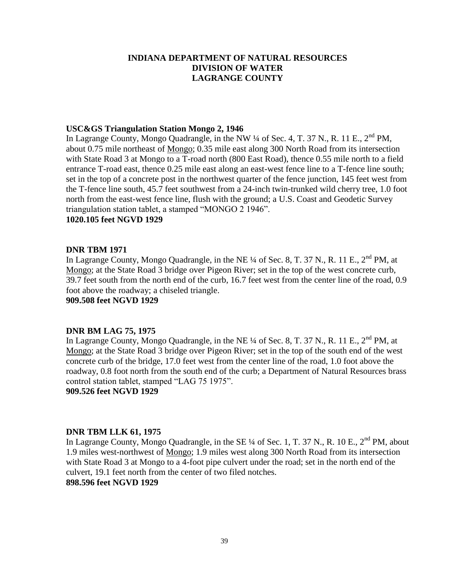## **USC&GS Triangulation Station Mongo 2, 1946**

In Lagrange County, Mongo Quadrangle, in the NW 1/4 of Sec. 4, T. 37 N., R. 11 E., 2<sup>nd</sup> PM, about 0.75 mile northeast of Mongo; 0.35 mile east along 300 North Road from its intersection with State Road 3 at Mongo to a T-road north (800 East Road), thence 0.55 mile north to a field entrance T-road east, thence 0.25 mile east along an east-west fence line to a T-fence line south; set in the top of a concrete post in the northwest quarter of the fence junction, 145 feet west from the T-fence line south, 45.7 feet southwest from a 24-inch twin-trunked wild cherry tree, 1.0 foot north from the east-west fence line, flush with the ground; a U.S. Coast and Geodetic Survey triangulation station tablet, a stamped "MONGO 2 1946".

# **1020.105 feet NGVD 1929**

#### **DNR TBM 1971**

In Lagrange County, Mongo Quadrangle, in the NE  $\frac{1}{4}$  of Sec. 8, T. 37 N., R. 11 E., 2<sup>nd</sup> PM, at Mongo; at the State Road 3 bridge over Pigeon River; set in the top of the west concrete curb, 39.7 feet south from the north end of the curb, 16.7 feet west from the center line of the road, 0.9 foot above the roadway; a chiseled triangle.

**909.508 feet NGVD 1929**

# **DNR BM LAG 75, 1975**

In Lagrange County, Mongo Quadrangle, in the NE  $\frac{1}{4}$  of Sec. 8, T. 37 N., R. 11 E., 2<sup>nd</sup> PM, at Mongo; at the State Road 3 bridge over Pigeon River; set in the top of the south end of the west concrete curb of the bridge, 17.0 feet west from the center line of the road, 1.0 foot above the roadway, 0.8 foot north from the south end of the curb; a Department of Natural Resources brass control station tablet, stamped "LAG 75 1975".

**909.526 feet NGVD 1929**

# **DNR TBM LLK 61, 1975**

In Lagrange County, Mongo Quadrangle, in the SE 1/4 of Sec. 1, T. 37 N., R. 10 E., 2<sup>nd</sup> PM, about 1.9 miles west-northwest of Mongo; 1.9 miles west along 300 North Road from its intersection with State Road 3 at Mongo to a 4-foot pipe culvert under the road; set in the north end of the culvert, 19.1 feet north from the center of two filed notches. **898.596 feet NGVD 1929**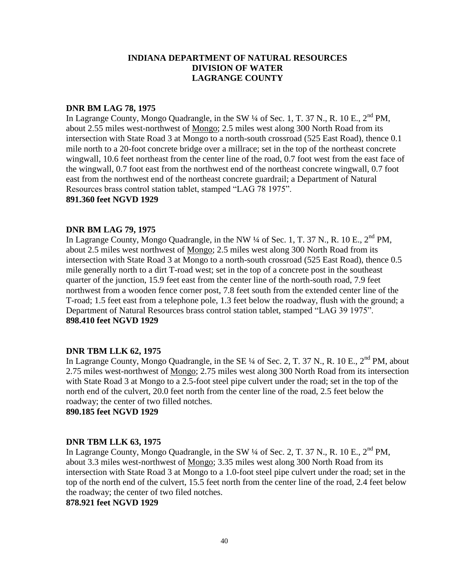#### **DNR BM LAG 78, 1975**

In Lagrange County, Mongo Quadrangle, in the SW  $\frac{1}{4}$  of Sec. 1, T. 37 N., R. 10 E.,  $2^{nd}$  PM, about 2.55 miles west-northwest of Mongo; 2.5 miles west along 300 North Road from its intersection with State Road 3 at Mongo to a north-south crossroad (525 East Road), thence 0.1 mile north to a 20-foot concrete bridge over a millrace; set in the top of the northeast concrete wingwall, 10.6 feet northeast from the center line of the road, 0.7 foot west from the east face of the wingwall, 0.7 foot east from the northwest end of the northeast concrete wingwall, 0.7 foot east from the northwest end of the northeast concrete guardrail; a Department of Natural Resources brass control station tablet, stamped "LAG 78 1975".

#### **891.360 feet NGVD 1929**

## **DNR BM LAG 79, 1975**

In Lagrange County, Mongo Quadrangle, in the NW  $\frac{1}{4}$  of Sec. 1, T. 37 N., R. 10 E., 2<sup>nd</sup> PM, about 2.5 miles west northwest of Mongo; 2.5 miles west along 300 North Road from its intersection with State Road 3 at Mongo to a north-south crossroad (525 East Road), thence 0.5 mile generally north to a dirt T-road west; set in the top of a concrete post in the southeast quarter of the junction, 15.9 feet east from the center line of the north-south road, 7.9 feet northwest from a wooden fence corner post, 7.8 feet south from the extended center line of the T-road; 1.5 feet east from a telephone pole, 1.3 feet below the roadway, flush with the ground; a Department of Natural Resources brass control station tablet, stamped "LAG 39 1975". **898.410 feet NGVD 1929**

# **DNR TBM LLK 62, 1975**

In Lagrange County, Mongo Quadrangle, in the SE  $\frac{1}{4}$  of Sec. 2, T. 37 N., R. 10 E., 2<sup>nd</sup> PM, about 2.75 miles west-northwest of Mongo; 2.75 miles west along 300 North Road from its intersection with State Road 3 at Mongo to a 2.5-foot steel pipe culvert under the road; set in the top of the north end of the culvert, 20.0 feet north from the center line of the road, 2.5 feet below the roadway; the center of two filled notches.

**890.185 feet NGVD 1929**

# **DNR TBM LLK 63, 1975**

In Lagrange County, Mongo Quadrangle, in the SW 1/4 of Sec. 2, T. 37 N., R. 10 E., 2<sup>nd</sup> PM, about 3.3 miles west-northwest of Mongo; 3.35 miles west along 300 North Road from its intersection with State Road 3 at Mongo to a 1.0-foot steel pipe culvert under the road; set in the top of the north end of the culvert, 15.5 feet north from the center line of the road, 2.4 feet below the roadway; the center of two filed notches.

# **878.921 feet NGVD 1929**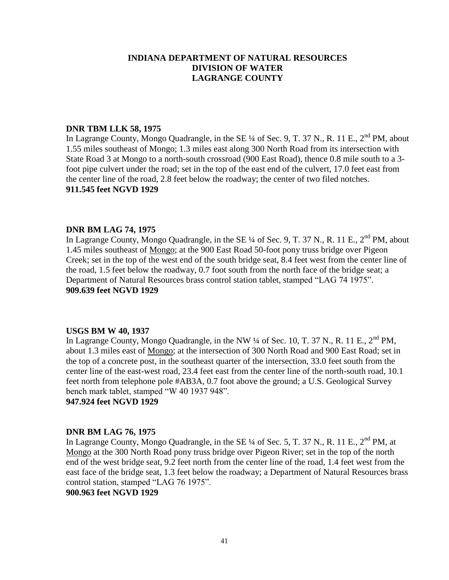# **DNR TBM LLK 58, 1975**

In Lagrange County, Mongo Quadrangle, in the SE ¼ of Sec. 9, T. 37 N., R. 11 E., 2<sup>nd</sup> PM, about 1.55 miles southeast of Mongo; 1.3 miles east along 300 North Road from its intersection with State Road 3 at Mongo to a north-south crossroad (900 East Road), thence 0.8 mile south to a 3 foot pipe culvert under the road; set in the top of the east end of the culvert, 17.0 feet east from the center line of the road, 2.8 feet below the roadway; the center of two filed notches. **911.545 feet NGVD 1929**

## **DNR BM LAG 74, 1975**

In Lagrange County, Mongo Quadrangle, in the SE ¼ of Sec. 9, T. 37 N., R. 11 E., 2<sup>nd</sup> PM, about 1.45 miles southeast of Mongo; at the 900 East Road 50-foot pony truss bridge over Pigeon Creek; set in the top of the west end of the south bridge seat, 8.4 feet west from the center line of the road, 1.5 feet below the roadway, 0.7 foot south from the north face of the bridge seat; a Department of Natural Resources brass control station tablet, stamped "LAG 74 1975". **909.639 feet NGVD 1929**

#### **USGS BM W 40, 1937**

In Lagrange County, Mongo Quadrangle, in the NW  $\frac{1}{4}$  of Sec. 10, T. 37 N., R. 11 E., 2<sup>nd</sup> PM, about 1.3 miles east of Mongo; at the intersection of 300 North Road and 900 East Road; set in the top of a concrete post, in the southeast quarter of the intersection, 33.0 feet south from the center line of the east-west road, 23.4 feet east from the center line of the north-south road, 10.1 feet north from telephone pole #AB3A, 0.7 foot above the ground; a U.S. Geological Survey bench mark tablet, stamped "W 40 1937 948".

**947.924 feet NGVD 1929**

# **DNR BM LAG 76, 1975**

In Lagrange County, Mongo Quadrangle, in the SE 1/4 of Sec. 5, T. 37 N., R. 11 E., 2<sup>nd</sup> PM, at Mongo at the 300 North Road pony truss bridge over Pigeon River; set in the top of the north end of the west bridge seat, 9.2 feet north from the center line of the road, 1.4 feet west from the east face of the bridge seat, 1.3 feet below the roadway; a Department of Natural Resources brass control station, stamped "LAG 76 1975".

**900.963 feet NGVD 1929**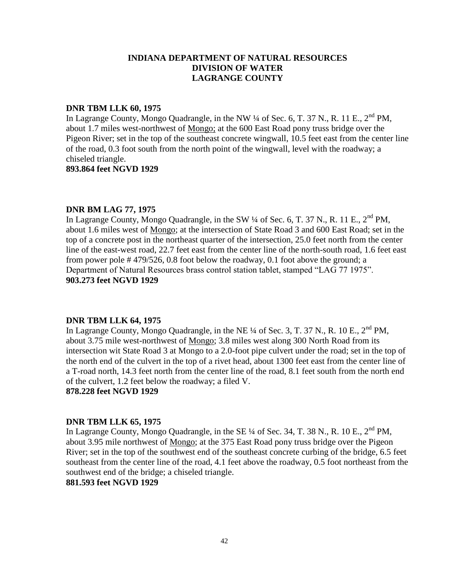#### **DNR TBM LLK 60, 1975**

In Lagrange County, Mongo Quadrangle, in the NW  $\frac{1}{4}$  of Sec. 6, T. 37 N., R. 11 E., 2<sup>nd</sup> PM, about 1.7 miles west-northwest of Mongo; at the 600 East Road pony truss bridge over the Pigeon River; set in the top of the southeast concrete wingwall, 10.5 feet east from the center line of the road, 0.3 foot south from the north point of the wingwall, level with the roadway; a chiseled triangle.

**893.864 feet NGVD 1929**

## **DNR BM LAG 77, 1975**

In Lagrange County, Mongo Quadrangle, in the SW  $\frac{1}{4}$  of Sec. 6, T. 37 N., R. 11 E., 2<sup>nd</sup> PM, about 1.6 miles west of Mongo; at the intersection of State Road 3 and 600 East Road; set in the top of a concrete post in the northeast quarter of the intersection, 25.0 feet north from the center line of the east-west road, 22.7 feet east from the center line of the north-south road, 1.6 feet east from power pole # 479/526, 0.8 foot below the roadway, 0.1 foot above the ground; a Department of Natural Resources brass control station tablet, stamped "LAG 77 1975". **903.273 feet NGVD 1929**

# **DNR TBM LLK 64, 1975**

In Lagrange County, Mongo Quadrangle, in the NE  $\frac{1}{4}$  of Sec. 3, T. 37 N., R. 10 E.,  $2^{nd}$  PM. about 3.75 mile west-northwest of Mongo; 3.8 miles west along 300 North Road from its intersection wit State Road 3 at Mongo to a 2.0-foot pipe culvert under the road; set in the top of the north end of the culvert in the top of a rivet head, about 1300 feet east from the center line of a T-road north, 14.3 feet north from the center line of the road, 8.1 feet south from the north end of the culvert, 1.2 feet below the roadway; a filed V.

**878.228 feet NGVD 1929**

# **DNR TBM LLK 65, 1975**

In Lagrange County, Mongo Quadrangle, in the SE  $\frac{1}{4}$  of Sec. 34, T. 38 N., R. 10 E., 2<sup>nd</sup> PM, about 3.95 mile northwest of Mongo; at the 375 East Road pony truss bridge over the Pigeon River; set in the top of the southwest end of the southeast concrete curbing of the bridge, 6.5 feet southeast from the center line of the road, 4.1 feet above the roadway, 0.5 foot northeast from the southwest end of the bridge; a chiseled triangle.

# **881.593 feet NGVD 1929**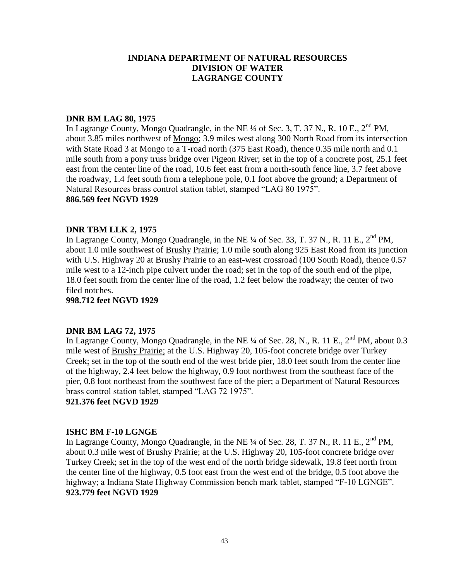## **DNR BM LAG 80, 1975**

In Lagrange County, Mongo Quadrangle, in the NE <sup>1</sup>/4 of Sec. 3, T. 37 N., R. 10 E., 2<sup>nd</sup> PM, about 3.85 miles northwest of Mongo; 3.9 miles west along 300 North Road from its intersection with State Road 3 at Mongo to a T-road north (375 East Road), thence 0.35 mile north and 0.1 mile south from a pony truss bridge over Pigeon River; set in the top of a concrete post, 25.1 feet east from the center line of the road, 10.6 feet east from a north-south fence line, 3.7 feet above the roadway, 1.4 feet south from a telephone pole, 0.1 foot above the ground; a Department of Natural Resources brass control station tablet, stamped "LAG 80 1975". **886.569 feet NGVD 1929**

## **DNR TBM LLK 2, 1975**

In Lagrange County, Mongo Quadrangle, in the NE  $\frac{1}{4}$  of Sec. 33, T. 37 N., R. 11 E.,  $2^{nd}$  PM, about 1.0 mile southwest of Brushy Prairie; 1.0 mile south along 925 East Road from its junction with U.S. Highway 20 at Brushy Prairie to an east-west crossroad (100 South Road), thence 0.57 mile west to a 12-inch pipe culvert under the road; set in the top of the south end of the pipe, 18.0 feet south from the center line of the road, 1.2 feet below the roadway; the center of two filed notches.

**998.712 feet NGVD 1929**

#### **DNR BM LAG 72, 1975**

In Lagrange County, Mongo Quadrangle, in the NE  $\frac{1}{4}$  of Sec. 28, N., R. 11 E., 2<sup>nd</sup> PM, about 0.3 mile west of Brushy Prairie; at the U.S. Highway 20, 105-foot concrete bridge over Turkey Creek; set in the top of the south end of the west bride pier, 18.0 feet south from the center line of the highway, 2.4 feet below the highway, 0.9 foot northwest from the southeast face of the pier, 0.8 foot northeast from the southwest face of the pier; a Department of Natural Resources brass control station tablet, stamped "LAG 72 1975".

**921.376 feet NGVD 1929**

#### **ISHC BM F-10 LGNGE**

In Lagrange County, Mongo Quadrangle, in the NE 1/4 of Sec. 28, T. 37 N., R. 11 E., 2<sup>nd</sup> PM, about 0.3 mile west of Brushy Prairie; at the U.S. Highway 20, 105-foot concrete bridge over Turkey Creek; set in the top of the west end of the north bridge sidewalk, 19.8 feet north from the center line of the highway, 0.5 foot east from the west end of the bridge, 0.5 foot above the highway; a Indiana State Highway Commission bench mark tablet, stamped "F-10 LGNGE". **923.779 feet NGVD 1929**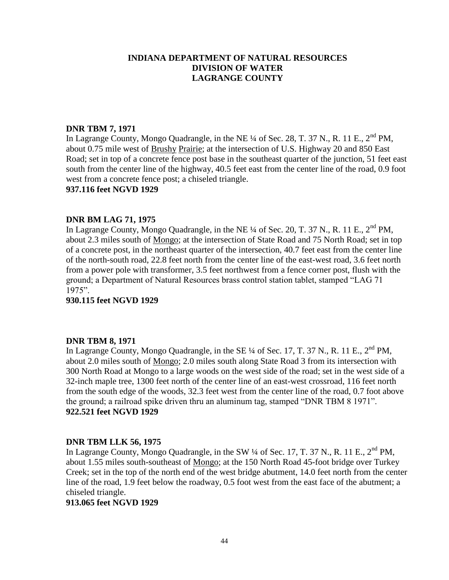# **DNR TBM 7, 1971**

In Lagrange County, Mongo Quadrangle, in the NE ¼ of Sec. 28, T. 37 N., R. 11 E., 2<sup>nd</sup> PM, about 0.75 mile west of Brushy Prairie; at the intersection of U.S. Highway 20 and 850 East Road; set in top of a concrete fence post base in the southeast quarter of the junction, 51 feet east south from the center line of the highway, 40.5 feet east from the center line of the road, 0.9 foot west from a concrete fence post; a chiseled triangle.

#### **937.116 feet NGVD 1929**

## **DNR BM LAG 71, 1975**

In Lagrange County, Mongo Quadrangle, in the NE  $\frac{1}{4}$  of Sec. 20, T. 37 N., R. 11 E., 2<sup>nd</sup> PM. about 2.3 miles south of Mongo; at the intersection of State Road and 75 North Road; set in top of a concrete post, in the northeast quarter of the intersection, 40.7 feet east from the center line of the north-south road, 22.8 feet north from the center line of the east-west road, 3.6 feet north from a power pole with transformer, 3.5 feet northwest from a fence corner post, flush with the ground; a Department of Natural Resources brass control station tablet, stamped "LAG 71 1975".

**930.115 feet NGVD 1929**

#### **DNR TBM 8, 1971**

In Lagrange County, Mongo Quadrangle, in the SE  $\frac{1}{4}$  of Sec. 17, T. 37 N., R. 11 E., 2<sup>nd</sup> PM, about 2.0 miles south of Mongo; 2.0 miles south along State Road 3 from its intersection with 300 North Road at Mongo to a large woods on the west side of the road; set in the west side of a 32-inch maple tree, 1300 feet north of the center line of an east-west crossroad, 116 feet north from the south edge of the woods, 32.3 feet west from the center line of the road, 0.7 foot above the ground; a railroad spike driven thru an aluminum tag, stamped "DNR TBM 8 1971". **922.521 feet NGVD 1929**

#### **DNR TBM LLK 56, 1975**

In Lagrange County, Mongo Quadrangle, in the SW  $\frac{1}{4}$  of Sec. 17, T. 37 N., R. 11 E., 2<sup>nd</sup> PM, about 1.55 miles south-southeast of Mongo; at the 150 North Road 45-foot bridge over Turkey Creek; set in the top of the north end of the west bridge abutment, 14.0 feet north from the center line of the road, 1.9 feet below the roadway, 0.5 foot west from the east face of the abutment; a chiseled triangle.

## **913.065 feet NGVD 1929**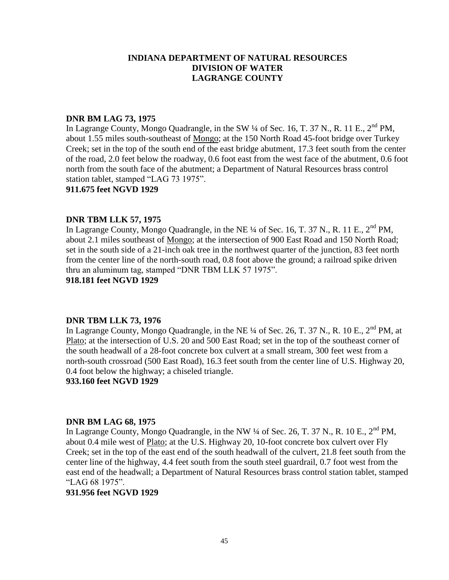#### **DNR BM LAG 73, 1975**

In Lagrange County, Mongo Quadrangle, in the SW  $\frac{1}{4}$  of Sec. 16, T. 37 N., R. 11 E., 2<sup>nd</sup> PM, about 1.55 miles south-southeast of Mongo; at the 150 North Road 45-foot bridge over Turkey Creek; set in the top of the south end of the east bridge abutment, 17.3 feet south from the center of the road, 2.0 feet below the roadway, 0.6 foot east from the west face of the abutment, 0.6 foot north from the south face of the abutment; a Department of Natural Resources brass control station tablet, stamped "LAG 73 1975".

#### **911.675 feet NGVD 1929**

#### **DNR TBM LLK 57, 1975**

In Lagrange County, Mongo Quadrangle, in the NE  $\frac{1}{4}$  of Sec. 16, T. 37 N., R. 11 E.,  $2^{nd}$  PM. about 2.1 miles southeast of Mongo; at the intersection of 900 East Road and 150 North Road; set in the south side of a 21-inch oak tree in the northwest quarter of the junction, 83 feet north from the center line of the north-south road, 0.8 foot above the ground; a railroad spike driven thru an aluminum tag, stamped "DNR TBM LLK 57 1975".

**918.181 feet NGVD 1929**

#### **DNR TBM LLK 73, 1976**

In Lagrange County, Mongo Quadrangle, in the NE  $\frac{1}{4}$  of Sec. 26, T. 37 N., R. 10 E., 2<sup>nd</sup> PM, at Plato; at the intersection of U.S. 20 and 500 East Road; set in the top of the southeast corner of the south headwall of a 28-foot concrete box culvert at a small stream, 300 feet west from a north-south crossroad (500 East Road), 16.3 feet south from the center line of U.S. Highway 20, 0.4 foot below the highway; a chiseled triangle.

#### **933.160 feet NGVD 1929**

#### **DNR BM LAG 68, 1975**

In Lagrange County, Mongo Quadrangle, in the NW  $\frac{1}{4}$  of Sec. 26, T. 37 N., R. 10 E., 2<sup>nd</sup> PM, about 0.4 mile west of Plato; at the U.S. Highway 20, 10-foot concrete box culvert over Fly Creek; set in the top of the east end of the south headwall of the culvert, 21.8 feet south from the center line of the highway, 4.4 feet south from the south steel guardrail, 0.7 foot west from the east end of the headwall; a Department of Natural Resources brass control station tablet, stamped "LAG 68 1975".

#### **931.956 feet NGVD 1929**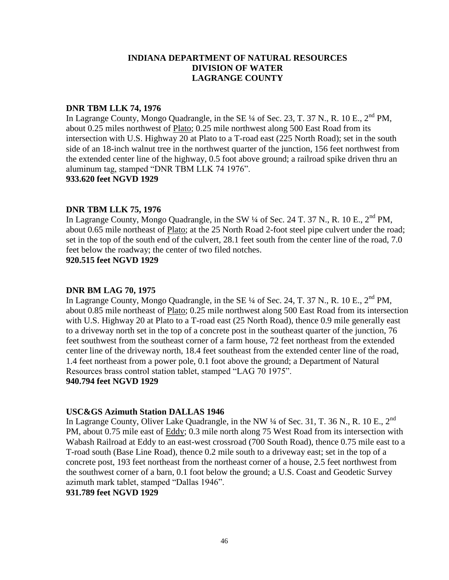## **DNR TBM LLK 74, 1976**

In Lagrange County, Mongo Quadrangle, in the SE  $\frac{1}{4}$  of Sec. 23, T. 37 N., R. 10 E., 2<sup>nd</sup> PM, about 0.25 miles northwest of Plato; 0.25 mile northwest along 500 East Road from its intersection with U.S. Highway 20 at Plato to a T-road east (225 North Road); set in the south side of an 18-inch walnut tree in the northwest quarter of the junction, 156 feet northwest from the extended center line of the highway, 0.5 foot above ground; a railroad spike driven thru an aluminum tag, stamped "DNR TBM LLK 74 1976".

# **933.620 feet NGVD 1929**

# **DNR TBM LLK 75, 1976**

In Lagrange County, Mongo Quadrangle, in the SW  $\frac{1}{4}$  of Sec. 24 T. 37 N., R. 10 E., 2<sup>nd</sup> PM, about 0.65 mile northeast of Plato; at the 25 North Road 2-foot steel pipe culvert under the road; set in the top of the south end of the culvert, 28.1 feet south from the center line of the road, 7.0 feet below the roadway; the center of two filed notches.

## **920.515 feet NGVD 1929**

# **DNR BM LAG 70, 1975**

In Lagrange County, Mongo Quadrangle, in the SE  $\frac{1}{4}$  of Sec. 24, T. 37 N., R. 10 E., 2<sup>nd</sup> PM, about 0.85 mile northeast of Plato; 0.25 mile northwest along 500 East Road from its intersection with U.S. Highway 20 at Plato to a T-road east (25 North Road), thence 0.9 mile generally east to a driveway north set in the top of a concrete post in the southeast quarter of the junction, 76 feet southwest from the southeast corner of a farm house, 72 feet northeast from the extended center line of the driveway north, 18.4 feet southeast from the extended center line of the road, 1.4 feet northeast from a power pole, 0.1 foot above the ground; a Department of Natural Resources brass control station tablet, stamped "LAG 70 1975".

#### **940.794 feet NGVD 1929**

# **USC&GS Azimuth Station DALLAS 1946**

In Lagrange County, Oliver Lake Quadrangle, in the NW ¼ of Sec. 31, T. 36 N., R. 10 E., 2<sup>nd</sup> PM, about 0.75 mile east of Eddy; 0.3 mile north along 75 West Road from its intersection with Wabash Railroad at Eddy to an east-west crossroad (700 South Road), thence 0.75 mile east to a T-road south (Base Line Road), thence 0.2 mile south to a driveway east; set in the top of a concrete post, 193 feet northeast from the northeast corner of a house, 2.5 feet northwest from the southwest corner of a barn, 0.1 foot below the ground; a U.S. Coast and Geodetic Survey azimuth mark tablet, stamped "Dallas 1946".

# **931.789 feet NGVD 1929**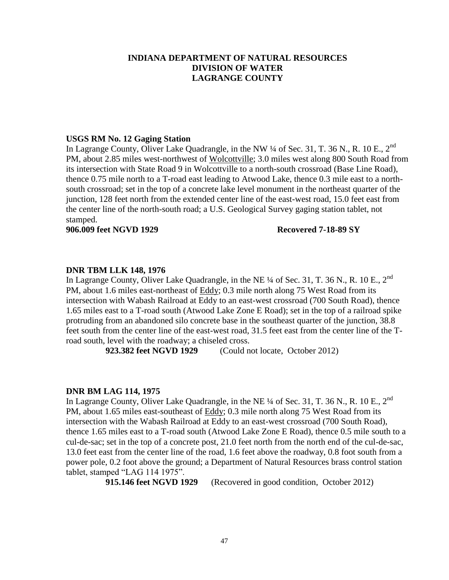#### **USGS RM No. 12 Gaging Station**

In Lagrange County, Oliver Lake Quadrangle, in the NW ¼ of Sec. 31, T. 36 N., R. 10 E., 2<sup>nd</sup> PM, about 2.85 miles west-northwest of Wolcottville; 3.0 miles west along 800 South Road from its intersection with State Road 9 in Wolcottville to a north-south crossroad (Base Line Road), thence 0.75 mile north to a T-road east leading to Atwood Lake, thence 0.3 mile east to a northsouth crossroad; set in the top of a concrete lake level monument in the northeast quarter of the junction, 128 feet north from the extended center line of the east-west road, 15.0 feet east from the center line of the north-south road; a U.S. Geological Survey gaging station tablet, not stamped.

#### **906.009 feet NGVD 1929 Recovered 7-18-89 SY**

#### **DNR TBM LLK 148, 1976**

In Lagrange County, Oliver Lake Quadrangle, in the NE  $\frac{1}{4}$  of Sec. 31, T. 36 N., R. 10 E.,  $2^{nd}$ PM, about 1.6 miles east-northeast of Eddy; 0.3 mile north along 75 West Road from its intersection with Wabash Railroad at Eddy to an east-west crossroad (700 South Road), thence 1.65 miles east to a T-road south (Atwood Lake Zone E Road); set in the top of a railroad spike protruding from an abandoned silo concrete base in the southeast quarter of the junction, 38.8 feet south from the center line of the east-west road, 31.5 feet east from the center line of the Troad south, level with the roadway; a chiseled cross.

 **923.382 feet NGVD 1929** (Could not locate, October 2012)

#### **DNR BM LAG 114, 1975**

In Lagrange County, Oliver Lake Quadrangle, in the NE ¼ of Sec. 31, T. 36 N., R. 10 E., 2<sup>nd</sup> PM, about 1.65 miles east-southeast of Eddy; 0.3 mile north along 75 West Road from its intersection with the Wabash Railroad at Eddy to an east-west crossroad (700 South Road), thence 1.65 miles east to a T-road south (Atwood Lake Zone E Road), thence 0.5 mile south to a cul-de-sac; set in the top of a concrete post, 21.0 feet north from the north end of the cul-de-sac, 13.0 feet east from the center line of the road, 1.6 feet above the roadway, 0.8 foot south from a power pole, 0.2 foot above the ground; a Department of Natural Resources brass control station tablet, stamped "LAG 114 1975".

 **915.146 feet NGVD 1929** (Recovered in good condition, October 2012)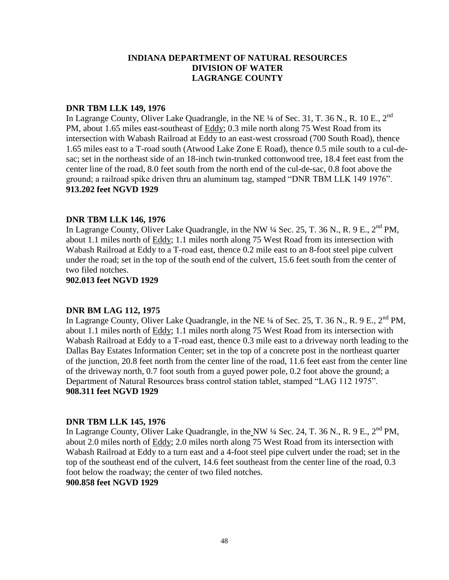#### **DNR TBM LLK 149, 1976**

In Lagrange County, Oliver Lake Quadrangle, in the NE <sup>1/4</sup> of Sec. 31, T. 36 N., R. 10 E., 2<sup>nd</sup> PM, about 1.65 miles east-southeast of Eddy; 0.3 mile north along 75 West Road from its intersection with Wabash Railroad at Eddy to an east-west crossroad (700 South Road), thence 1.65 miles east to a T-road south (Atwood Lake Zone E Road), thence 0.5 mile south to a cul-desac; set in the northeast side of an 18-inch twin-trunked cottonwood tree, 18.4 feet east from the center line of the road, 8.0 feet south from the north end of the cul-de-sac, 0.8 foot above the ground; a railroad spike driven thru an aluminum tag, stamped "DNR TBM LLK 149 1976". **913.202 feet NGVD 1929**

## **DNR TBM LLK 146, 1976**

In Lagrange County, Oliver Lake Quadrangle, in the NW  $\frac{1}{4}$  Sec. 25, T. 36 N., R. 9 E., 2<sup>nd</sup> PM, about 1.1 miles north of Eddy; 1.1 miles north along 75 West Road from its intersection with Wabash Railroad at Eddy to a T-road east, thence 0.2 mile east to an 8-foot steel pipe culvert under the road; set in the top of the south end of the culvert, 15.6 feet south from the center of two filed notches.

#### **902.013 feet NGVD 1929**

# **DNR BM LAG 112, 1975**

In Lagrange County, Oliver Lake Quadrangle, in the NE  $\frac{1}{4}$  of Sec. 25, T. 36 N., R. 9 E., 2<sup>nd</sup> PM, about 1.1 miles north of Eddy; 1.1 miles north along 75 West Road from its intersection with Wabash Railroad at Eddy to a T-road east, thence 0.3 mile east to a driveway north leading to the Dallas Bay Estates Information Center; set in the top of a concrete post in the northeast quarter of the junction, 20.8 feet north from the center line of the road, 11.6 feet east from the center line of the driveway north, 0.7 foot south from a guyed power pole, 0.2 foot above the ground; a Department of Natural Resources brass control station tablet, stamped "LAG 112 1975". **908.311 feet NGVD 1929**

#### **DNR TBM LLK 145, 1976**

In Lagrange County, Oliver Lake Quadrangle, in the NW  $\frac{1}{4}$  Sec. 24, T. 36 N., R. 9 E., 2<sup>nd</sup> PM, about 2.0 miles north of Eddy; 2.0 miles north along 75 West Road from its intersection with Wabash Railroad at Eddy to a turn east and a 4-foot steel pipe culvert under the road; set in the top of the southeast end of the culvert, 14.6 feet southeast from the center line of the road, 0.3 foot below the roadway; the center of two filed notches. **900.858 feet NGVD 1929**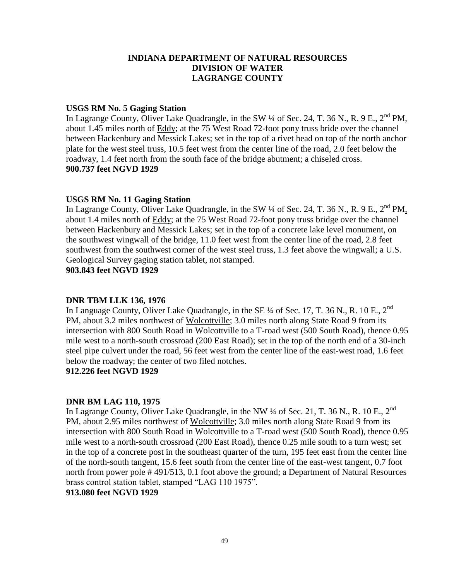## **USGS RM No. 5 Gaging Station**

In Lagrange County, Oliver Lake Quadrangle, in the SW  $\frac{1}{4}$  of Sec. 24, T. 36 N., R. 9 E., 2<sup>nd</sup> PM, about 1.45 miles north of Eddy; at the 75 West Road 72-foot pony truss bride over the channel between Hackenbury and Messick Lakes; set in the top of a rivet head on top of the north anchor plate for the west steel truss, 10.5 feet west from the center line of the road, 2.0 feet below the roadway, 1.4 feet north from the south face of the bridge abutment; a chiseled cross. **900.737 feet NGVD 1929**

## **USGS RM No. 11 Gaging Station**

In Lagrange County, Oliver Lake Quadrangle, in the SW ¼ of Sec. 24, T. 36 N., R. 9 E., 2<sup>nd</sup> PM, about 1.4 miles north of Eddy; at the 75 West Road 72-foot pony truss bridge over the channel between Hackenbury and Messick Lakes; set in the top of a concrete lake level monument, on the southwest wingwall of the bridge, 11.0 feet west from the center line of the road, 2.8 feet southwest from the southwest corner of the west steel truss, 1.3 feet above the wingwall; a U.S. Geological Survey gaging station tablet, not stamped.

**903.843 feet NGVD 1929**

# **DNR TBM LLK 136, 1976**

In Language County, Oliver Lake Quadrangle, in the SE  $\frac{1}{4}$  of Sec. 17, T. 36 N., R. 10 E., 2<sup>nd</sup> PM, about 3.2 miles northwest of Wolcottville; 3.0 miles north along State Road 9 from its intersection with 800 South Road in Wolcottville to a T-road west (500 South Road), thence 0.95 mile west to a north-south crossroad (200 East Road); set in the top of the north end of a 30-inch steel pipe culvert under the road, 56 feet west from the center line of the east-west road, 1.6 feet below the roadway; the center of two filed notches.

# **912.226 feet NGVD 1929**

# **DNR BM LAG 110, 1975**

In Lagrange County, Oliver Lake Quadrangle, in the NW  $\frac{1}{4}$  of Sec. 21, T. 36 N., R. 10 E., 2<sup>nd</sup> PM, about 2.95 miles northwest of Wolcottville; 3.0 miles north along State Road 9 from its intersection with 800 South Road in Wolcottville to a T-road west (500 South Road), thence 0.95 mile west to a north-south crossroad (200 East Road), thence 0.25 mile south to a turn west; set in the top of a concrete post in the southeast quarter of the turn, 195 feet east from the center line of the north-south tangent, 15.6 feet south from the center line of the east-west tangent, 0.7 foot north from power pole # 491/513, 0.1 foot above the ground; a Department of Natural Resources brass control station tablet, stamped "LAG 110 1975".

# **913.080 feet NGVD 1929**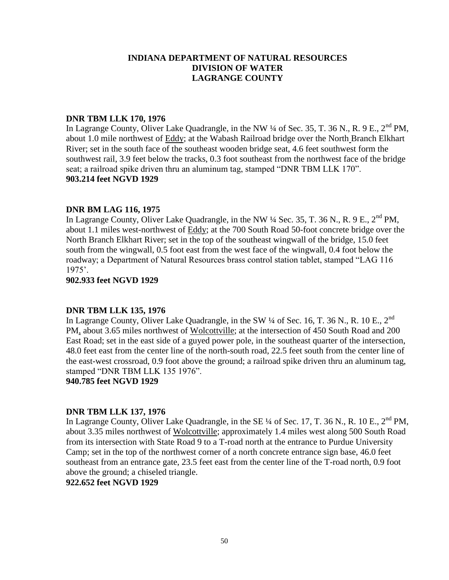## **DNR TBM LLK 170, 1976**

In Lagrange County, Oliver Lake Quadrangle, in the NW  $\frac{1}{4}$  of Sec. 35, T. 36 N., R. 9 E.,  $2^{nd}$  PM, about 1.0 mile northwest of Eddy; at the Wabash Railroad bridge over the North Branch Elkhart River; set in the south face of the southeast wooden bridge seat, 4.6 feet southwest form the southwest rail, 3.9 feet below the tracks, 0.3 foot southeast from the northwest face of the bridge seat; a railroad spike driven thru an aluminum tag, stamped "DNR TBM LLK 170". **903.214 feet NGVD 1929**

## **DNR BM LAG 116, 1975**

In Lagrange County, Oliver Lake Quadrangle, in the NW  $\frac{1}{4}$  Sec. 35, T. 36 N., R. 9 E., 2<sup>nd</sup> PM, about 1.1 miles west-northwest of Eddy; at the 700 South Road 50-foot concrete bridge over the North Branch Elkhart River; set in the top of the southeast wingwall of the bridge, 15.0 feet south from the wingwall, 0.5 foot east from the west face of the wingwall, 0.4 foot below the roadway; a Department of Natural Resources brass control station tablet, stamped "LAG 116 1975'.

#### **902.933 feet NGVD 1929**

#### **DNR TBM LLK 135, 1976**

In Lagrange County, Oliver Lake Quadrangle, in the SW  $\frac{1}{4}$  of Sec. 16, T. 36 N., R. 10 E., 2<sup>nd</sup> PM, about 3.65 miles northwest of Wolcottville; at the intersection of 450 South Road and 200 East Road; set in the east side of a guyed power pole, in the southeast quarter of the intersection, 48.0 feet east from the center line of the north-south road, 22.5 feet south from the center line of the east-west crossroad, 0.9 foot above the ground; a railroad spike driven thru an aluminum tag, stamped "DNR TBM LLK 135 1976".

**940.785 feet NGVD 1929**

#### **DNR TBM LLK 137, 1976**

In Lagrange County, Oliver Lake Quadrangle, in the SE  $\frac{1}{4}$  of Sec. 17, T. 36 N., R. 10 E.,  $2^{nd}$  PM, about 3.35 miles northwest of Wolcottville; approximately 1.4 miles west along 500 South Road from its intersection with State Road 9 to a T-road north at the entrance to Purdue University Camp; set in the top of the northwest corner of a north concrete entrance sign base, 46.0 feet southeast from an entrance gate, 23.5 feet east from the center line of the T-road north, 0.9 foot above the ground; a chiseled triangle.

# **922.652 feet NGVD 1929**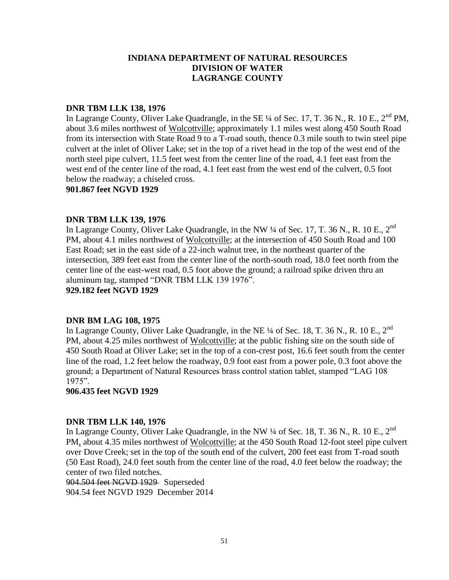## **DNR TBM LLK 138, 1976**

In Lagrange County, Oliver Lake Quadrangle, in the SE  $\frac{1}{4}$  of Sec. 17, T. 36 N., R. 10 E.,  $2^{nd}$  PM, about 3.6 miles northwest of Wolcottville; approximately 1.1 miles west along 450 South Road from its intersection with State Road 9 to a T-road south, thence 0.3 mile south to twin steel pipe culvert at the inlet of Oliver Lake; set in the top of a rivet head in the top of the west end of the north steel pipe culvert, 11.5 feet west from the center line of the road, 4.1 feet east from the west end of the center line of the road, 4.1 feet east from the west end of the culvert, 0.5 foot below the roadway; a chiseled cross.

#### **901.867 feet NGVD 1929**

#### **DNR TBM LLK 139, 1976**

In Lagrange County, Oliver Lake Quadrangle, in the NW  $\frac{1}{4}$  of Sec. 17, T. 36 N., R. 10 E., 2<sup>nd</sup> PM, about 4.1 miles northwest of Wolcottville; at the intersection of 450 South Road and 100 East Road; set in the east side of a 22-inch walnut tree, in the northeast quarter of the intersection, 389 feet east from the center line of the north-south road, 18.0 feet north from the center line of the east-west road, 0.5 foot above the ground; a railroad spike driven thru an aluminum tag, stamped "DNR TBM LLK 139 1976".

**929.182 feet NGVD 1929**

#### **DNR BM LAG 108, 1975**

In Lagrange County, Oliver Lake Quadrangle, in the NE  $\frac{1}{4}$  of Sec. 18, T. 36 N., R. 10 E., 2<sup>nd</sup> PM, about 4.25 miles northwest of Wolcottville; at the public fishing site on the south side of 450 South Road at Oliver Lake; set in the top of a con-crest post, 16.6 feet south from the center line of the road, 1.2 feet below the roadway, 0.9 foot east from a power pole, 0.3 foot above the ground; a Department of Natural Resources brass control station tablet, stamped "LAG 108 1975".

**906.435 feet NGVD 1929**

#### **DNR TBM LLK 140, 1976**

In Lagrange County, Oliver Lake Quadrangle, in the NW  $\frac{1}{4}$  of Sec. 18, T. 36 N., R. 10 E., 2<sup>nd</sup> PM, about 4.35 miles northwest of Wolcottville; at the 450 South Road 12-foot steel pipe culvert over Dove Creek; set in the top of the south end of the culvert, 200 feet east from T-road south (50 East Road), 24.0 feet south from the center line of the road, 4.0 feet below the roadway; the center of two filed notches.

904.504 feet NGVD 1929 Superseded 904.54 feet NGVD 1929 December 2014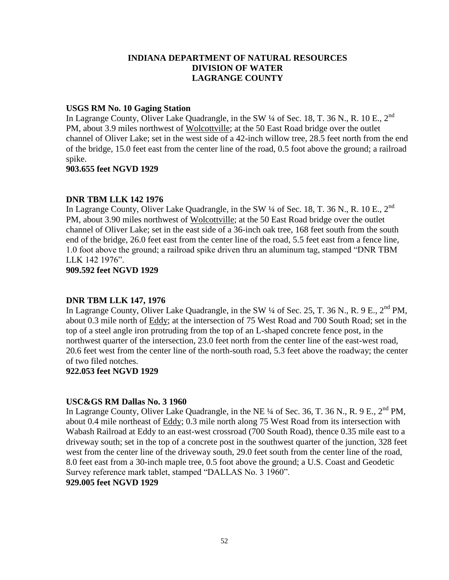## **USGS RM No. 10 Gaging Station**

In Lagrange County, Oliver Lake Quadrangle, in the SW 1/4 of Sec. 18, T. 36 N., R. 10 E., 2<sup>nd</sup> PM, about 3.9 miles northwest of Wolcottville; at the 50 East Road bridge over the outlet channel of Oliver Lake; set in the west side of a 42-inch willow tree, 28.5 feet north from the end of the bridge, 15.0 feet east from the center line of the road, 0.5 foot above the ground; a railroad spike.

## **903.655 feet NGVD 1929**

# **DNR TBM LLK 142 1976**

In Lagrange County, Oliver Lake Quadrangle, in the SW  $\frac{1}{4}$  of Sec. 18, T. 36 N., R. 10 E., 2<sup>nd</sup> PM, about 3.90 miles northwest of Wolcottville; at the 50 East Road bridge over the outlet channel of Oliver Lake; set in the east side of a 36-inch oak tree, 168 feet south from the south end of the bridge, 26.0 feet east from the center line of the road, 5.5 feet east from a fence line, 1.0 foot above the ground; a railroad spike driven thru an aluminum tag, stamped "DNR TBM LLK 142 1976".

**909.592 feet NGVD 1929**

# **DNR TBM LLK 147, 1976**

In Lagrange County, Oliver Lake Quadrangle, in the SW  $\frac{1}{4}$  of Sec. 25, T. 36 N., R. 9 E., 2<sup>nd</sup> PM, about 0.3 mile north of Eddy; at the intersection of 75 West Road and 700 South Road; set in the top of a steel angle iron protruding from the top of an L-shaped concrete fence post, in the northwest quarter of the intersection, 23.0 feet north from the center line of the east-west road, 20.6 feet west from the center line of the north-south road, 5.3 feet above the roadway; the center of two filed notches.

## **922.053 feet NGVD 1929**

# **USC&GS RM Dallas No. 3 1960**

In Lagrange County, Oliver Lake Quadrangle, in the NE  $\frac{1}{4}$  of Sec. 36, T. 36 N., R. 9 E., 2<sup>nd</sup> PM, about 0.4 mile northeast of Eddy; 0.3 mile north along 75 West Road from its intersection with Wabash Railroad at Eddy to an east-west crossroad (700 South Road), thence 0.35 mile east to a driveway south; set in the top of a concrete post in the southwest quarter of the junction, 328 feet west from the center line of the driveway south, 29.0 feet south from the center line of the road, 8.0 feet east from a 30-inch maple tree, 0.5 foot above the ground; a U.S. Coast and Geodetic Survey reference mark tablet, stamped "DALLAS No. 3 1960".

# **929.005 feet NGVD 1929**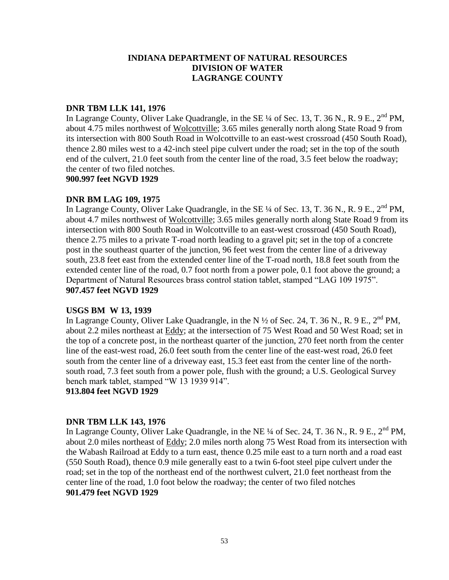# **DNR TBM LLK 141, 1976**

In Lagrange County, Oliver Lake Quadrangle, in the SE  $\frac{1}{4}$  of Sec. 13, T. 36 N., R. 9 E.,  $2^{nd}$  PM, about 4.75 miles northwest of Wolcottville; 3.65 miles generally north along State Road 9 from its intersection with 800 South Road in Wolcottville to an east-west crossroad (450 South Road), thence 2.80 miles west to a 42-inch steel pipe culvert under the road; set in the top of the south end of the culvert, 21.0 feet south from the center line of the road, 3.5 feet below the roadway; the center of two filed notches.

**900.997 feet NGVD 1929**

## **DNR BM LAG 109, 1975**

In Lagrange County, Oliver Lake Quadrangle, in the SE 1/4 of Sec. 13, T. 36 N., R. 9 E., 2<sup>nd</sup> PM, about 4.7 miles northwest of Wolcottville; 3.65 miles generally north along State Road 9 from its intersection with 800 South Road in Wolcottville to an east-west crossroad (450 South Road), thence 2.75 miles to a private T-road north leading to a gravel pit; set in the top of a concrete post in the southeast quarter of the junction, 96 feet west from the center line of a driveway south, 23.8 feet east from the extended center line of the T-road north, 18.8 feet south from the extended center line of the road, 0.7 foot north from a power pole, 0.1 foot above the ground; a Department of Natural Resources brass control station tablet, stamped "LAG 109 1975". **907.457 feet NGVD 1929**

# **USGS BM W 13, 1939**

In Lagrange County, Oliver Lake Quadrangle, in the N  $\frac{1}{2}$  of Sec. 24, T. 36 N., R. 9 E., 2<sup>nd</sup> PM, about 2.2 miles northeast at Eddy; at the intersection of 75 West Road and 50 West Road; set in the top of a concrete post, in the northeast quarter of the junction, 270 feet north from the center line of the east-west road, 26.0 feet south from the center line of the east-west road, 26.0 feet south from the center line of a driveway east, 15.3 feet east from the center line of the northsouth road, 7.3 feet south from a power pole, flush with the ground; a U.S. Geological Survey bench mark tablet, stamped "W 13 1939 914".

**913.804 feet NGVD 1929**

# **DNR TBM LLK 143, 1976**

In Lagrange County, Oliver Lake Quadrangle, in the NE ¼ of Sec. 24, T. 36 N., R. 9 E., 2<sup>nd</sup> PM, about 2.0 miles northeast of Eddy; 2.0 miles north along 75 West Road from its intersection with the Wabash Railroad at Eddy to a turn east, thence 0.25 mile east to a turn north and a road east (550 South Road), thence 0.9 mile generally east to a twin 6-foot steel pipe culvert under the road; set in the top of the northeast end of the northwest culvert, 21.0 feet northeast from the center line of the road, 1.0 foot below the roadway; the center of two filed notches **901.479 feet NGVD 1929**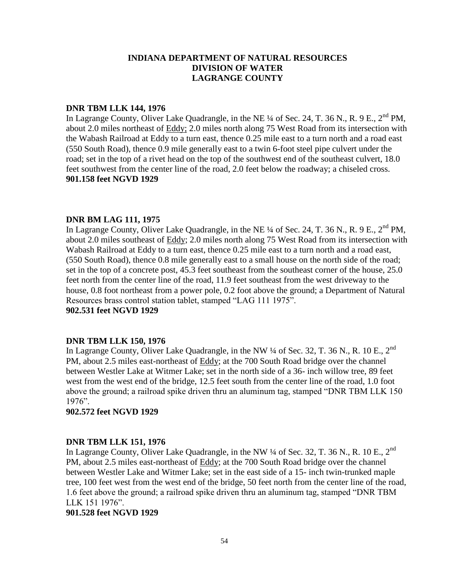## **DNR TBM LLK 144, 1976**

In Lagrange County, Oliver Lake Quadrangle, in the NE  $\frac{1}{4}$  of Sec. 24, T. 36 N., R. 9 E., 2<sup>nd</sup> PM, about 2.0 miles northeast of Eddy; 2.0 miles north along 75 West Road from its intersection with the Wabash Railroad at Eddy to a turn east, thence 0.25 mile east to a turn north and a road east (550 South Road), thence 0.9 mile generally east to a twin 6-foot steel pipe culvert under the road; set in the top of a rivet head on the top of the southwest end of the southeast culvert, 18.0 feet southwest from the center line of the road, 2.0 feet below the roadway; a chiseled cross. **901.158 feet NGVD 1929**

## **DNR BM LAG 111, 1975**

In Lagrange County, Oliver Lake Quadrangle, in the NE  $\frac{1}{4}$  of Sec. 24, T. 36 N., R. 9 E., 2<sup>nd</sup> PM, about 2.0 miles southeast of Eddy; 2.0 miles north along 75 West Road from its intersection with Wabash Railroad at Eddy to a turn east, thence 0.25 mile east to a turn north and a road east, (550 South Road), thence 0.8 mile generally east to a small house on the north side of the road; set in the top of a concrete post, 45.3 feet southeast from the southeast corner of the house, 25.0 feet north from the center line of the road, 11.9 feet southeast from the west driveway to the house, 0.8 foot northeast from a power pole, 0.2 foot above the ground; a Department of Natural Resources brass control station tablet, stamped "LAG 111 1975".

# **902.531 feet NGVD 1929**

#### **DNR TBM LLK 150, 1976**

In Lagrange County, Oliver Lake Quadrangle, in the NW  $\frac{1}{4}$  of Sec. 32, T. 36 N., R. 10 E., 2<sup>nd</sup> PM, about 2.5 miles east-northeast of Eddy; at the 700 South Road bridge over the channel between Westler Lake at Witmer Lake; set in the north side of a 36- inch willow tree, 89 feet west from the west end of the bridge, 12.5 feet south from the center line of the road, 1.0 foot above the ground; a railroad spike driven thru an aluminum tag, stamped "DNR TBM LLK 150 1976".

#### **902.572 feet NGVD 1929**

#### **DNR TBM LLK 151, 1976**

In Lagrange County, Oliver Lake Quadrangle, in the NW  $\frac{1}{4}$  of Sec. 32, T. 36 N., R. 10 E., 2<sup>nd</sup> PM, about 2.5 miles east-northeast of Eddy; at the 700 South Road bridge over the channel between Westler Lake and Witmer Lake; set in the east side of a 15- inch twin-trunked maple tree, 100 feet west from the west end of the bridge, 50 feet north from the center line of the road, 1.6 feet above the ground; a railroad spike driven thru an aluminum tag, stamped "DNR TBM LLK 151 1976".

#### **901.528 feet NGVD 1929**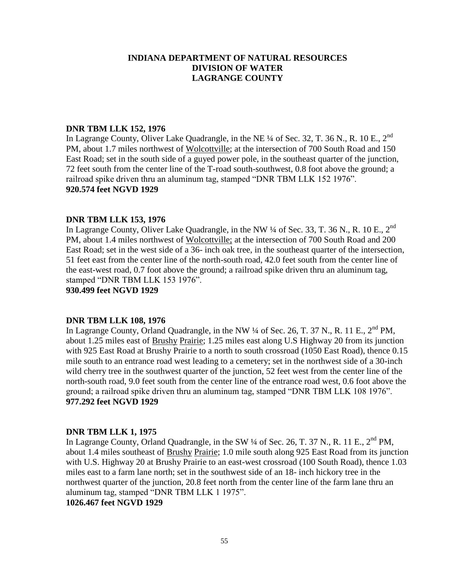## **DNR TBM LLK 152, 1976**

In Lagrange County, Oliver Lake Quadrangle, in the NE  $\frac{1}{4}$  of Sec. 32, T. 36 N., R. 10 E., 2<sup>nd</sup> PM, about 1.7 miles northwest of Wolcottville; at the intersection of 700 South Road and 150 East Road; set in the south side of a guyed power pole, in the southeast quarter of the junction, 72 feet south from the center line of the T-road south-southwest, 0.8 foot above the ground; a railroad spike driven thru an aluminum tag, stamped "DNR TBM LLK 152 1976". **920.574 feet NGVD 1929**

## **DNR TBM LLK 153, 1976**

In Lagrange County, Oliver Lake Quadrangle, in the NW  $\frac{1}{4}$  of Sec. 33, T. 36 N., R. 10 E., 2<sup>nd</sup> PM, about 1.4 miles northwest of Wolcottville; at the intersection of 700 South Road and 200 East Road; set in the west side of a 36- inch oak tree, in the southeast quarter of the intersection, 51 feet east from the center line of the north-south road, 42.0 feet south from the center line of the east-west road, 0.7 foot above the ground; a railroad spike driven thru an aluminum tag, stamped "DNR TBM LLK 153 1976".

**930.499 feet NGVD 1929**

# **DNR TBM LLK 108, 1976**

In Lagrange County, Orland Quadrangle, in the NW  $\frac{1}{4}$  of Sec. 26, T. 37 N., R. 11 E., 2<sup>nd</sup> PM, about 1.25 miles east of Brushy Prairie; 1.25 miles east along U.S Highway 20 from its junction with 925 East Road at Brushy Prairie to a north to south crossroad (1050 East Road), thence 0.15 mile south to an entrance road west leading to a cemetery; set in the northwest side of a 30-inch wild cherry tree in the southwest quarter of the junction, 52 feet west from the center line of the north-south road, 9.0 feet south from the center line of the entrance road west, 0.6 foot above the ground; a railroad spike driven thru an aluminum tag, stamped "DNR TBM LLK 108 1976". **977.292 feet NGVD 1929**

# **DNR TBM LLK 1, 1975**

In Lagrange County, Orland Quadrangle, in the SW 1/4 of Sec. 26, T. 37 N., R. 11 E., 2<sup>nd</sup> PM, about 1.4 miles southeast of Brushy Prairie; 1.0 mile south along 925 East Road from its junction with U.S. Highway 20 at Brushy Prairie to an east-west crossroad (100 South Road), thence 1.03 miles east to a farm lane north; set in the southwest side of an 18- inch hickory tree in the northwest quarter of the junction, 20.8 feet north from the center line of the farm lane thru an aluminum tag, stamped "DNR TBM LLK 1 1975".

**1026.467 feet NGVD 1929**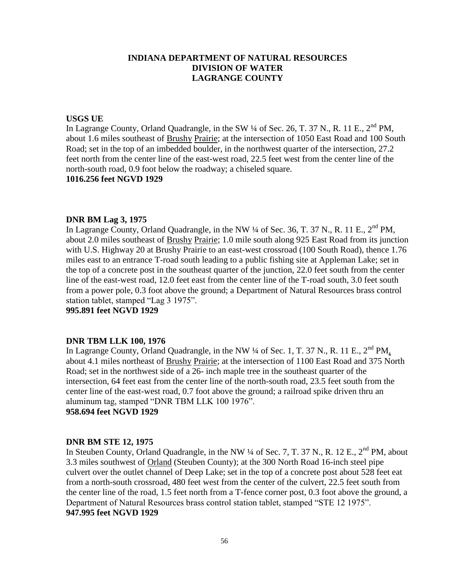## **USGS UE**

In Lagrange County, Orland Quadrangle, in the SW  $\frac{1}{4}$  of Sec. 26, T. 37 N., R. 11 E., 2<sup>nd</sup> PM, about 1.6 miles southeast of Brushy Prairie; at the intersection of 1050 East Road and 100 South Road; set in the top of an imbedded boulder, in the northwest quarter of the intersection, 27.2 feet north from the center line of the east-west road, 22.5 feet west from the center line of the north-south road, 0.9 foot below the roadway; a chiseled square.

# **1016.256 feet NGVD 1929**

## **DNR BM Lag 3, 1975**

In Lagrange County, Orland Quadrangle, in the NW 1/4 of Sec. 36, T. 37 N., R. 11 E., 2<sup>nd</sup> PM, about 2.0 miles southeast of Brushy Prairie; 1.0 mile south along 925 East Road from its junction with U.S. Highway 20 at Brushy Prairie to an east-west crossroad (100 South Road), thence 1.76 miles east to an entrance T-road south leading to a public fishing site at Appleman Lake; set in the top of a concrete post in the southeast quarter of the junction, 22.0 feet south from the center line of the east-west road, 12.0 feet east from the center line of the T-road south, 3.0 feet south from a power pole, 0.3 foot above the ground; a Department of Natural Resources brass control station tablet, stamped "Lag 3 1975".

**995.891 feet NGVD 1929**

# **DNR TBM LLK 100, 1976**

In Lagrange County, Orland Quadrangle, in the NW <sup>1</sup>/4 of Sec. 1, T. 37 N., R. 11 E., 2<sup>nd</sup> PM, about 4.1 miles northeast of Brushy Prairie; at the intersection of 1100 East Road and 375 North Road; set in the northwest side of a 26- inch maple tree in the southeast quarter of the intersection, 64 feet east from the center line of the north-south road, 23.5 feet south from the center line of the east-west road, 0.7 foot above the ground; a railroad spike driven thru an aluminum tag, stamped "DNR TBM LLK 100 1976". **958.694 feet NGVD 1929**

# **DNR BM STE 12, 1975**

In Steuben County, Orland Quadrangle, in the NW 1/4 of Sec. 7, T. 37 N., R. 12 E., 2<sup>nd</sup> PM, about 3.3 miles southwest of Orland (Steuben County); at the 300 North Road 16-inch steel pipe culvert over the outlet channel of Deep Lake; set in the top of a concrete post about 528 feet eat from a north-south crossroad, 480 feet west from the center of the culvert, 22.5 feet south from the center line of the road, 1.5 feet north from a T-fence corner post, 0.3 foot above the ground, a Department of Natural Resources brass control station tablet, stamped "STE 12 1975". **947.995 feet NGVD 1929**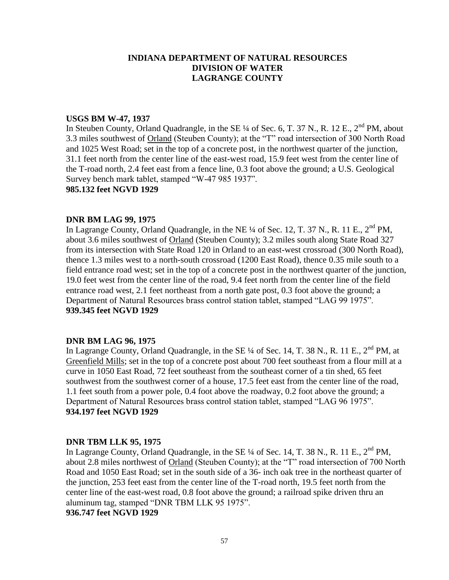## **USGS BM W-47, 1937**

In Steuben County, Orland Quadrangle, in the SE  $\frac{1}{4}$  of Sec. 6, T. 37 N., R. 12 E., 2<sup>nd</sup> PM, about 3.3 miles southwest of Orland (Steuben County); at the "T" road intersection of 300 North Road and 1025 West Road; set in the top of a concrete post, in the northwest quarter of the junction, 31.1 feet north from the center line of the east-west road, 15.9 feet west from the center line of the T-road north, 2.4 feet east from a fence line, 0.3 foot above the ground; a U.S. Geological Survey bench mark tablet, stamped "W-47 985 1937".

# **985.132 feet NGVD 1929**

## **DNR BM LAG 99, 1975**

In Lagrange County, Orland Quadrangle, in the NE  $\frac{1}{4}$  of Sec. 12, T. 37 N., R. 11 E.,  $2^{nd}$  PM, about 3.6 miles southwest of Orland (Steuben County); 3.2 miles south along State Road 327 from its intersection with State Road 120 in Orland to an east-west crossroad (300 North Road), thence 1.3 miles west to a north-south crossroad (1200 East Road), thence 0.35 mile south to a field entrance road west; set in the top of a concrete post in the northwest quarter of the junction, 19.0 feet west from the center line of the road, 9.4 feet north from the center line of the field entrance road west, 2.1 feet northeast from a north gate post, 0.3 foot above the ground; a Department of Natural Resources brass control station tablet, stamped "LAG 99 1975". **939.345 feet NGVD 1929**

# **DNR BM LAG 96, 1975**

In Lagrange County, Orland Quadrangle, in the SE  $\frac{1}{4}$  of Sec. 14, T. 38 N., R. 11 E.,  $2^{nd}$  PM, at Greenfield Mills; set in the top of a concrete post about 700 feet southeast from a flour mill at a curve in 1050 East Road, 72 feet southeast from the southeast corner of a tin shed, 65 feet southwest from the southwest corner of a house, 17.5 feet east from the center line of the road, 1.1 feet south from a power pole, 0.4 foot above the roadway, 0.2 foot above the ground; a Department of Natural Resources brass control station tablet, stamped "LAG 96 1975". **934.197 feet NGVD 1929**

#### **DNR TBM LLK 95, 1975**

In Lagrange County, Orland Quadrangle, in the SE  $\frac{1}{4}$  of Sec. 14, T. 38 N., R. 11 E.,  $2^{nd}$  PM, about 2.8 miles northwest of Orland (Steuben County); at the "T" road intersection of 700 North Road and 1050 East Road; set in the south side of a 36- inch oak tree in the northeast quarter of the junction, 253 feet east from the center line of the T-road north, 19.5 feet north from the center line of the east-west road, 0.8 foot above the ground; a railroad spike driven thru an aluminum tag, stamped "DNR TBM LLK 95 1975".

**936.747 feet NGVD 1929**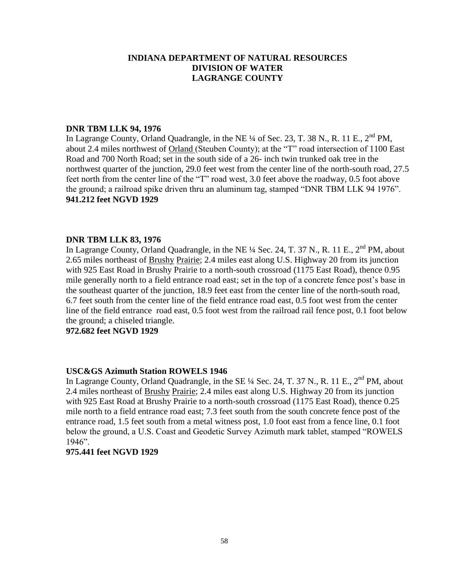## **DNR TBM LLK 94, 1976**

In Lagrange County, Orland Quadrangle, in the NE  $\frac{1}{4}$  of Sec. 23, T. 38 N., R. 11 E., 2<sup>nd</sup> PM, about 2.4 miles northwest of Orland (Steuben County); at the "T" road intersection of 1100 East Road and 700 North Road; set in the south side of a 26- inch twin trunked oak tree in the northwest quarter of the junction, 29.0 feet west from the center line of the north-south road, 27.5 feet north from the center line of the "T" road west, 3.0 feet above the roadway, 0.5 foot above the ground; a railroad spike driven thru an aluminum tag, stamped "DNR TBM LLK 94 1976". **941.212 feet NGVD 1929**

# **DNR TBM LLK 83, 1976**

In Lagrange County, Orland Quadrangle, in the NE  $\frac{1}{4}$  Sec. 24, T. 37 N., R. 11 E.,  $2^{nd}$  PM, about 2.65 miles northeast of Brushy Prairie; 2.4 miles east along U.S. Highway 20 from its junction with 925 East Road in Brushy Prairie to a north-south crossroad (1175 East Road), thence 0.95 mile generally north to a field entrance road east; set in the top of a concrete fence post's base in the southeast quarter of the junction, 18.9 feet east from the center line of the north-south road, 6.7 feet south from the center line of the field entrance road east, 0.5 foot west from the center line of the field entrance road east, 0.5 foot west from the railroad rail fence post, 0.1 foot below the ground; a chiseled triangle.

**972.682 feet NGVD 1929**

# **USC&GS Azimuth Station ROWELS 1946**

In Lagrange County, Orland Quadrangle, in the SE 1/4 Sec. 24, T. 37 N., R. 11 E., 2<sup>nd</sup> PM, about 2.4 miles northeast of Brushy Prairie; 2.4 miles east along U.S. Highway 20 from its junction with 925 East Road at Brushy Prairie to a north-south crossroad (1175 East Road), thence 0.25 mile north to a field entrance road east; 7.3 feet south from the south concrete fence post of the entrance road, 1.5 feet south from a metal witness post, 1.0 foot east from a fence line, 0.1 foot below the ground, a U.S. Coast and Geodetic Survey Azimuth mark tablet, stamped "ROWELS 1946".

## **975.441 feet NGVD 1929**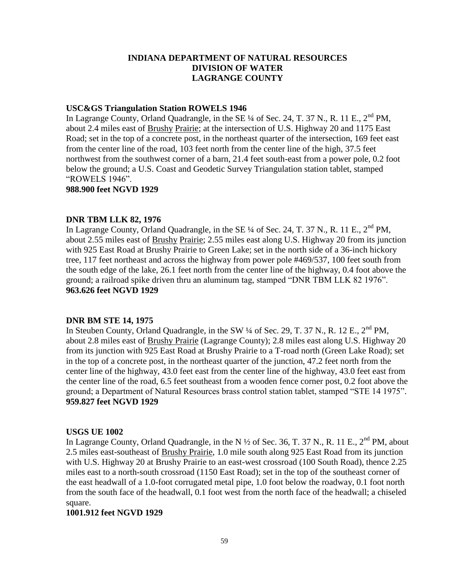## **USC&GS Triangulation Station ROWELS 1946**

In Lagrange County, Orland Quadrangle, in the SE  $\frac{1}{4}$  of Sec. 24, T. 37 N., R. 11 E.,  $2^{nd}$  PM, about 2.4 miles east of Brushy Prairie; at the intersection of U.S. Highway 20 and 1175 East Road; set in the top of a concrete post, in the northeast quarter of the intersection, 169 feet east from the center line of the road, 103 feet north from the center line of the high, 37.5 feet northwest from the southwest corner of a barn, 21.4 feet south-east from a power pole, 0.2 foot below the ground; a U.S. Coast and Geodetic Survey Triangulation station tablet, stamped "ROWELS 1946".

## **988.900 feet NGVD 1929**

# **DNR TBM LLK 82, 1976**

In Lagrange County, Orland Quadrangle, in the SE  $\frac{1}{4}$  of Sec. 24, T. 37 N., R. 11 E.,  $2^{nd}$  PM. about 2.55 miles east of Brushy Prairie; 2.55 miles east along U.S. Highway 20 from its junction with 925 East Road at Brushy Prairie to Green Lake; set in the north side of a 36-inch hickory tree, 117 feet northeast and across the highway from power pole #469/537, 100 feet south from the south edge of the lake, 26.1 feet north from the center line of the highway, 0.4 foot above the ground; a railroad spike driven thru an aluminum tag, stamped "DNR TBM LLK 82 1976". **963.626 feet NGVD 1929**

# **DNR BM STE 14, 1975**

In Steuben County, Orland Quadrangle, in the SW 1/4 of Sec. 29, T. 37 N., R. 12 E., 2<sup>nd</sup> PM, about 2.8 miles east of Brushy Prairie (Lagrange County); 2.8 miles east along U.S. Highway 20 from its junction with 925 East Road at Brushy Prairie to a T-road north (Green Lake Road); set in the top of a concrete post, in the northeast quarter of the junction, 47.2 feet north from the center line of the highway, 43.0 feet east from the center line of the highway, 43.0 feet east from the center line of the road, 6.5 feet southeast from a wooden fence corner post, 0.2 foot above the ground; a Department of Natural Resources brass control station tablet, stamped "STE 14 1975". **959.827 feet NGVD 1929**

# **USGS UE 1002**

In Lagrange County, Orland Quadrangle, in the N  $\frac{1}{2}$  of Sec. 36, T. 37 N., R. 11 E., 2<sup>nd</sup> PM, about 2.5 miles east-southeast of Brushy Prairie, 1.0 mile south along 925 East Road from its junction with U.S. Highway 20 at Brushy Prairie to an east-west crossroad (100 South Road), thence 2.25 miles east to a north-south crossroad (1150 East Road); set in the top of the southeast corner of the east headwall of a 1.0-foot corrugated metal pipe, 1.0 foot below the roadway, 0.1 foot north from the south face of the headwall, 0.1 foot west from the north face of the headwall; a chiseled square.

#### **1001.912 feet NGVD 1929**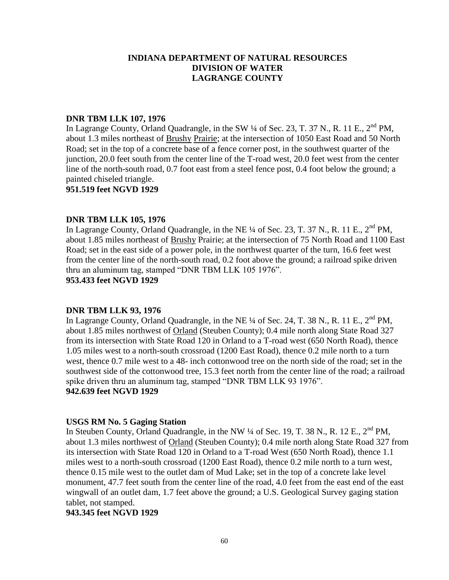#### **DNR TBM LLK 107, 1976**

In Lagrange County, Orland Quadrangle, in the SW  $\frac{1}{4}$  of Sec. 23, T. 37 N., R. 11 E., 2<sup>nd</sup> PM, about 1.3 miles northeast of Brushy Prairie; at the intersection of 1050 East Road and 50 North Road; set in the top of a concrete base of a fence corner post, in the southwest quarter of the junction, 20.0 feet south from the center line of the T-road west, 20.0 feet west from the center line of the north-south road, 0.7 foot east from a steel fence post, 0.4 foot below the ground; a painted chiseled triangle.

**951.519 feet NGVD 1929**

#### **DNR TBM LLK 105, 1976**

In Lagrange County, Orland Quadrangle, in the NE  $\frac{1}{4}$  of Sec. 23, T. 37 N., R. 11 E.,  $2^{nd}$  PM. about 1.85 miles northeast of Brushy Prairie; at the intersection of 75 North Road and 1100 East Road; set in the east side of a power pole, in the northwest quarter of the turn, 16.6 feet west from the center line of the north-south road, 0.2 foot above the ground; a railroad spike driven thru an aluminum tag, stamped "DNR TBM LLK 105 1976". **953.433 feet NGVD 1929**

# **DNR TBM LLK 93, 1976**

In Lagrange County, Orland Quadrangle, in the NE  $\frac{1}{4}$  of Sec. 24, T. 38 N., R. 11 E., 2<sup>nd</sup> PM, about 1.85 miles northwest of Orland (Steuben County); 0.4 mile north along State Road 327 from its intersection with State Road 120 in Orland to a T-road west (650 North Road), thence 1.05 miles west to a north-south crossroad (1200 East Road), thence 0.2 mile north to a turn west, thence 0.7 mile west to a 48- inch cottonwood tree on the north side of the road; set in the southwest side of the cottonwood tree, 15.3 feet north from the center line of the road; a railroad spike driven thru an aluminum tag, stamped "DNR TBM LLK 93 1976". **942.639 feet NGVD 1929**

#### **USGS RM No. 5 Gaging Station**

In Steuben County, Orland Quadrangle, in the NW  $\frac{1}{4}$  of Sec. 19, T. 38 N., R. 12 E.,  $2^{nd}$  PM, about 1.3 miles northwest of Orland (Steuben County); 0.4 mile north along State Road 327 from its intersection with State Road 120 in Orland to a T-road West (650 North Road), thence 1.1 miles west to a north-south crossroad (1200 East Road), thence 0.2 mile north to a turn west, thence 0.15 mile west to the outlet dam of Mud Lake; set in the top of a concrete lake level monument, 47.7 feet south from the center line of the road, 4.0 feet from the east end of the east wingwall of an outlet dam, 1.7 feet above the ground; a U.S. Geological Survey gaging station tablet, not stamped.

## **943.345 feet NGVD 1929**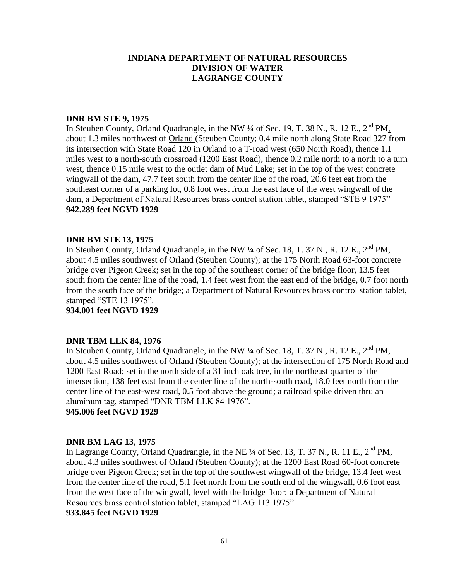#### **DNR BM STE 9, 1975**

In Steuben County, Orland Quadrangle, in the NW  $\frac{1}{4}$  of Sec. 19, T. 38 N., R. 12 E., 2<sup>nd</sup> PM, about 1.3 miles northwest of Orland (Steuben County; 0.4 mile north along State Road 327 from its intersection with State Road 120 in Orland to a T-road west (650 North Road), thence 1.1 miles west to a north-south crossroad (1200 East Road), thence 0.2 mile north to a north to a turn west, thence 0.15 mile west to the outlet dam of Mud Lake; set in the top of the west concrete wingwall of the dam, 47.7 feet south from the center line of the road, 20.6 feet eat from the southeast corner of a parking lot, 0.8 foot west from the east face of the west wingwall of the dam, a Department of Natural Resources brass control station tablet, stamped "STE 9 1975" **942.289 feet NGVD 1929**

#### **DNR BM STE 13, 1975**

In Steuben County, Orland Quadrangle, in the NW  $\frac{1}{4}$  of Sec. 18, T. 37 N., R. 12 E.,  $2^{nd}$  PM, about 4.5 miles southwest of Orland (Steuben County); at the 175 North Road 63-foot concrete bridge over Pigeon Creek; set in the top of the southeast corner of the bridge floor, 13.5 feet south from the center line of the road, 1.4 feet west from the east end of the bridge, 0.7 foot north from the south face of the bridge; a Department of Natural Resources brass control station tablet, stamped "STE 13 1975".

**934.001 feet NGVD 1929**

#### **DNR TBM LLK 84, 1976**

In Steuben County, Orland Quadrangle, in the NW  $\frac{1}{4}$  of Sec. 18, T. 37 N., R. 12 E.,  $2^{nd}$  PM, about 4.5 miles southwest of Orland (Steuben County); at the intersection of 175 North Road and 1200 East Road; set in the north side of a 31 inch oak tree, in the northeast quarter of the intersection, 138 feet east from the center line of the north-south road, 18.0 feet north from the center line of the east-west road, 0.5 foot above the ground; a railroad spike driven thru an aluminum tag, stamped "DNR TBM LLK 84 1976".

**945.006 feet NGVD 1929**

#### **DNR BM LAG 13, 1975**

In Lagrange County, Orland Quadrangle, in the NE <sup>1</sup>/4 of Sec. 13, T. 37 N., R. 11 E., 2<sup>nd</sup> PM, about 4.3 miles southwest of Orland (Steuben County); at the 1200 East Road 60-foot concrete bridge over Pigeon Creek; set in the top of the southwest wingwall of the bridge, 13.4 feet west from the center line of the road, 5.1 feet north from the south end of the wingwall, 0.6 foot east from the west face of the wingwall, level with the bridge floor; a Department of Natural Resources brass control station tablet, stamped "LAG 113 1975".

**933.845 feet NGVD 1929**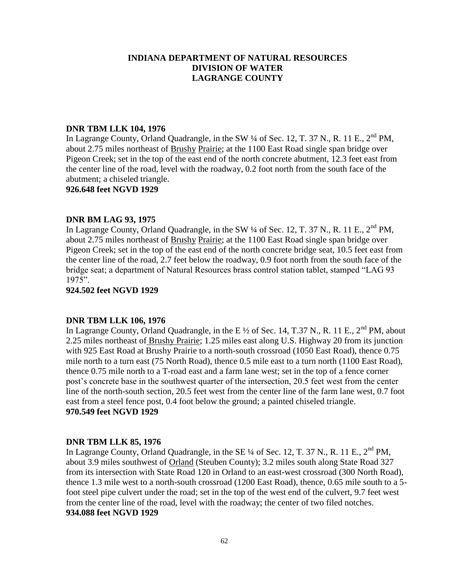# **DNR TBM LLK 104, 1976**

In Lagrange County, Orland Quadrangle, in the SW  $\frac{1}{4}$  of Sec. 12, T. 37 N., R. 11 E., 2<sup>nd</sup> PM, about 2.75 miles northeast of Brushy Prairie; at the 1100 East Road single span bridge over Pigeon Creek; set in the top of the east end of the north concrete abutment, 12.3 feet east from the center line of the road, level with the roadway, 0.2 foot north from the south face of the abutment; a chiseled triangle.

**926.648 feet NGVD 1929**

## **DNR BM LAG 93, 1975**

In Lagrange County, Orland Quadrangle, in the SW 1/4 of Sec. 12, T. 37 N., R. 11 E., 2<sup>nd</sup> PM, about 2.75 miles northeast of Brushy Prairie; at the 1100 East Road single span bridge over Pigeon Creek; set in the top of the east end of the north concrete bridge seat, 10.5 feet east from the center line of the road, 2.7 feet below the roadway, 0.9 foot north from the south face of the bridge seat; a department of Natural Resources brass control station tablet, stamped "LAG 93 1975".

## **924.502 feet NGVD 1929**

#### **DNR TBM LLK 106, 1976**

In Lagrange County, Orland Quadrangle, in the E  $\frac{1}{2}$  of Sec. 14, T.37 N., R. 11 E., 2<sup>nd</sup> PM, about 2.25 miles northeast of Brushy Prairie; 1.25 miles east along U.S. Highway 20 from its junction with 925 East Road at Brushy Prairie to a north-south crossroad (1050 East Road), thence 0.75 mile north to a turn east (75 North Road), thence 0.5 mile east to a turn north (1100 East Road), thence 0.75 mile north to a T-road east and a farm lane west; set in the top of a fence corner post's concrete base in the southwest quarter of the intersection, 20.5 feet west from the center line of the north-south section, 20.5 feet west from the center line of the farm lane west, 0.7 foot east from a steel fence post, 0.4 foot below the ground; a painted chiseled triangle. **970.549 feet NGVD 1929**

#### **DNR TBM LLK 85, 1976**

In Lagrange County, Orland Quadrangle, in the SE  $\frac{1}{4}$  of Sec. 12, T. 37 N., R. 11 E.,  $2^{nd}$  PM, about 3.9 miles southwest of Orland (Steuben County); 3.2 miles south along State Road 327 from its intersection with State Road 120 in Orland to an east-west crossroad (300 North Road), thence 1.3 mile west to a north-south crossroad (1200 East Road), thence, 0.65 mile south to a 5 foot steel pipe culvert under the road; set in the top of the west end of the culvert, 9.7 feet west from the center line of the road, level with the roadway; the center of two filed notches. **934.088 feet NGVD 1929**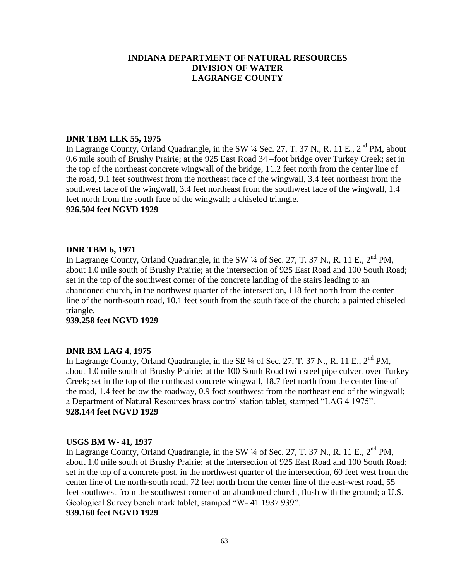## **DNR TBM LLK 55, 1975**

In Lagrange County, Orland Quadrangle, in the SW  $\frac{1}{4}$  Sec. 27, T. 37 N., R. 11 E., 2<sup>nd</sup> PM, about 0.6 mile south of Brushy Prairie; at the 925 East Road 34 –foot bridge over Turkey Creek; set in the top of the northeast concrete wingwall of the bridge, 11.2 feet north from the center line of the road, 9.1 feet southwest from the northeast face of the wingwall, 3.4 feet northeast from the southwest face of the wingwall, 3.4 feet northeast from the southwest face of the wingwall, 1.4 feet north from the south face of the wingwall; a chiseled triangle.

#### **926.504 feet NGVD 1929**

## **DNR TBM 6, 1971**

In Lagrange County, Orland Quadrangle, in the SW  $\frac{1}{4}$  of Sec. 27, T. 37 N., R. 11 E.,  $2^{nd}$  PM, about 1.0 mile south of Brushy Prairie; at the intersection of 925 East Road and 100 South Road; set in the top of the southwest corner of the concrete landing of the stairs leading to an abandoned church, in the northwest quarter of the intersection, 118 feet north from the center line of the north-south road, 10.1 feet south from the south face of the church; a painted chiseled triangle.

#### **939.258 feet NGVD 1929**

#### **DNR BM LAG 4, 1975**

In Lagrange County, Orland Quadrangle, in the SE  $\frac{1}{4}$  of Sec. 27, T. 37 N., R. 11 E.,  $2^{nd}$  PM, about 1.0 mile south of Brushy Prairie; at the 100 South Road twin steel pipe culvert over Turkey Creek; set in the top of the northeast concrete wingwall, 18.7 feet north from the center line of the road, 1.4 feet below the roadway, 0.9 foot southwest from the northeast end of the wingwall; a Department of Natural Resources brass control station tablet, stamped "LAG 4 1975". **928.144 feet NGVD 1929**

#### **USGS BM W- 41, 1937**

In Lagrange County, Orland Quadrangle, in the SW 1/4 of Sec. 27, T. 37 N., R. 11 E., 2<sup>nd</sup> PM, about 1.0 mile south of Brushy Prairie; at the intersection of 925 East Road and 100 South Road; set in the top of a concrete post, in the northwest quarter of the intersection, 60 feet west from the center line of the north-south road, 72 feet north from the center line of the east-west road, 55 feet southwest from the southwest corner of an abandoned church, flush with the ground; a U.S. Geological Survey bench mark tablet, stamped "W- 41 1937 939".

#### **939.160 feet NGVD 1929**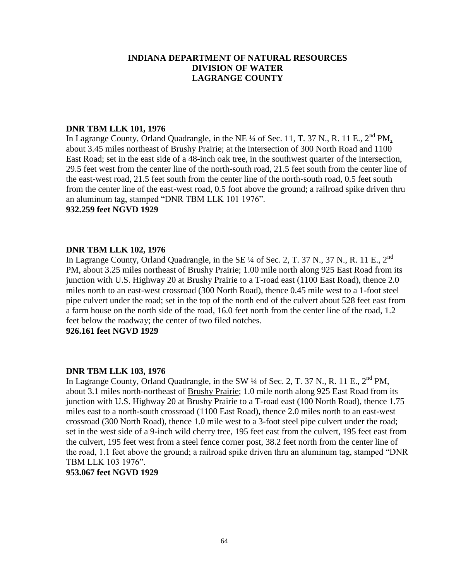## **DNR TBM LLK 101, 1976**

In Lagrange County, Orland Quadrangle, in the NE  $\frac{1}{4}$  of Sec. 11, T. 37 N., R. 11 E., 2<sup>nd</sup> PM, about 3.45 miles northeast of Brushy Prairie; at the intersection of 300 North Road and 1100 East Road; set in the east side of a 48-inch oak tree, in the southwest quarter of the intersection, 29.5 feet west from the center line of the north-south road, 21.5 feet south from the center line of the east-west road, 21.5 feet south from the center line of the north-south road, 0.5 feet south from the center line of the east-west road, 0.5 foot above the ground; a railroad spike driven thru an aluminum tag, stamped "DNR TBM LLK 101 1976".

#### **932.259 feet NGVD 1929**

## **DNR TBM LLK 102, 1976**

In Lagrange County, Orland Quadrangle, in the SE 1/4 of Sec. 2, T. 37 N., 37 N., R. 11 E., 2<sup>nd</sup> PM, about 3.25 miles northeast of Brushy Prairie; 1.00 mile north along 925 East Road from its junction with U.S. Highway 20 at Brushy Prairie to a T-road east (1100 East Road), thence 2.0 miles north to an east-west crossroad (300 North Road), thence 0.45 mile west to a 1-foot steel pipe culvert under the road; set in the top of the north end of the culvert about 528 feet east from a farm house on the north side of the road, 16.0 feet north from the center line of the road, 1.2 feet below the roadway; the center of two filed notches.

**926.161 feet NGVD 1929**

# **DNR TBM LLK 103, 1976**

In Lagrange County, Orland Quadrangle, in the SW  $\frac{1}{4}$  of Sec. 2, T. 37 N., R. 11 E.,  $2^{nd}$  PM. about 3.1 miles north-northeast of Brushy Prairie; 1.0 mile north along 925 East Road from its junction with U.S. Highway 20 at Brushy Prairie to a T-road east (100 North Road), thence 1.75 miles east to a north-south crossroad (1100 East Road), thence 2.0 miles north to an east-west crossroad (300 North Road), thence 1.0 mile west to a 3-foot steel pipe culvert under the road; set in the west side of a 9-inch wild cherry tree, 195 feet east from the culvert, 195 feet east from the culvert, 195 feet west from a steel fence corner post, 38.2 feet north from the center line of the road, 1.1 feet above the ground; a railroad spike driven thru an aluminum tag, stamped "DNR TBM LLK 103 1976".

**953.067 feet NGVD 1929**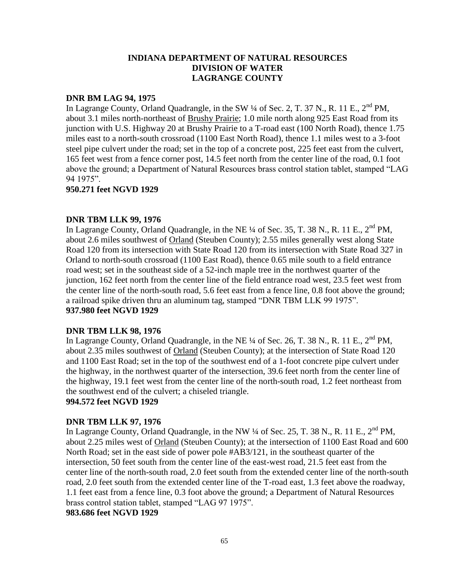## **DNR BM LAG 94, 1975**

In Lagrange County, Orland Quadrangle, in the SW  $\frac{1}{4}$  of Sec. 2, T. 37 N., R. 11 E.,  $2^{nd}$  PM. about 3.1 miles north-northeast of Brushy Prairie; 1.0 mile north along 925 East Road from its junction with U.S. Highway 20 at Brushy Prairie to a T-road east (100 North Road), thence 1.75 miles east to a north-south crossroad (1100 East North Road), thence 1.1 miles west to a 3-foot steel pipe culvert under the road; set in the top of a concrete post, 225 feet east from the culvert, 165 feet west from a fence corner post, 14.5 feet north from the center line of the road, 0.1 foot above the ground; a Department of Natural Resources brass control station tablet, stamped "LAG 94 1975".

## **950.271 feet NGVD 1929**

## **DNR TBM LLK 99, 1976**

In Lagrange County, Orland Quadrangle, in the NE  $\frac{1}{4}$  of Sec. 35, T. 38 N., R. 11 E.,  $2^{nd}$  PM, about 2.6 miles southwest of Orland (Steuben County); 2.55 miles generally west along State Road 120 from its intersection with State Road 120 from its intersection with State Road 327 in Orland to north-south crossroad (1100 East Road), thence 0.65 mile south to a field entrance road west; set in the southeast side of a 52-inch maple tree in the northwest quarter of the junction, 162 feet north from the center line of the field entrance road west, 23.5 feet west from the center line of the north-south road, 5.6 feet east from a fence line, 0.8 foot above the ground; a railroad spike driven thru an aluminum tag, stamped "DNR TBM LLK 99 1975". **937.980 feet NGVD 1929**

#### **DNR TBM LLK 98, 1976**

In Lagrange County, Orland Quadrangle, in the NE  $\frac{1}{4}$  of Sec. 26, T. 38 N., R. 11 E., 2<sup>nd</sup> PM, about 2.35 miles southwest of Orland (Steuben County); at the intersection of State Road 120 and 1100 East Road; set in the top of the southwest end of a 1-foot concrete pipe culvert under the highway, in the northwest quarter of the intersection, 39.6 feet north from the center line of the highway, 19.1 feet west from the center line of the north-south road, 1.2 feet northeast from the southwest end of the culvert; a chiseled triangle.

# **994.572 feet NGVD 1929**

# **DNR TBM LLK 97, 1976**

In Lagrange County, Orland Quadrangle, in the NW  $\frac{1}{4}$  of Sec. 25, T. 38 N., R. 11 E.,  $2^{nd}$  PM, about 2.25 miles west of Orland (Steuben County); at the intersection of 1100 East Road and 600 North Road; set in the east side of power pole #AB3/121, in the southeast quarter of the intersection, 50 feet south from the center line of the east-west road, 21.5 feet east from the center line of the north-south road, 2.0 feet south from the extended center line of the north-south road, 2.0 feet south from the extended center line of the T-road east, 1.3 feet above the roadway, 1.1 feet east from a fence line, 0.3 foot above the ground; a Department of Natural Resources brass control station tablet, stamped "LAG 97 1975".

**983.686 feet NGVD 1929**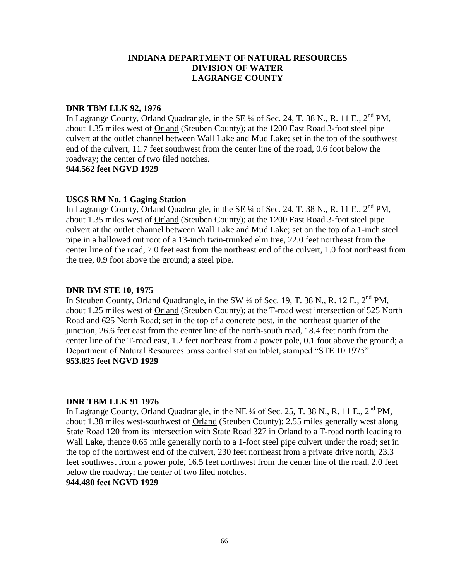## **DNR TBM LLK 92, 1976**

In Lagrange County, Orland Quadrangle, in the SE  $\frac{1}{4}$  of Sec. 24, T. 38 N., R. 11 E.,  $2^{nd}$  PM, about 1.35 miles west of Orland (Steuben County); at the 1200 East Road 3-foot steel pipe culvert at the outlet channel between Wall Lake and Mud Lake; set in the top of the southwest end of the culvert, 11.7 feet southwest from the center line of the road, 0.6 foot below the roadway; the center of two filed notches.

**944.562 feet NGVD 1929**

# **USGS RM No. 1 Gaging Station**

In Lagrange County, Orland Quadrangle, in the SE  $\frac{1}{4}$  of Sec. 24, T. 38 N., R. 11 E., 2<sup>nd</sup> PM, about 1.35 miles west of Orland (Steuben County); at the 1200 East Road 3-foot steel pipe culvert at the outlet channel between Wall Lake and Mud Lake; set on the top of a 1-inch steel pipe in a hallowed out root of a 13-inch twin-trunked elm tree, 22.0 feet northeast from the center line of the road, 7.0 feet east from the northeast end of the culvert, 1.0 foot northeast from the tree, 0.9 foot above the ground; a steel pipe.

## **DNR BM STE 10, 1975**

In Steuben County, Orland Quadrangle, in the SW  $\frac{1}{4}$  of Sec. 19, T. 38 N., R. 12 E., 2<sup>nd</sup> PM, about 1.25 miles west of Orland (Steuben County); at the T-road west intersection of 525 North Road and 625 North Road; set in the top of a concrete post, in the northeast quarter of the junction, 26.6 feet east from the center line of the north-south road, 18.4 feet north from the center line of the T-road east, 1.2 feet northeast from a power pole, 0.1 foot above the ground; a Department of Natural Resources brass control station tablet, stamped "STE 10 1975". **953.825 feet NGVD 1929**

#### **DNR TBM LLK 91 1976**

In Lagrange County, Orland Quadrangle, in the NE  $\frac{1}{4}$  of Sec. 25, T. 38 N., R. 11 E., 2<sup>nd</sup> PM, about 1.38 miles west-southwest of Orland (Steuben County); 2.55 miles generally west along State Road 120 from its intersection with State Road 327 in Orland to a T-road north leading to Wall Lake, thence 0.65 mile generally north to a 1-foot steel pipe culvert under the road; set in the top of the northwest end of the culvert, 230 feet northeast from a private drive north, 23.3 feet southwest from a power pole, 16.5 feet northwest from the center line of the road, 2.0 feet below the roadway; the center of two filed notches.

# **944.480 feet NGVD 1929**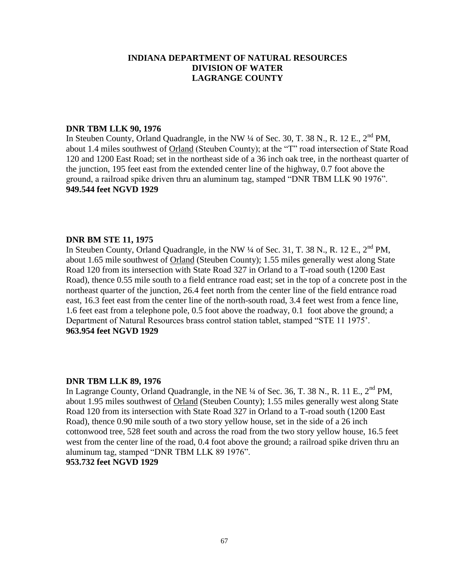## **DNR TBM LLK 90, 1976**

In Steuben County, Orland Quadrangle, in the NW  $\frac{1}{4}$  of Sec. 30, T. 38 N., R. 12 E., 2<sup>nd</sup> PM, about 1.4 miles southwest of Orland (Steuben County); at the "T" road intersection of State Road 120 and 1200 East Road; set in the northeast side of a 36 inch oak tree, in the northeast quarter of the junction, 195 feet east from the extended center line of the highway, 0.7 foot above the ground, a railroad spike driven thru an aluminum tag, stamped "DNR TBM LLK 90 1976". **949.544 feet NGVD 1929**

## **DNR BM STE 11, 1975**

In Steuben County, Orland Quadrangle, in the NW 1/4 of Sec. 31, T. 38 N., R. 12 E., 2<sup>nd</sup> PM, about 1.65 mile southwest of Orland (Steuben County); 1.55 miles generally west along State Road 120 from its intersection with State Road 327 in Orland to a T-road south (1200 East Road), thence 0.55 mile south to a field entrance road east; set in the top of a concrete post in the northeast quarter of the junction, 26.4 feet north from the center line of the field entrance road east, 16.3 feet east from the center line of the north-south road, 3.4 feet west from a fence line, 1.6 feet east from a telephone pole, 0.5 foot above the roadway, 0.1 foot above the ground; a Department of Natural Resources brass control station tablet, stamped "STE 11 1975'. **963.954 feet NGVD 1929**

#### **DNR TBM LLK 89, 1976**

In Lagrange County, Orland Quadrangle, in the NE  $\frac{1}{4}$  of Sec. 36, T. 38 N., R. 11 E., 2<sup>nd</sup> PM, about 1.95 miles southwest of Orland (Steuben County); 1.55 miles generally west along State Road 120 from its intersection with State Road 327 in Orland to a T-road south (1200 East Road), thence 0.90 mile south of a two story yellow house, set in the side of a 26 inch cottonwood tree, 528 feet south and across the road from the two story yellow house, 16.5 feet west from the center line of the road, 0.4 foot above the ground; a railroad spike driven thru an aluminum tag, stamped "DNR TBM LLK 89 1976".

#### **953.732 feet NGVD 1929**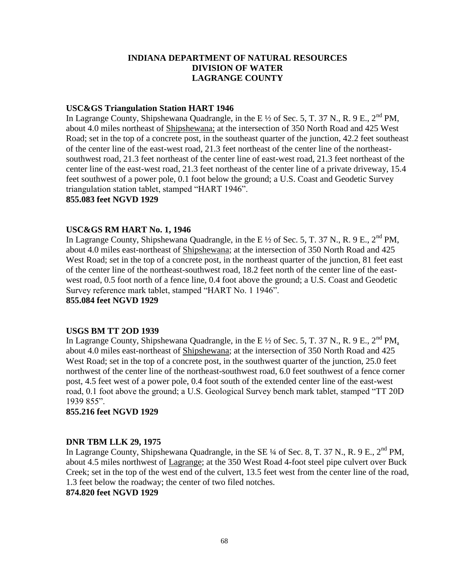#### **USC&GS Triangulation Station HART 1946**

In Lagrange County, Shipshewana Quadrangle, in the E <sup>1/2</sup> of Sec. 5, T. 37 N., R. 9 E., 2<sup>nd</sup> PM, about 4.0 miles northeast of Shipshewana; at the intersection of 350 North Road and 425 West Road; set in the top of a concrete post, in the southeast quarter of the junction, 42.2 feet southeast of the center line of the east-west road, 21.3 feet northeast of the center line of the northeastsouthwest road, 21.3 feet northeast of the center line of east-west road, 21.3 feet northeast of the center line of the east-west road, 21.3 feet northeast of the center line of a private driveway, 15.4 feet southwest of a power pole, 0.1 foot below the ground; a U.S. Coast and Geodetic Survey triangulation station tablet, stamped "HART 1946".

#### **855.083 feet NGVD 1929**

## **USC&GS RM HART No. 1, 1946**

In Lagrange County, Shipshewana Quadrangle, in the E  $\frac{1}{2}$  of Sec. 5, T. 37 N., R. 9 E., 2<sup>nd</sup> PM, about 4.0 miles east-northeast of Shipshewana; at the intersection of 350 North Road and 425 West Road; set in the top of a concrete post, in the northeast quarter of the junction, 81 feet east of the center line of the northeast-southwest road, 18.2 feet north of the center line of the eastwest road, 0.5 foot north of a fence line, 0.4 foot above the ground; a U.S. Coast and Geodetic Survey reference mark tablet, stamped "HART No. 1 1946".

**855.084 feet NGVD 1929**

## **USGS BM TT 2OD 1939**

In Lagrange County, Shipshewana Quadrangle, in the E  $\frac{1}{2}$  of Sec. 5, T. 37 N., R. 9 E., 2<sup>nd</sup> PM, about 4.0 miles east-northeast of Shipshewana; at the intersection of 350 North Road and 425 West Road; set in the top of a concrete post, in the southwest quarter of the junction, 25.0 feet northwest of the center line of the northeast-southwest road, 6.0 feet southwest of a fence corner post, 4.5 feet west of a power pole, 0.4 foot south of the extended center line of the east-west road, 0.1 foot above the ground; a U.S. Geological Survey bench mark tablet, stamped "TT 20D 1939 855".

**855.216 feet NGVD 1929**

#### **DNR TBM LLK 29, 1975**

In Lagrange County, Shipshewana Quadrangle, in the SE  $\frac{1}{4}$  of Sec. 8, T. 37 N., R. 9 E., 2<sup>nd</sup> PM, about 4.5 miles northwest of Lagrange; at the 350 West Road 4-foot steel pipe culvert over Buck Creek; set in the top of the west end of the culvert, 13.5 feet west from the center line of the road, 1.3 feet below the roadway; the center of two filed notches. **874.820 feet NGVD 1929**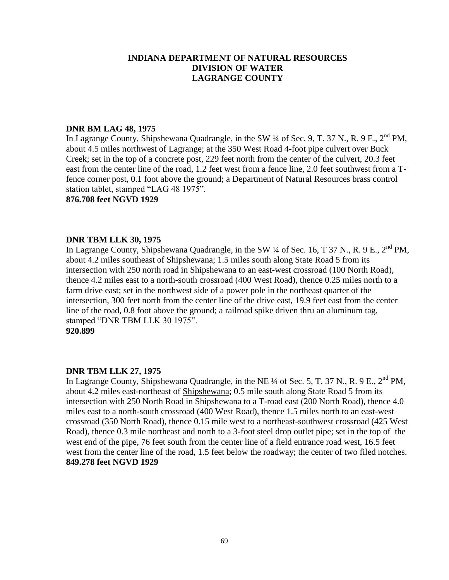## **DNR BM LAG 48, 1975**

In Lagrange County, Shipshewana Quadrangle, in the SW  $\frac{1}{4}$  of Sec. 9, T. 37 N., R. 9 E., 2<sup>nd</sup> PM, about 4.5 miles northwest of Lagrange; at the 350 West Road 4-foot pipe culvert over Buck Creek; set in the top of a concrete post, 229 feet north from the center of the culvert, 20.3 feet east from the center line of the road, 1.2 feet west from a fence line, 2.0 feet southwest from a Tfence corner post, 0.1 foot above the ground; a Department of Natural Resources brass control station tablet, stamped "LAG 48 1975".

#### **876.708 feet NGVD 1929**

# **DNR TBM LLK 30, 1975**

In Lagrange County, Shipshewana Quadrangle, in the SW  $\frac{1}{4}$  of Sec. 16, T 37 N., R. 9 E., 2<sup>nd</sup> PM, about 4.2 miles southeast of Shipshewana; 1.5 miles south along State Road 5 from its intersection with 250 north road in Shipshewana to an east-west crossroad (100 North Road), thence 4.2 miles east to a north-south crossroad (400 West Road), thence 0.25 miles north to a farm drive east; set in the northwest side of a power pole in the northeast quarter of the intersection, 300 feet north from the center line of the drive east, 19.9 feet east from the center line of the road, 0.8 foot above the ground; a railroad spike driven thru an aluminum tag, stamped "DNR TBM LLK 30 1975". **920.899**

# **DNR TBM LLK 27, 1975**

In Lagrange County, Shipshewana Quadrangle, in the NE ¼ of Sec. 5, T. 37 N., R. 9 E., 2<sup>nd</sup> PM. about 4.2 miles east-northeast of Shipshewana; 0.5 mile south along State Road 5 from its intersection with 250 North Road in Shipshewana to a T-road east (200 North Road), thence 4.0 miles east to a north-south crossroad (400 West Road), thence 1.5 miles north to an east-west crossroad (350 North Road), thence 0.15 mile west to a northeast-southwest crossroad (425 West Road), thence 0.3 mile northeast and north to a 3-foot steel drop outlet pipe; set in the top of the west end of the pipe, 76 feet south from the center line of a field entrance road west, 16.5 feet west from the center line of the road, 1.5 feet below the roadway; the center of two filed notches. **849.278 feet NGVD 1929**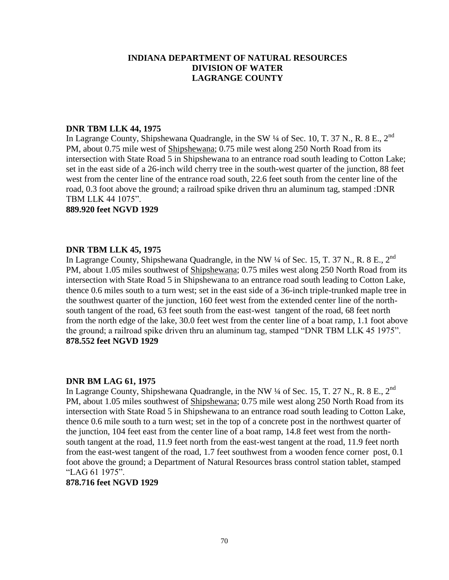## **DNR TBM LLK 44, 1975**

In Lagrange County, Shipshewana Quadrangle, in the SW 1/4 of Sec. 10, T. 37 N., R. 8 E., 2<sup>nd</sup> PM, about 0.75 mile west of Shipshewana; 0.75 mile west along 250 North Road from its intersection with State Road 5 in Shipshewana to an entrance road south leading to Cotton Lake; set in the east side of a 26-inch wild cherry tree in the south-west quarter of the junction, 88 feet west from the center line of the entrance road south, 22.6 feet south from the center line of the road, 0.3 foot above the ground; a railroad spike driven thru an aluminum tag, stamped :DNR TBM LLK 44 1075".

**889.920 feet NGVD 1929**

## **DNR TBM LLK 45, 1975**

In Lagrange County, Shipshewana Quadrangle, in the NW  $\frac{1}{4}$  of Sec. 15, T. 37 N., R. 8 E., 2<sup>nd</sup> PM, about 1.05 miles southwest of Shipshewana; 0.75 miles west along 250 North Road from its intersection with State Road 5 in Shipshewana to an entrance road south leading to Cotton Lake, thence 0.6 miles south to a turn west; set in the east side of a 36-inch triple-trunked maple tree in the southwest quarter of the junction, 160 feet west from the extended center line of the northsouth tangent of the road, 63 feet south from the east-west tangent of the road, 68 feet north from the north edge of the lake, 30.0 feet west from the center line of a boat ramp, 1.1 foot above the ground; a railroad spike driven thru an aluminum tag, stamped "DNR TBM LLK 45 1975". **878.552 feet NGVD 1929**

# **DNR BM LAG 61, 1975**

In Lagrange County, Shipshewana Quadrangle, in the NW  $\frac{1}{4}$  of Sec. 15, T. 27 N., R. 8 E., 2<sup>nd</sup> PM, about 1.05 miles southwest of Shipshewana; 0.75 mile west along 250 North Road from its intersection with State Road 5 in Shipshewana to an entrance road south leading to Cotton Lake, thence 0.6 mile south to a turn west; set in the top of a concrete post in the northwest quarter of the junction, 104 feet east from the center line of a boat ramp, 14.8 feet west from the northsouth tangent at the road, 11.9 feet north from the east-west tangent at the road, 11.9 feet north from the east-west tangent of the road, 1.7 feet southwest from a wooden fence corner post, 0.1 foot above the ground; a Department of Natural Resources brass control station tablet, stamped "LAG 61 1975".

#### **878.716 feet NGVD 1929**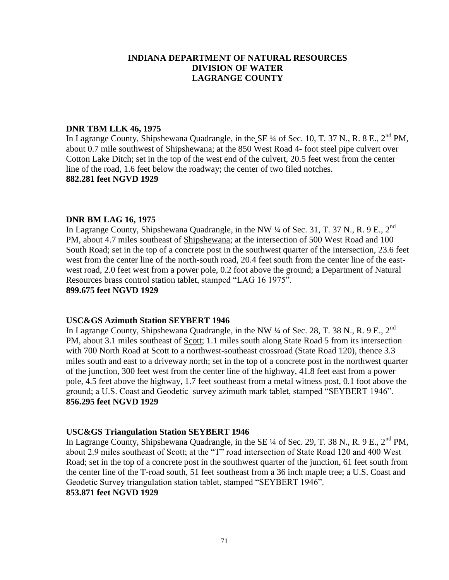## **DNR TBM LLK 46, 1975**

In Lagrange County, Shipshewana Quadrangle, in the SE ¼ of Sec. 10, T. 37 N., R. 8 E., 2<sup>nd</sup> PM, about 0.7 mile southwest of Shipshewana; at the 850 West Road 4- foot steel pipe culvert over Cotton Lake Ditch; set in the top of the west end of the culvert, 20.5 feet west from the center line of the road, 1.6 feet below the roadway; the center of two filed notches. **882.281 feet NGVD 1929**

## **DNR BM LAG 16, 1975**

In Lagrange County, Shipshewana Quadrangle, in the NW ¼ of Sec. 31, T. 37 N., R. 9 E., 2<sup>nd</sup> PM, about 4.7 miles southeast of Shipshewana; at the intersection of 500 West Road and 100 South Road; set in the top of a concrete post in the southwest quarter of the intersection, 23.6 feet west from the center line of the north-south road, 20.4 feet south from the center line of the eastwest road, 2.0 feet west from a power pole, 0.2 foot above the ground; a Department of Natural Resources brass control station tablet, stamped "LAG 16 1975". **899.675 feet NGVD 1929**

#### **USC&GS Azimuth Station SEYBERT 1946**

In Lagrange County, Shipshewana Quadrangle, in the NW  $\frac{1}{4}$  of Sec. 28, T. 38 N., R. 9 E., 2<sup>nd</sup> PM, about 3.1 miles southeast of Scott; 1.1 miles south along State Road 5 from its intersection with 700 North Road at Scott to a northwest-southeast crossroad (State Road 120), thence 3.3 miles south and east to a driveway north; set in the top of a concrete post in the northwest quarter of the junction, 300 feet west from the center line of the highway, 41.8 feet east from a power pole, 4.5 feet above the highway, 1.7 feet southeast from a metal witness post, 0.1 foot above the ground; a U.S. Coast and Geodetic survey azimuth mark tablet, stamped "SEYBERT 1946". **856.295 feet NGVD 1929**

#### **USC&GS Triangulation Station SEYBERT 1946**

In Lagrange County, Shipshewana Quadrangle, in the SE ¼ of Sec. 29, T. 38 N., R. 9 E., 2<sup>nd</sup> PM, about 2.9 miles southeast of Scott; at the "T" road intersection of State Road 120 and 400 West Road; set in the top of a concrete post in the southwest quarter of the junction, 61 feet south from the center line of the T-road south, 51 feet southeast from a 36 inch maple tree; a U.S. Coast and Geodetic Survey triangulation station tablet, stamped "SEYBERT 1946". **853.871 feet NGVD 1929**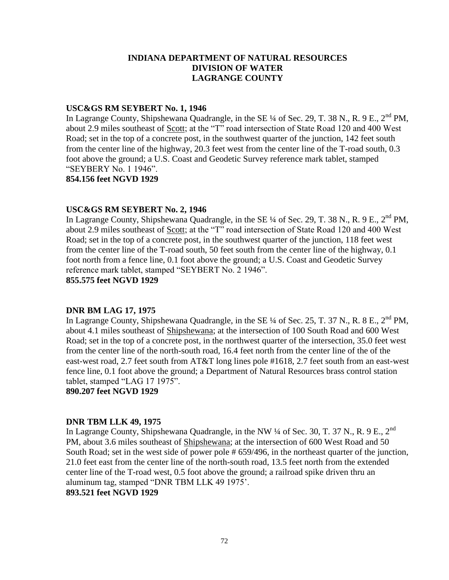## **USC&GS RM SEYBERT No. 1, 1946**

In Lagrange County, Shipshewana Quadrangle, in the SE  $\frac{1}{4}$  of Sec. 29, T. 38 N., R. 9 E., 2<sup>nd</sup> PM, about 2.9 miles southeast of Scott; at the "T" road intersection of State Road 120 and 400 West Road; set in the top of a concrete post, in the southwest quarter of the junction, 142 feet south from the center line of the highway, 20.3 feet west from the center line of the T-road south, 0.3 foot above the ground; a U.S. Coast and Geodetic Survey reference mark tablet, stamped "SEYBERY No. 1 1946".

**854.156 feet NGVD 1929**

## **USC&GS RM SEYBERT No. 2, 1946**

In Lagrange County, Shipshewana Quadrangle, in the SE  $\frac{1}{4}$  of Sec. 29, T. 38 N., R. 9 E., 2<sup>nd</sup> PM, about 2.9 miles southeast of Scott; at the "T" road intersection of State Road 120 and 400 West Road; set in the top of a concrete post, in the southwest quarter of the junction, 118 feet west from the center line of the T-road south, 50 feet south from the center line of the highway, 0.1 foot north from a fence line, 0.1 foot above the ground; a U.S. Coast and Geodetic Survey reference mark tablet, stamped "SEYBERT No. 2 1946". **855.575 feet NGVD 1929**

# **DNR BM LAG 17, 1975**

In Lagrange County, Shipshewana Quadrangle, in the SE  $\frac{1}{4}$  of Sec. 25, T. 37 N., R. 8 E.,  $2^{nd}$  PM, about 4.1 miles southeast of Shipshewana; at the intersection of 100 South Road and 600 West Road; set in the top of a concrete post, in the northwest quarter of the intersection, 35.0 feet west from the center line of the north-south road, 16.4 feet north from the center line of the of the east-west road, 2.7 feet south from AT&T long lines pole #1618, 2.7 feet south from an east-west fence line, 0.1 foot above the ground; a Department of Natural Resources brass control station tablet, stamped "LAG 17 1975".

**890.207 feet NGVD 1929**

#### **DNR TBM LLK 49, 1975**

In Lagrange County, Shipshewana Quadrangle, in the NW  $\frac{1}{4}$  of Sec. 30, T. 37 N., R. 9 E., 2<sup>nd</sup> PM, about 3.6 miles southeast of Shipshewana; at the intersection of 600 West Road and 50 South Road; set in the west side of power pole # 659/496, in the northeast quarter of the junction, 21.0 feet east from the center line of the north-south road, 13.5 feet north from the extended center line of the T-road west, 0.5 foot above the ground; a railroad spike driven thru an aluminum tag, stamped "DNR TBM LLK 49 1975'.

#### **893.521 feet NGVD 1929**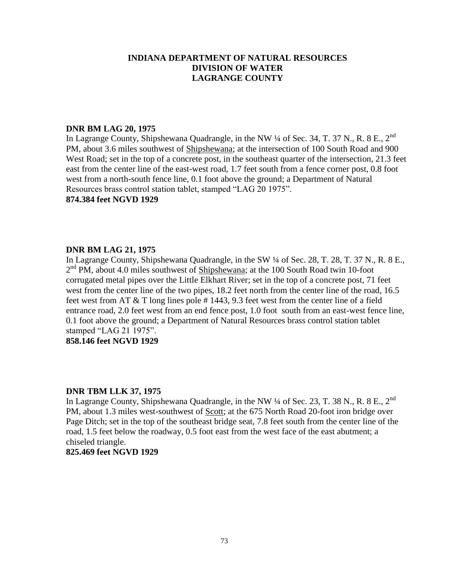## **DNR BM LAG 20, 1975**

In Lagrange County, Shipshewana Quadrangle, in the NW  $\frac{1}{4}$  of Sec. 34, T. 37 N., R. 8 E., 2<sup>nd</sup> PM, about 3.6 miles southwest of Shipshewana; at the intersection of 100 South Road and 900 West Road; set in the top of a concrete post, in the southeast quarter of the intersection, 21.3 feet east from the center line of the east-west road, 1.7 feet south from a fence corner post, 0.8 foot west from a north-south fence line, 0.1 foot above the ground; a Department of Natural Resources brass control station tablet, stamped "LAG 20 1975".

#### **874.384 feet NGVD 1929**

## **DNR BM LAG 21, 1975**

In Lagrange County, Shipshewana Quadrangle, in the SW ¼ of Sec. 28, T. 28, T. 37 N., R. 8 E., 2<sup>nd</sup> PM, about 4.0 miles southwest of **Shipshewana**; at the 100 South Road twin 10-foot corrugated metal pipes over the Little Elkhart River; set in the top of a concrete post, 71 feet west from the center line of the two pipes, 18.2 feet north from the center line of the road, 16.5 feet west from AT & T long lines pole # 1443, 9.3 feet west from the center line of a field entrance road, 2.0 feet west from an end fence post, 1.0 foot south from an east-west fence line, 0.1 foot above the ground; a Department of Natural Resources brass control station tablet stamped "LAG 21 1975".

## **858.146 feet NGVD 1929**

#### **DNR TBM LLK 37, 1975**

In Lagrange County, Shipshewana Quadrangle, in the NW  $\frac{1}{4}$  of Sec. 23, T. 38 N., R. 8 E., 2<sup>nd</sup> PM, about 1.3 miles west-southwest of Scott; at the 675 North Road 20-foot iron bridge over Page Ditch; set in the top of the southeast bridge seat, 7.8 feet south from the center line of the road, 1.5 feet below the roadway, 0.5 foot east from the west face of the east abutment; a chiseled triangle.

**825.469 feet NGVD 1929**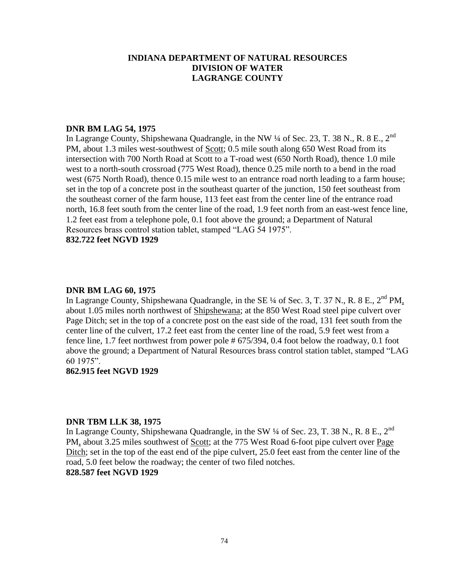## **DNR BM LAG 54, 1975**

In Lagrange County, Shipshewana Quadrangle, in the NW  $\frac{1}{4}$  of Sec. 23, T. 38 N., R. 8 E., 2<sup>nd</sup> PM, about 1.3 miles west-southwest of Scott; 0.5 mile south along 650 West Road from its intersection with 700 North Road at Scott to a T-road west (650 North Road), thence 1.0 mile west to a north-south crossroad (775 West Road), thence 0.25 mile north to a bend in the road west (675 North Road), thence 0.15 mile west to an entrance road north leading to a farm house; set in the top of a concrete post in the southeast quarter of the junction, 150 feet southeast from the southeast corner of the farm house, 113 feet east from the center line of the entrance road north, 16.8 feet south from the center line of the road, 1.9 feet north from an east-west fence line, 1.2 feet east from a telephone pole, 0.1 foot above the ground; a Department of Natural Resources brass control station tablet, stamped "LAG 54 1975".

**832.722 feet NGVD 1929**

#### **DNR BM LAG 60, 1975**

In Lagrange County, Shipshewana Quadrangle, in the SE  $\frac{1}{4}$  of Sec. 3, T. 37 N., R. 8 E., 2<sup>nd</sup> PM, about 1.05 miles north northwest of Shipshewana; at the 850 West Road steel pipe culvert over Page Ditch; set in the top of a concrete post on the east side of the road, 131 feet south from the center line of the culvert, 17.2 feet east from the center line of the road, 5.9 feet west from a fence line, 1.7 feet northwest from power pole # 675/394, 0.4 foot below the roadway, 0.1 foot above the ground; a Department of Natural Resources brass control station tablet, stamped "LAG 60 1975".

#### **862.915 feet NGVD 1929**

#### **DNR TBM LLK 38, 1975**

In Lagrange County, Shipshewana Quadrangle, in the SW  $\frac{1}{4}$  of Sec. 23, T. 38 N., R. 8 E., 2<sup>nd</sup> PM, about 3.25 miles southwest of Scott; at the 775 West Road 6-foot pipe culvert over Page Ditch; set in the top of the east end of the pipe culvert, 25.0 feet east from the center line of the road, 5.0 feet below the roadway; the center of two filed notches. **828.587 feet NGVD 1929**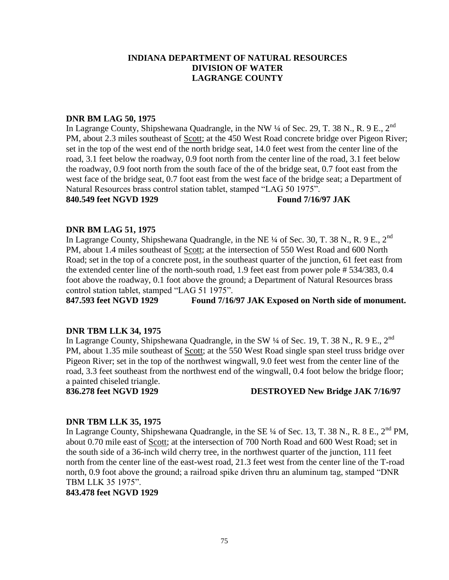#### **DNR BM LAG 50, 1975**

In Lagrange County, Shipshewana Quadrangle, in the NW  $\frac{1}{4}$  of Sec. 29, T. 38 N., R. 9 E., 2<sup>nd</sup> PM, about 2.3 miles southeast of Scott; at the 450 West Road concrete bridge over Pigeon River; set in the top of the west end of the north bridge seat, 14.0 feet west from the center line of the road, 3.1 feet below the roadway, 0.9 foot north from the center line of the road, 3.1 feet below the roadway, 0.9 foot north from the south face of the of the bridge seat, 0.7 foot east from the west face of the bridge seat, 0.7 foot east from the west face of the bridge seat; a Department of Natural Resources brass control station tablet, stamped "LAG 50 1975".

**840.549 feet NGVD 1929 Found 7/16/97 JAK**

## **DNR BM LAG 51, 1975**

In Lagrange County, Shipshewana Quadrangle, in the NE  $\frac{1}{4}$  of Sec. 30, T. 38 N., R. 9 E., 2<sup>nd</sup> PM, about 1.4 miles southeast of Scott; at the intersection of 550 West Road and 600 North Road; set in the top of a concrete post, in the southeast quarter of the junction, 61 feet east from the extended center line of the north-south road, 1.9 feet east from power pole # 534/383, 0.4 foot above the roadway, 0.1 foot above the ground; a Department of Natural Resources brass control station tablet, stamped "LAG 51 1975".

**847.593 feet NGVD 1929 Found 7/16/97 JAK Exposed on North side of monument.**

#### **DNR TBM LLK 34, 1975**

In Lagrange County, Shipshewana Quadrangle, in the SW  $\frac{1}{4}$  of Sec. 19, T. 38 N., R. 9 E., 2<sup>nd</sup> PM, about 1.35 mile southeast of Scott; at the 550 West Road single span steel truss bridge over Pigeon River; set in the top of the northwest wingwall, 9.0 feet west from the center line of the road, 3.3 feet southeast from the northwest end of the wingwall, 0.4 foot below the bridge floor; a painted chiseled triangle.

## **836.278 feet NGVD 1929 DESTROYED New Bridge JAK 7/16/97**

## **DNR TBM LLK 35, 1975**

In Lagrange County, Shipshewana Quadrangle, in the SE  $\frac{1}{4}$  of Sec. 13, T. 38 N., R. 8 E.,  $2^{nd}$  PM, about 0.70 mile east of Scott; at the intersection of 700 North Road and 600 West Road; set in the south side of a 36-inch wild cherry tree, in the northwest quarter of the junction, 111 feet north from the center line of the east-west road, 21.3 feet west from the center line of the T-road north, 0.9 foot above the ground; a railroad spike driven thru an aluminum tag, stamped "DNR TBM LLK 35 1975".

**843.478 feet NGVD 1929**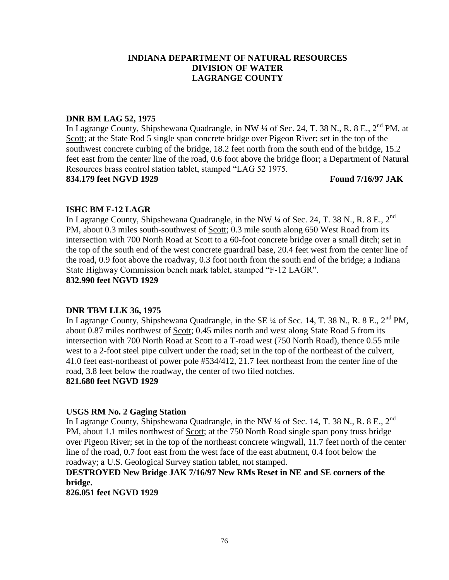## **DNR BM LAG 52, 1975**

In Lagrange County, Shipshewana Quadrangle, in NW ¼ of Sec. 24, T. 38 N., R. 8 E., 2<sup>nd</sup> PM, at Scott; at the State Rod 5 single span concrete bridge over Pigeon River; set in the top of the southwest concrete curbing of the bridge, 18.2 feet north from the south end of the bridge, 15.2 feet east from the center line of the road, 0.6 foot above the bridge floor; a Department of Natural Resources brass control station tablet, stamped "LAG 52 1975.

**834.179 feet NGVD 1929 Found 7/16/97 JAK**

## **ISHC BM F-12 LAGR**

In Lagrange County, Shipshewana Quadrangle, in the NW  $\frac{1}{4}$  of Sec. 24, T. 38 N., R. 8 E., 2<sup>nd</sup> PM, about 0.3 miles south-southwest of Scott; 0.3 mile south along 650 West Road from its intersection with 700 North Road at Scott to a 60-foot concrete bridge over a small ditch; set in the top of the south end of the west concrete guardrail base, 20.4 feet west from the center line of the road, 0.9 foot above the roadway, 0.3 foot north from the south end of the bridge; a Indiana State Highway Commission bench mark tablet, stamped "F-12 LAGR". **832.990 feet NGVD 1929**

## **DNR TBM LLK 36, 1975**

In Lagrange County, Shipshewana Quadrangle, in the SE ¼ of Sec. 14, T. 38 N., R. 8 E., 2<sup>nd</sup> PM, about 0.87 miles northwest of Scott; 0.45 miles north and west along State Road 5 from its intersection with 700 North Road at Scott to a T-road west (750 North Road), thence 0.55 mile west to a 2-foot steel pipe culvert under the road; set in the top of the northeast of the culvert, 41.0 feet east-northeast of power pole #534/412, 21.7 feet northeast from the center line of the road, 3.8 feet below the roadway, the center of two filed notches.

## **821.680 feet NGVD 1929**

## **USGS RM No. 2 Gaging Station**

In Lagrange County, Shipshewana Quadrangle, in the NW  $\frac{1}{4}$  of Sec. 14, T. 38 N., R. 8 E., 2<sup>nd</sup> PM, about 1.1 miles northwest of Scott; at the 750 North Road single span pony truss bridge over Pigeon River; set in the top of the northeast concrete wingwall, 11.7 feet north of the center line of the road, 0.7 foot east from the west face of the east abutment, 0.4 foot below the roadway; a U.S. Geological Survey station tablet, not stamped.

## **DESTROYED New Bridge JAK 7/16/97 New RMs Reset in NE and SE corners of the bridge.**

**826.051 feet NGVD 1929**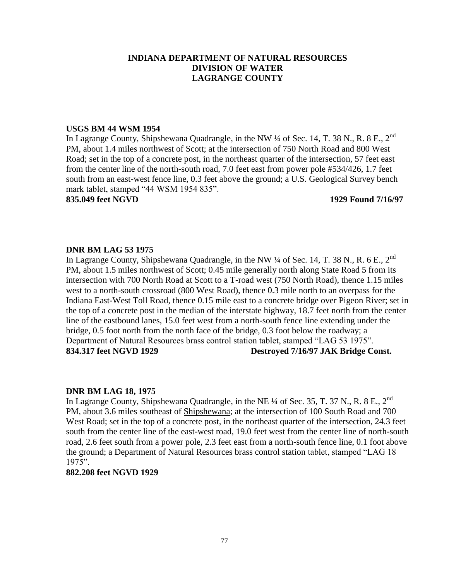#### **USGS BM 44 WSM 1954**

In Lagrange County, Shipshewana Quadrangle, in the NW  $\frac{1}{4}$  of Sec. 14, T. 38 N., R. 8 E., 2<sup>nd</sup> PM, about 1.4 miles northwest of Scott; at the intersection of 750 North Road and 800 West Road; set in the top of a concrete post, in the northeast quarter of the intersection, 57 feet east from the center line of the north-south road, 7.0 feet east from power pole #534/426, 1.7 feet south from an east-west fence line, 0.3 feet above the ground; a U.S. Geological Survey bench mark tablet, stamped "44 WSM 1954 835".

#### **835.049 feet NGVD 1929 Found 7/16/97**

## **DNR BM LAG 53 1975**

In Lagrange County, Shipshewana Quadrangle, in the NW  $\frac{1}{4}$  of Sec. 14, T. 38 N., R. 6 E., 2<sup>nd</sup> PM, about 1.5 miles northwest of Scott; 0.45 mile generally north along State Road 5 from its intersection with 700 North Road at Scott to a T-road west (750 North Road), thence 1.15 miles west to a north-south crossroad (800 West Road), thence 0.3 mile north to an overpass for the Indiana East-West Toll Road, thence 0.15 mile east to a concrete bridge over Pigeon River; set in the top of a concrete post in the median of the interstate highway, 18.7 feet north from the center line of the eastbound lanes, 15.0 feet west from a north-south fence line extending under the bridge, 0.5 foot north from the north face of the bridge, 0.3 foot below the roadway; a Department of Natural Resources brass control station tablet, stamped "LAG 53 1975". **834.317 feet NGVD 1929 Destroyed 7/16/97 JAK Bridge Const.**

#### **DNR BM LAG 18, 1975**

In Lagrange County, Shipshewana Quadrangle, in the NE  $\frac{1}{4}$  of Sec. 35, T. 37 N., R. 8 E., 2<sup>nd</sup> PM, about 3.6 miles southeast of Shipshewana; at the intersection of 100 South Road and 700 West Road; set in the top of a concrete post, in the northeast quarter of the intersection, 24.3 feet south from the center line of the east-west road, 19.0 feet west from the center line of north-south road, 2.6 feet south from a power pole, 2.3 feet east from a north-south fence line, 0.1 foot above the ground; a Department of Natural Resources brass control station tablet, stamped "LAG 18 1975".

#### **882.208 feet NGVD 1929**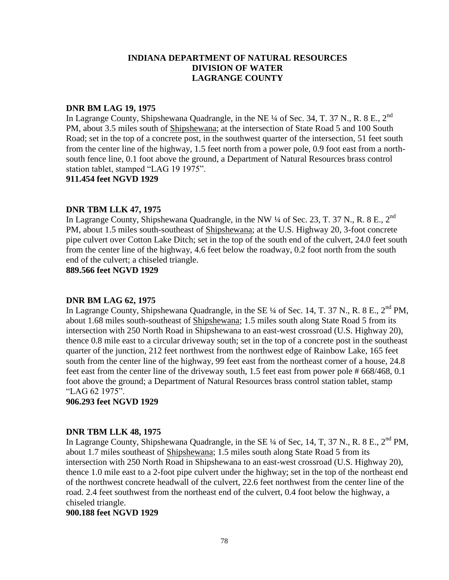#### **DNR BM LAG 19, 1975**

In Lagrange County, Shipshewana Quadrangle, in the NE <sup>1</sup>/4 of Sec. 34, T. 37 N., R. 8 E., 2<sup>nd</sup> PM, about 3.5 miles south of Shipshewana; at the intersection of State Road 5 and 100 South Road; set in the top of a concrete post, in the southwest quarter of the intersection, 51 feet south from the center line of the highway, 1.5 feet north from a power pole, 0.9 foot east from a northsouth fence line, 0.1 foot above the ground, a Department of Natural Resources brass control station tablet, stamped "LAG 19 1975".

**911.454 feet NGVD 1929**

## **DNR TBM LLK 47, 1975**

In Lagrange County, Shipshewana Quadrangle, in the NW  $\frac{1}{4}$  of Sec. 23, T. 37 N., R. 8 E., 2<sup>nd</sup> PM, about 1.5 miles south-southeast of Shipshewana; at the U.S. Highway 20, 3-foot concrete pipe culvert over Cotton Lake Ditch; set in the top of the south end of the culvert, 24.0 feet south from the center line of the highway, 4.6 feet below the roadway, 0.2 foot north from the south end of the culvert; a chiseled triangle.

**889.566 feet NGVD 1929**

#### **DNR BM LAG 62, 1975**

In Lagrange County, Shipshewana Quadrangle, in the SE  $\frac{1}{4}$  of Sec. 14, T. 37 N., R. 8 E.,  $2^{nd}$  PM, about 1.68 miles south-southeast of Shipshewana; 1.5 miles south along State Road 5 from its intersection with 250 North Road in Shipshewana to an east-west crossroad (U.S. Highway 20), thence 0.8 mile east to a circular driveway south; set in the top of a concrete post in the southeast quarter of the junction, 212 feet northwest from the northwest edge of Rainbow Lake, 165 feet south from the center line of the highway, 99 feet east from the northeast corner of a house, 24.8 feet east from the center line of the driveway south, 1.5 feet east from power pole # 668/468, 0.1 foot above the ground; a Department of Natural Resources brass control station tablet, stamp "LAG 62 1975".

#### **906.293 feet NGVD 1929**

#### **DNR TBM LLK 48, 1975**

In Lagrange County, Shipshewana Quadrangle, in the SE  $\frac{1}{4}$  of Sec, 14, T, 37 N., R. 8 E., 2<sup>nd</sup> PM, about 1.7 miles southeast of Shipshewana; 1.5 miles south along State Road 5 from its intersection with 250 North Road in Shipshewana to an east-west crossroad (U.S. Highway 20), thence 1.0 mile east to a 2-foot pipe culvert under the highway; set in the top of the northeast end of the northwest concrete headwall of the culvert, 22.6 feet northwest from the center line of the road. 2.4 feet southwest from the northeast end of the culvert, 0.4 foot below the highway, a chiseled triangle.

#### **900.188 feet NGVD 1929**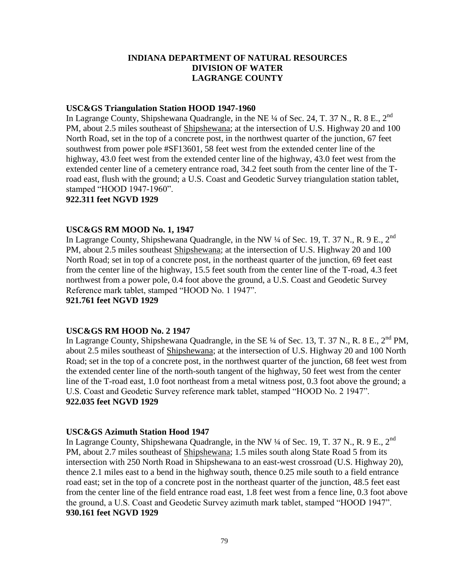#### **USC&GS Triangulation Station HOOD 1947-1960**

In Lagrange County, Shipshewana Quadrangle, in the NE  $\frac{1}{4}$  of Sec. 24, T. 37 N., R. 8 E., 2<sup>nd</sup> PM, about 2.5 miles southeast of Shipshewana; at the intersection of U.S. Highway 20 and 100 North Road, set in the top of a concrete post, in the northwest quarter of the junction, 67 feet southwest from power pole #SF13601, 58 feet west from the extended center line of the highway, 43.0 feet west from the extended center line of the highway, 43.0 feet west from the extended center line of a cemetery entrance road, 34.2 feet south from the center line of the Troad east, flush with the ground; a U.S. Coast and Geodetic Survey triangulation station tablet, stamped "HOOD 1947-1960".

**922.311 feet NGVD 1929**

## **USC&GS RM MOOD No. 1, 1947**

In Lagrange County, Shipshewana Quadrangle, in the NW  $\frac{1}{4}$  of Sec. 19, T. 37 N., R. 9 E., 2<sup>nd</sup> PM, about 2.5 miles southeast Shipshewana; at the intersection of U.S. Highway 20 and 100 North Road; set in top of a concrete post, in the northeast quarter of the junction, 69 feet east from the center line of the highway, 15.5 feet south from the center line of the T-road, 4.3 feet northwest from a power pole, 0.4 foot above the ground, a U.S. Coast and Geodetic Survey Reference mark tablet, stamped "HOOD No. 1 1947".

**921.761 feet NGVD 1929**

## **USC&GS RM HOOD No. 2 1947**

In Lagrange County, Shipshewana Quadrangle, in the SE  $\frac{1}{4}$  of Sec. 13, T. 37 N., R. 8 E.,  $2^{nd}$  PM, about 2.5 miles southeast of Shipshewana; at the intersection of U.S. Highway 20 and 100 North Road; set in the top of a concrete post, in the northwest quarter of the junction, 68 feet west from the extended center line of the north-south tangent of the highway, 50 feet west from the center line of the T-road east, 1.0 foot northeast from a metal witness post, 0.3 foot above the ground; a U.S. Coast and Geodetic Survey reference mark tablet, stamped "HOOD No. 2 1947". **922.035 feet NGVD 1929**

## **USC&GS Azimuth Station Hood 1947**

In Lagrange County, Shipshewana Quadrangle, in the NW  $\frac{1}{4}$  of Sec. 19, T. 37 N., R. 9 E., 2<sup>nd</sup> PM, about 2.7 miles southeast of Shipshewana; 1.5 miles south along State Road 5 from its intersection with 250 North Road in Shipshewana to an east-west crossroad (U.S. Highway 20), thence 2.1 miles east to a bend in the highway south, thence 0.25 mile south to a field entrance road east; set in the top of a concrete post in the northeast quarter of the junction, 48.5 feet east from the center line of the field entrance road east, 1.8 feet west from a fence line, 0.3 foot above the ground, a U.S. Coast and Geodetic Survey azimuth mark tablet, stamped "HOOD 1947". **930.161 feet NGVD 1929**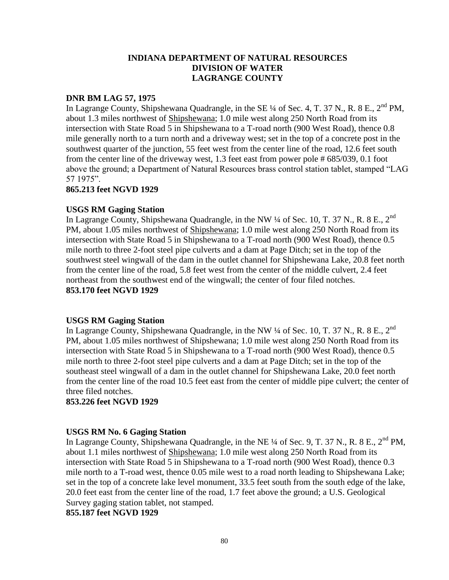## **DNR BM LAG 57, 1975**

In Lagrange County, Shipshewana Quadrangle, in the SE  $\frac{1}{4}$  of Sec. 4, T. 37 N., R. 8 E.,  $2^{nd}$  PM, about 1.3 miles northwest of Shipshewana; 1.0 mile west along 250 North Road from its intersection with State Road 5 in Shipshewana to a T-road north (900 West Road), thence 0.8 mile generally north to a turn north and a driveway west; set in the top of a concrete post in the southwest quarter of the junction, 55 feet west from the center line of the road, 12.6 feet south from the center line of the driveway west, 1.3 feet east from power pole # 685/039, 0.1 foot above the ground; a Department of Natural Resources brass control station tablet, stamped "LAG 57 1975".

#### **865.213 feet NGVD 1929**

## **USGS RM Gaging Station**

In Lagrange County, Shipshewana Quadrangle, in the NW  $\frac{1}{4}$  of Sec. 10, T. 37 N., R. 8 E., 2<sup>nd</sup> PM, about 1.05 miles northwest of Shipshewana; 1.0 mile west along 250 North Road from its intersection with State Road 5 in Shipshewana to a T-road north (900 West Road), thence 0.5 mile north to three 2-foot steel pipe culverts and a dam at Page Ditch; set in the top of the southwest steel wingwall of the dam in the outlet channel for Shipshewana Lake, 20.8 feet north from the center line of the road, 5.8 feet west from the center of the middle culvert, 2.4 feet northeast from the southwest end of the wingwall; the center of four filed notches. **853.170 feet NGVD 1929**

## **USGS RM Gaging Station**

In Lagrange County, Shipshewana Quadrangle, in the NW  $\frac{1}{4}$  of Sec. 10, T. 37 N., R. 8 E., 2<sup>nd</sup> PM, about 1.05 miles northwest of Shipshewana; 1.0 mile west along 250 North Road from its intersection with State Road 5 in Shipshewana to a T-road north (900 West Road), thence 0.5 mile north to three 2-foot steel pipe culverts and a dam at Page Ditch; set in the top of the southeast steel wingwall of a dam in the outlet channel for Shipshewana Lake, 20.0 feet north from the center line of the road 10.5 feet east from the center of middle pipe culvert; the center of three filed notches.

#### **853.226 feet NGVD 1929**

## **USGS RM No. 6 Gaging Station**

In Lagrange County, Shipshewana Quadrangle, in the NE ¼ of Sec. 9, T. 37 N., R. 8 E., 2<sup>nd</sup> PM, about 1.1 miles northwest of Shipshewana; 1.0 mile west along 250 North Road from its intersection with State Road 5 in Shipshewana to a T-road north (900 West Road), thence 0.3 mile north to a T-road west, thence 0.05 mile west to a road north leading to Shipshewana Lake; set in the top of a concrete lake level monument, 33.5 feet south from the south edge of the lake, 20.0 feet east from the center line of the road, 1.7 feet above the ground; a U.S. Geological Survey gaging station tablet, not stamped.

#### **855.187 feet NGVD 1929**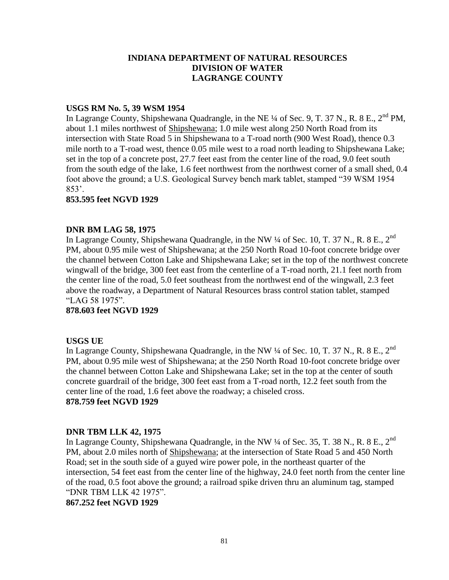## **USGS RM No. 5, 39 WSM 1954**

In Lagrange County, Shipshewana Quadrangle, in the NE ¼ of Sec. 9, T. 37 N., R. 8 E., 2<sup>nd</sup> PM, about 1.1 miles northwest of Shipshewana; 1.0 mile west along 250 North Road from its intersection with State Road 5 in Shipshewana to a T-road north (900 West Road), thence 0.3 mile north to a T-road west, thence 0.05 mile west to a road north leading to Shipshewana Lake; set in the top of a concrete post, 27.7 feet east from the center line of the road, 9.0 feet south from the south edge of the lake, 1.6 feet northwest from the northwest corner of a small shed, 0.4 foot above the ground; a U.S. Geological Survey bench mark tablet, stamped "39 WSM 1954 853'.

## **853.595 feet NGVD 1929**

## **DNR BM LAG 58, 1975**

In Lagrange County, Shipshewana Quadrangle, in the NW ¼ of Sec. 10, T. 37 N., R. 8 E., 2<sup>nd</sup> PM, about 0.95 mile west of Shipshewana; at the 250 North Road 10-foot concrete bridge over the channel between Cotton Lake and Shipshewana Lake; set in the top of the northwest concrete wingwall of the bridge, 300 feet east from the centerline of a T-road north, 21.1 feet north from the center line of the road, 5.0 feet southeast from the northwest end of the wingwall, 2.3 feet above the roadway, a Department of Natural Resources brass control station tablet, stamped "LAG 58 1975".

## **878.603 feet NGVD 1929**

#### **USGS UE**

In Lagrange County, Shipshewana Quadrangle, in the NW  $\frac{1}{4}$  of Sec. 10, T. 37 N., R. 8 E., 2<sup>nd</sup> PM, about 0.95 mile west of Shipshewana; at the 250 North Road 10-foot concrete bridge over the channel between Cotton Lake and Shipshewana Lake; set in the top at the center of south concrete guardrail of the bridge, 300 feet east from a T-road north, 12.2 feet south from the center line of the road, 1.6 feet above the roadway; a chiseled cross. **878.759 feet NGVD 1929**

## **DNR TBM LLK 42, 1975**

In Lagrange County, Shipshewana Quadrangle, in the NW <sup>1</sup>/4 of Sec. 35, T. 38 N., R. 8 E., 2<sup>nd</sup> PM, about 2.0 miles north of Shipshewana; at the intersection of State Road 5 and 450 North Road; set in the south side of a guyed wire power pole, in the northeast quarter of the intersection, 54 feet east from the center line of the highway, 24.0 feet north from the center line of the road, 0.5 foot above the ground; a railroad spike driven thru an aluminum tag, stamped "DNR TBM LLK 42 1975".

**867.252 feet NGVD 1929**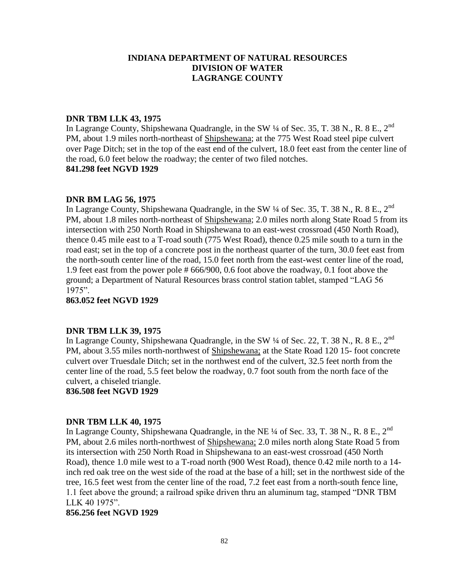## **DNR TBM LLK 43, 1975**

In Lagrange County, Shipshewana Quadrangle, in the SW  $\frac{1}{4}$  of Sec. 35, T. 38 N., R. 8 E., 2<sup>nd</sup> PM, about 1.9 miles north-northeast of Shipshewana; at the 775 West Road steel pipe culvert over Page Ditch; set in the top of the east end of the culvert, 18.0 feet east from the center line of the road, 6.0 feet below the roadway; the center of two filed notches. **841.298 feet NGVD 1929**

#### **DNR BM LAG 56, 1975**

In Lagrange County, Shipshewana Quadrangle, in the SW  $\frac{1}{4}$  of Sec. 35, T. 38 N., R. 8 E., 2<sup>nd</sup> PM, about 1.8 miles north-northeast of Shipshewana; 2.0 miles north along State Road 5 from its intersection with 250 North Road in Shipshewana to an east-west crossroad (450 North Road), thence 0.45 mile east to a T-road south (775 West Road), thence 0.25 mile south to a turn in the road east; set in the top of a concrete post in the northeast quarter of the turn, 30.0 feet east from the north-south center line of the road, 15.0 feet north from the east-west center line of the road, 1.9 feet east from the power pole # 666/900, 0.6 foot above the roadway, 0.1 foot above the ground; a Department of Natural Resources brass control station tablet, stamped "LAG 56 1975".

**863.052 feet NGVD 1929**

#### **DNR TBM LLK 39, 1975**

In Lagrange County, Shipshewana Quadrangle, in the SW  $\frac{1}{4}$  of Sec. 22, T. 38 N., R. 8 E., 2<sup>nd</sup> PM, about 3.55 miles north-northwest of Shipshewana; at the State Road 120 15- foot concrete culvert over Truesdale Ditch; set in the northwest end of the culvert, 32.5 feet north from the center line of the road, 5.5 feet below the roadway, 0.7 foot south from the north face of the culvert, a chiseled triangle.

**836.508 feet NGVD 1929**

## **DNR TBM LLK 40, 1975**

In Lagrange County, Shipshewana Quadrangle, in the NE  $\frac{1}{4}$  of Sec. 33, T. 38 N., R. 8 E., 2<sup>nd</sup> PM, about 2.6 miles north-northwest of Shipshewana; 2.0 miles north along State Road 5 from its intersection with 250 North Road in Shipshewana to an east-west crossroad (450 North Road), thence 1.0 mile west to a T-road north (900 West Road), thence 0.42 mile north to a 14 inch red oak tree on the west side of the road at the base of a hill; set in the northwest side of the tree, 16.5 feet west from the center line of the road, 7.2 feet east from a north-south fence line, 1.1 feet above the ground; a railroad spike driven thru an aluminum tag, stamped "DNR TBM LLK 40 1975".

#### **856.256 feet NGVD 1929**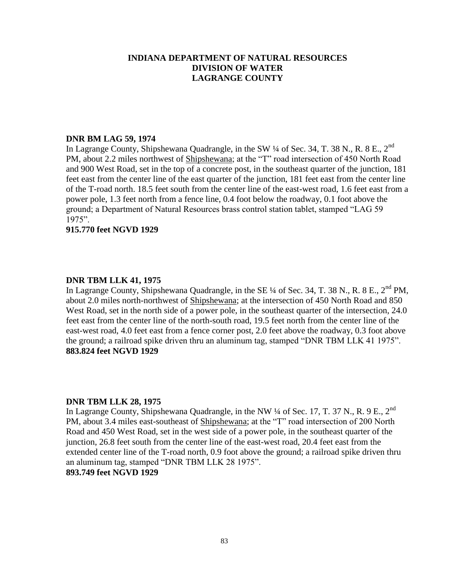#### **DNR BM LAG 59, 1974**

In Lagrange County, Shipshewana Quadrangle, in the SW  $\frac{1}{4}$  of Sec. 34, T. 38 N., R. 8 E., 2<sup>nd</sup> PM, about 2.2 miles northwest of Shipshewana; at the "T" road intersection of 450 North Road and 900 West Road, set in the top of a concrete post, in the southeast quarter of the junction, 181 feet east from the center line of the east quarter of the junction, 181 feet east from the center line of the T-road north. 18.5 feet south from the center line of the east-west road, 1.6 feet east from a power pole, 1.3 feet north from a fence line, 0.4 foot below the roadway, 0.1 foot above the ground; a Department of Natural Resources brass control station tablet, stamped "LAG 59 1975".

#### **915.770 feet NGVD 1929**

#### **DNR TBM LLK 41, 1975**

In Lagrange County, Shipshewana Quadrangle, in the SE ¼ of Sec. 34, T. 38 N., R. 8 E., 2<sup>nd</sup> PM, about 2.0 miles north-northwest of Shipshewana; at the intersection of 450 North Road and 850 West Road, set in the north side of a power pole, in the southeast quarter of the intersection, 24.0 feet east from the center line of the north-south road, 19.5 feet north from the center line of the east-west road, 4.0 feet east from a fence corner post, 2.0 feet above the roadway, 0.3 foot above the ground; a railroad spike driven thru an aluminum tag, stamped "DNR TBM LLK 41 1975". **883.824 feet NGVD 1929**

#### **DNR TBM LLK 28, 1975**

In Lagrange County, Shipshewana Quadrangle, in the NW  $\frac{1}{4}$  of Sec. 17, T. 37 N., R. 9 E., 2<sup>nd</sup> PM, about 3.4 miles east-southeast of Shipshewana; at the "T" road intersection of 200 North Road and 450 West Road, set in the west side of a power pole, in the southeast quarter of the junction, 26.8 feet south from the center line of the east-west road, 20.4 feet east from the extended center line of the T-road north, 0.9 foot above the ground; a railroad spike driven thru an aluminum tag, stamped "DNR TBM LLK 28 1975". **893.749 feet NGVD 1929**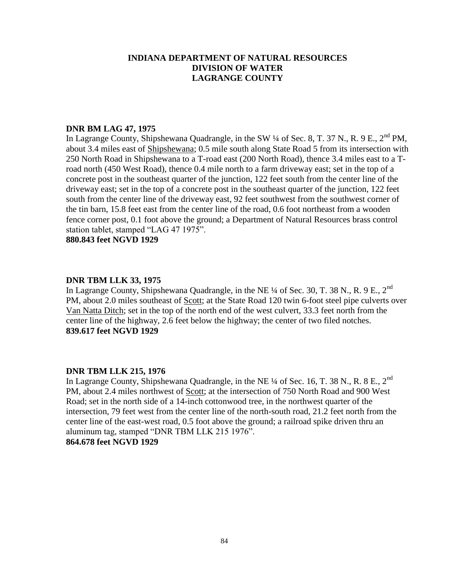## **DNR BM LAG 47, 1975**

In Lagrange County, Shipshewana Quadrangle, in the SW ¼ of Sec. 8, T. 37 N., R. 9 E., 2<sup>nd</sup> PM, about 3.4 miles east of Shipshewana; 0.5 mile south along State Road 5 from its intersection with 250 North Road in Shipshewana to a T-road east (200 North Road), thence 3.4 miles east to a Troad north (450 West Road), thence 0.4 mile north to a farm driveway east; set in the top of a concrete post in the southeast quarter of the junction, 122 feet south from the center line of the driveway east; set in the top of a concrete post in the southeast quarter of the junction, 122 feet south from the center line of the driveway east, 92 feet southwest from the southwest corner of the tin barn, 15.8 feet east from the center line of the road, 0.6 foot northeast from a wooden fence corner post, 0.1 foot above the ground; a Department of Natural Resources brass control station tablet, stamped "LAG 47 1975".

**880.843 feet NGVD 1929**

#### **DNR TBM LLK 33, 1975**

In Lagrange County, Shipshewana Quadrangle, in the NE ¼ of Sec. 30, T. 38 N., R. 9 E., 2nd PM, about 2.0 miles southeast of Scott; at the State Road 120 twin 6-foot steel pipe culverts over Van Natta Ditch; set in the top of the north end of the west culvert, 33.3 feet north from the center line of the highway, 2.6 feet below the highway; the center of two filed notches. **839.617 feet NGVD 1929**

## **DNR TBM LLK 215, 1976**

In Lagrange County, Shipshewana Quadrangle, in the NE  $\frac{1}{4}$  of Sec. 16, T. 38 N., R. 8 E., 2<sup>nd</sup> PM, about 2.4 miles northwest of Scott; at the intersection of 750 North Road and 900 West Road; set in the north side of a 14-inch cottonwood tree, in the northwest quarter of the intersection, 79 feet west from the center line of the north-south road, 21.2 feet north from the center line of the east-west road, 0.5 foot above the ground; a railroad spike driven thru an aluminum tag, stamped "DNR TBM LLK 215 1976". **864.678 feet NGVD 1929**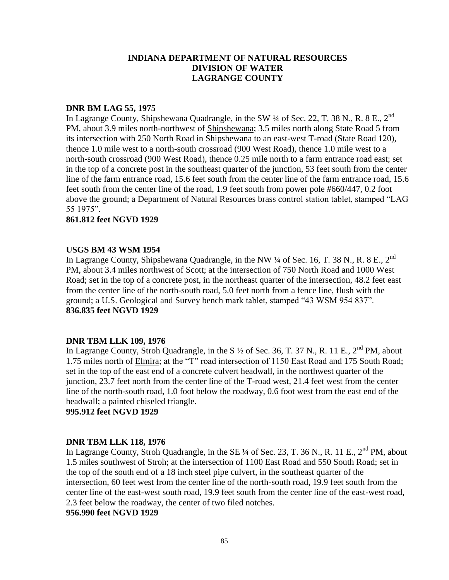#### **DNR BM LAG 55, 1975**

In Lagrange County, Shipshewana Quadrangle, in the SW  $\frac{1}{4}$  of Sec. 22, T. 38 N., R. 8 E., 2<sup>nd</sup> PM, about 3.9 miles north-northwest of Shipshewana; 3.5 miles north along State Road 5 from its intersection with 250 North Road in Shipshewana to an east-west T-road (State Road 120), thence 1.0 mile west to a north-south crossroad (900 West Road), thence 1.0 mile west to a north-south crossroad (900 West Road), thence 0.25 mile north to a farm entrance road east; set in the top of a concrete post in the southeast quarter of the junction, 53 feet south from the center line of the farm entrance road, 15.6 feet south from the center line of the farm entrance road, 15.6 feet south from the center line of the road, 1.9 feet south from power pole #660/447, 0.2 foot above the ground; a Department of Natural Resources brass control station tablet, stamped "LAG 55 1975".

## **861.812 feet NGVD 1929**

## **USGS BM 43 WSM 1954**

In Lagrange County, Shipshewana Quadrangle, in the NW <sup>1</sup>/4 of Sec. 16, T. 38 N., R. 8 E., 2<sup>nd</sup> PM, about 3.4 miles northwest of Scott; at the intersection of 750 North Road and 1000 West Road; set in the top of a concrete post, in the northeast quarter of the intersection, 48.2 feet east from the center line of the north-south road, 5.0 feet north from a fence line, flush with the ground; a U.S. Geological and Survey bench mark tablet, stamped "43 WSM 954 837". **836.835 feet NGVD 1929**

## **DNR TBM LLK 109, 1976**

In Lagrange County, Stroh Quadrangle, in the S  $\frac{1}{2}$  of Sec. 36, T. 37 N., R. 11 E., 2<sup>nd</sup> PM, about 1.75 miles north of Elmira; at the "T" road intersection of 1150 East Road and 175 South Road; set in the top of the east end of a concrete culvert headwall, in the northwest quarter of the junction, 23.7 feet north from the center line of the T-road west, 21.4 feet west from the center line of the north-south road, 1.0 foot below the roadway, 0.6 foot west from the east end of the headwall; a painted chiseled triangle.

**995.912 feet NGVD 1929**

## **DNR TBM LLK 118, 1976**

In Lagrange County, Stroh Quadrangle, in the SE  $\frac{1}{4}$  of Sec. 23, T. 36 N., R. 11 E., 2<sup>nd</sup> PM, about 1.5 miles southwest of Stroh; at the intersection of 1100 East Road and 550 South Road; set in the top of the south end of a 18 inch steel pipe culvert, in the southeast quarter of the intersection, 60 feet west from the center line of the north-south road, 19.9 feet south from the center line of the east-west south road, 19.9 feet south from the center line of the east-west road, 2.3 feet below the roadway, the center of two filed notches.

#### **956.990 feet NGVD 1929**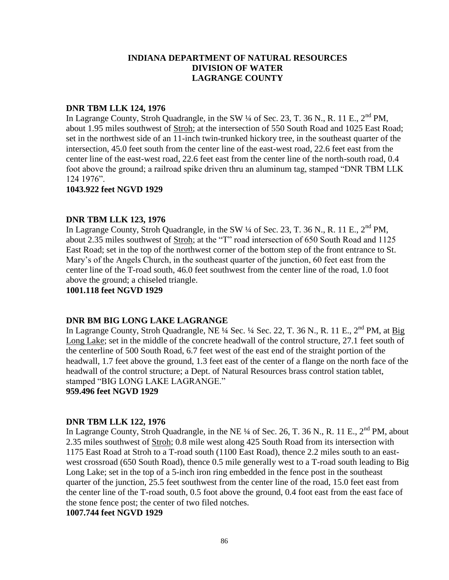## **DNR TBM LLK 124, 1976**

In Lagrange County, Stroh Quadrangle, in the SW  $\frac{1}{4}$  of Sec. 23, T. 36 N., R. 11 E.,  $2^{nd}$  PM, about 1.95 miles southwest of Stroh; at the intersection of 550 South Road and 1025 East Road; set in the northwest side of an 11-inch twin-trunked hickory tree, in the southeast quarter of the intersection, 45.0 feet south from the center line of the east-west road, 22.6 feet east from the center line of the east-west road, 22.6 feet east from the center line of the north-south road, 0.4 foot above the ground; a railroad spike driven thru an aluminum tag, stamped "DNR TBM LLK 124 1976".

#### **1043.922 feet NGVD 1929**

## **DNR TBM LLK 123, 1976**

In Lagrange County, Stroh Quadrangle, in the SW  $\frac{1}{4}$  of Sec. 23, T. 36 N., R. 11 E., 2<sup>nd</sup> PM. about 2.35 miles southwest of Stroh; at the "T" road intersection of 650 South Road and 1125 East Road; set in the top of the northwest corner of the bottom step of the front entrance to St. Mary's of the Angels Church, in the southeast quarter of the junction, 60 feet east from the center line of the T-road south, 46.0 feet southwest from the center line of the road, 1.0 foot above the ground; a chiseled triangle.

## **1001.118 feet NGVD 1929**

#### **DNR BM BIG LONG LAKE LAGRANGE**

In Lagrange County, Stroh Quadrangle, NE  $\frac{1}{4}$  Sec.  $\frac{1}{4}$  Sec. 22, T. 36 N., R. 11 E.,  $2^{nd}$  PM, at Big Long Lake; set in the middle of the concrete headwall of the control structure, 27.1 feet south of the centerline of 500 South Road, 6.7 feet west of the east end of the straight portion of the headwall, 1.7 feet above the ground, 1.3 feet east of the center of a flange on the north face of the headwall of the control structure; a Dept. of Natural Resources brass control station tablet, stamped "BIG LONG LAKE LAGRANGE."

**959.496 feet NGVD 1929**

#### **DNR TBM LLK 122, 1976**

In Lagrange County, Stroh Quadrangle, in the NE  $\frac{1}{4}$  of Sec. 26, T. 36 N., R. 11 E., 2<sup>nd</sup> PM, about 2.35 miles southwest of Stroh; 0.8 mile west along 425 South Road from its intersection with 1175 East Road at Stroh to a T-road south (1100 East Road), thence 2.2 miles south to an eastwest crossroad (650 South Road), thence 0.5 mile generally west to a T-road south leading to Big Long Lake; set in the top of a 5-inch iron ring embedded in the fence post in the southeast quarter of the junction, 25.5 feet southwest from the center line of the road, 15.0 feet east from the center line of the T-road south, 0.5 foot above the ground, 0.4 foot east from the east face of the stone fence post; the center of two filed notches.

## **1007.744 feet NGVD 1929**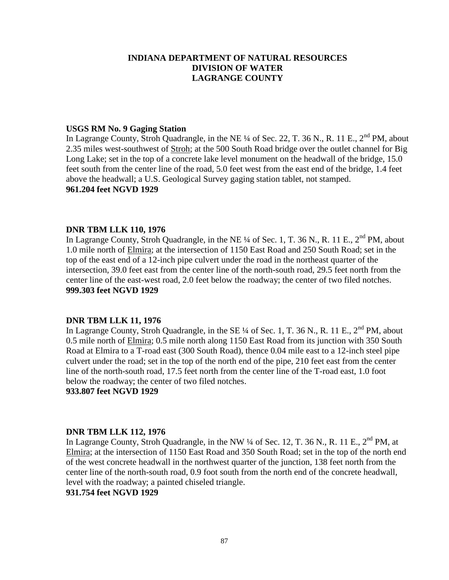## **USGS RM No. 9 Gaging Station**

In Lagrange County, Stroh Quadrangle, in the NE ¼ of Sec. 22, T. 36 N., R. 11 E., 2<sup>nd</sup> PM, about 2.35 miles west-southwest of Stroh; at the 500 South Road bridge over the outlet channel for Big Long Lake; set in the top of a concrete lake level monument on the headwall of the bridge, 15.0 feet south from the center line of the road, 5.0 feet west from the east end of the bridge, 1.4 feet above the headwall; a U.S. Geological Survey gaging station tablet, not stamped. **961.204 feet NGVD 1929**

#### **DNR TBM LLK 110, 1976**

In Lagrange County, Stroh Quadrangle, in the NE  $\frac{1}{4}$  of Sec. 1, T. 36 N., R. 11 E.,  $2^{nd}$  PM, about 1.0 mile north of Elmira; at the intersection of 1150 East Road and 250 South Road; set in the top of the east end of a 12-inch pipe culvert under the road in the northeast quarter of the intersection, 39.0 feet east from the center line of the north-south road, 29.5 feet north from the center line of the east-west road, 2.0 feet below the roadway; the center of two filed notches. **999.303 feet NGVD 1929**

#### **DNR TBM LLK 11, 1976**

In Lagrange County, Stroh Quadrangle, in the SE  $\frac{1}{4}$  of Sec. 1, T. 36 N., R. 11 E.,  $2^{nd}$  PM, about 0.5 mile north of Elmira; 0.5 mile north along 1150 East Road from its junction with 350 South Road at Elmira to a T-road east (300 South Road), thence 0.04 mile east to a 12-inch steel pipe culvert under the road; set in the top of the north end of the pipe, 210 feet east from the center line of the north-south road, 17.5 feet north from the center line of the T-road east, 1.0 foot below the roadway; the center of two filed notches.

**933.807 feet NGVD 1929**

#### **DNR TBM LLK 112, 1976**

In Lagrange County, Stroh Quadrangle, in the NW ¼ of Sec. 12, T. 36 N., R. 11 E., 2<sup>nd</sup> PM, at Elmira; at the intersection of 1150 East Road and 350 South Road; set in the top of the north end of the west concrete headwall in the northwest quarter of the junction, 138 feet north from the center line of the north-south road, 0.9 foot south from the north end of the concrete headwall, level with the roadway; a painted chiseled triangle.

**931.754 feet NGVD 1929**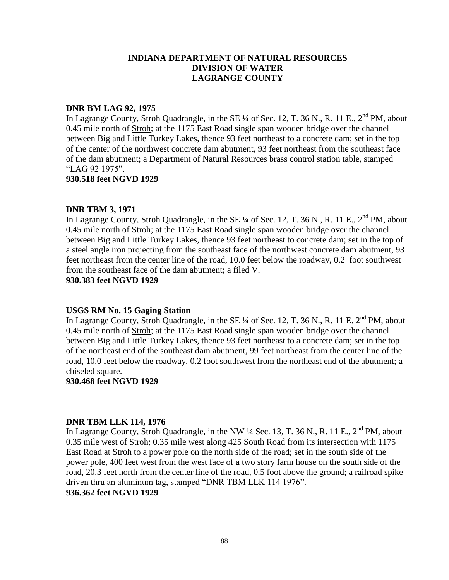#### **DNR BM LAG 92, 1975**

In Lagrange County, Stroh Quadrangle, in the SE ¼ of Sec. 12, T. 36 N., R. 11 E., 2<sup>nd</sup> PM, about 0.45 mile north of Stroh; at the 1175 East Road single span wooden bridge over the channel between Big and Little Turkey Lakes, thence 93 feet northeast to a concrete dam; set in the top of the center of the northwest concrete dam abutment, 93 feet northeast from the southeast face of the dam abutment; a Department of Natural Resources brass control station table, stamped "LAG 92 1975".

#### **930.518 feet NGVD 1929**

## **DNR TBM 3, 1971**

In Lagrange County, Stroh Quadrangle, in the SE  $\frac{1}{4}$  of Sec. 12, T. 36 N., R. 11 E., 2<sup>nd</sup> PM, about 0.45 mile north of Stroh; at the 1175 East Road single span wooden bridge over the channel between Big and Little Turkey Lakes, thence 93 feet northeast to concrete dam; set in the top of a steel angle iron projecting from the southeast face of the northwest concrete dam abutment, 93 feet northeast from the center line of the road, 10.0 feet below the roadway, 0.2 foot southwest from the southeast face of the dam abutment; a filed V.

## **930.383 feet NGVD 1929**

## **USGS RM No. 15 Gaging Station**

In Lagrange County, Stroh Quadrangle, in the SE  $\frac{1}{4}$  of Sec. 12, T. 36 N., R. 11 E. 2<sup>nd</sup> PM, about 0.45 mile north of Stroh; at the 1175 East Road single span wooden bridge over the channel between Big and Little Turkey Lakes, thence 93 feet northeast to a concrete dam; set in the top of the northeast end of the southeast dam abutment, 99 feet northeast from the center line of the road, 10.0 feet below the roadway, 0.2 foot southwest from the northeast end of the abutment; a chiseled square.

#### **930.468 feet NGVD 1929**

## **DNR TBM LLK 114, 1976**

In Lagrange County, Stroh Quadrangle, in the NW  $\frac{1}{4}$  Sec. 13, T. 36 N., R. 11 E.,  $2^{nd}$  PM, about 0.35 mile west of Stroh; 0.35 mile west along 425 South Road from its intersection with 1175 East Road at Stroh to a power pole on the north side of the road; set in the south side of the power pole, 400 feet west from the west face of a two story farm house on the south side of the road, 20.3 feet north from the center line of the road, 0.5 foot above the ground; a railroad spike driven thru an aluminum tag, stamped "DNR TBM LLK 114 1976".

## **936.362 feet NGVD 1929**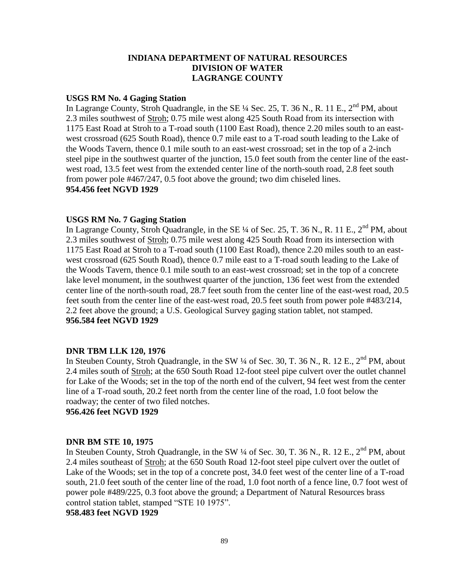## **USGS RM No. 4 Gaging Station**

In Lagrange County, Stroh Quadrangle, in the SE  $\frac{1}{4}$  Sec. 25, T. 36 N., R. 11 E., 2<sup>nd</sup> PM, about 2.3 miles southwest of Stroh; 0.75 mile west along 425 South Road from its intersection with 1175 East Road at Stroh to a T-road south (1100 East Road), thence 2.20 miles south to an eastwest crossroad (625 South Road), thence 0.7 mile east to a T-road south leading to the Lake of the Woods Tavern, thence 0.1 mile south to an east-west crossroad; set in the top of a 2-inch steel pipe in the southwest quarter of the junction, 15.0 feet south from the center line of the eastwest road, 13.5 feet west from the extended center line of the north-south road, 2.8 feet south from power pole #467/247, 0.5 foot above the ground; two dim chiseled lines. **954.456 feet NGVD 1929**

## **USGS RM No. 7 Gaging Station**

In Lagrange County, Stroh Quadrangle, in the SE ¼ of Sec. 25, T. 36 N., R. 11 E., 2<sup>nd</sup> PM, about 2.3 miles southwest of Stroh; 0.75 mile west along 425 South Road from its intersection with 1175 East Road at Stroh to a T-road south (1100 East Road), thence 2.20 miles south to an eastwest crossroad (625 South Road), thence 0.7 mile east to a T-road south leading to the Lake of the Woods Tavern, thence 0.1 mile south to an east-west crossroad; set in the top of a concrete lake level monument, in the southwest quarter of the junction, 136 feet west from the extended center line of the north-south road, 28.7 feet south from the center line of the east-west road, 20.5 feet south from the center line of the east-west road, 20.5 feet south from power pole #483/214, 2.2 feet above the ground; a U.S. Geological Survey gaging station tablet, not stamped. **956.584 feet NGVD 1929**

#### **DNR TBM LLK 120, 1976**

In Steuben County, Stroh Quadrangle, in the SW 1/4 of Sec. 30, T. 36 N., R. 12 E., 2<sup>nd</sup> PM, about 2.4 miles south of Stroh; at the 650 South Road 12-foot steel pipe culvert over the outlet channel for Lake of the Woods; set in the top of the north end of the culvert, 94 feet west from the center line of a T-road south, 20.2 feet north from the center line of the road, 1.0 foot below the roadway; the center of two filed notches.

**956.426 feet NGVD 1929**

#### **DNR BM STE 10, 1975**

In Steuben County, Stroh Quadrangle, in the SW  $\frac{1}{4}$  of Sec. 30, T. 36 N., R. 12 E.,  $2^{nd}$  PM, about 2.4 miles southeast of Stroh; at the 650 South Road 12-foot steel pipe culvert over the outlet of Lake of the Woods; set in the top of a concrete post, 34.0 feet west of the center line of a T-road south, 21.0 feet south of the center line of the road, 1.0 foot north of a fence line, 0.7 foot west of power pole #489/225, 0.3 foot above the ground; a Department of Natural Resources brass control station tablet, stamped "STE 10 1975".

**958.483 feet NGVD 1929**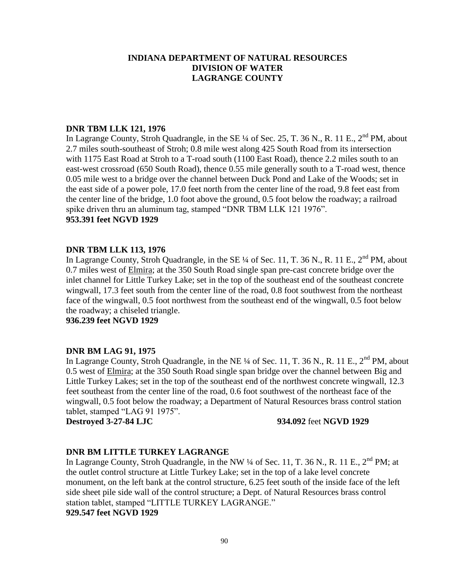## **DNR TBM LLK 121, 1976**

In Lagrange County, Stroh Quadrangle, in the SE ¼ of Sec. 25, T. 36 N., R. 11 E., 2<sup>nd</sup> PM, about 2.7 miles south-southeast of Stroh; 0.8 mile west along 425 South Road from its intersection with 1175 East Road at Stroh to a T-road south (1100 East Road), thence 2.2 miles south to an east-west crossroad (650 South Road), thence 0.55 mile generally south to a T-road west, thence 0.05 mile west to a bridge over the channel between Duck Pond and Lake of the Woods; set in the east side of a power pole, 17.0 feet north from the center line of the road, 9.8 feet east from the center line of the bridge, 1.0 foot above the ground, 0.5 foot below the roadway; a railroad spike driven thru an aluminum tag, stamped "DNR TBM LLK 121 1976". **953.391 feet NGVD 1929**

## **DNR TBM LLK 113, 1976**

In Lagrange County, Stroh Quadrangle, in the SE ¼ of Sec. 11, T. 36 N., R. 11 E., 2<sup>nd</sup> PM, about 0.7 miles west of Elmira; at the 350 South Road single span pre-cast concrete bridge over the inlet channel for Little Turkey Lake; set in the top of the southeast end of the southeast concrete wingwall, 17.3 feet south from the center line of the road, 0.8 foot southwest from the northeast face of the wingwall, 0.5 foot northwest from the southeast end of the wingwall, 0.5 foot below the roadway; a chiseled triangle.

**936.239 feet NGVD 1929**

## **DNR BM LAG 91, 1975**

In Lagrange County, Stroh Quadrangle, in the NE ¼ of Sec. 11, T. 36 N., R. 11 E., 2<sup>nd</sup> PM. about 0.5 west of Elmira; at the 350 South Road single span bridge over the channel between Big and Little Turkey Lakes; set in the top of the southeast end of the northwest concrete wingwall, 12.3 feet southeast from the center line of the road, 0.6 foot southwest of the northeast face of the wingwall, 0.5 foot below the roadway; a Department of Natural Resources brass control station tablet, stamped "LAG 91 1975".

#### **Destroyed 3-27-84 LJC 934.092** feet **NGVD 1929**

## **DNR BM LITTLE TURKEY LAGRANGE**

In Lagrange County, Stroh Quadrangle, in the NW  $\frac{1}{4}$  of Sec. 11, T. 36 N., R. 11 E., 2<sup>nd</sup> PM; at the outlet control structure at Little Turkey Lake; set in the top of a lake level concrete monument, on the left bank at the control structure, 6.25 feet south of the inside face of the left side sheet pile side wall of the control structure; a Dept. of Natural Resources brass control station tablet, stamped "LITTLE TURKEY LAGRANGE."

**929.547 feet NGVD 1929**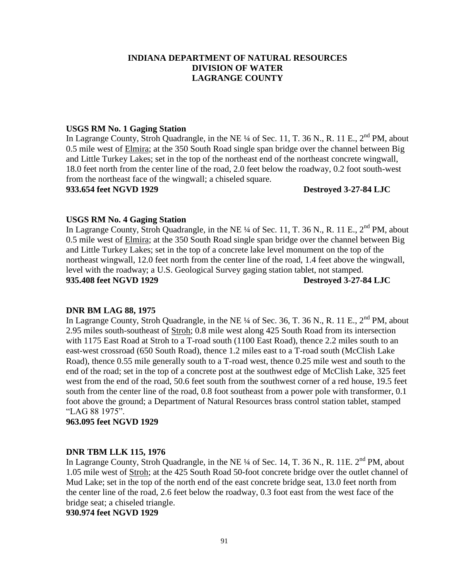## **USGS RM No. 1 Gaging Station**

In Lagrange County, Stroh Quadrangle, in the NE ¼ of Sec. 11, T. 36 N., R. 11 E., 2<sup>nd</sup> PM, about 0.5 mile west of Elmira; at the 350 South Road single span bridge over the channel between Big and Little Turkey Lakes; set in the top of the northeast end of the northeast concrete wingwall, 18.0 feet north from the center line of the road, 2.0 feet below the roadway, 0.2 foot south-west from the northeast face of the wingwall; a chiseled square.

**933.654 feet NGVD 1929 Destroyed 3-27-84 LJC**

#### **USGS RM No. 4 Gaging Station**

In Lagrange County, Stroh Quadrangle, in the NE  $\frac{1}{4}$  of Sec. 11, T. 36 N., R. 11 E., 2<sup>nd</sup> PM, about 0.5 mile west of Elmira; at the 350 South Road single span bridge over the channel between Big and Little Turkey Lakes; set in the top of a concrete lake level monument on the top of the northeast wingwall, 12.0 feet north from the center line of the road, 1.4 feet above the wingwall, level with the roadway; a U.S. Geological Survey gaging station tablet, not stamped. **935.408 feet NGVD 1929 Destroyed 3-27-84 LJC**

#### **DNR BM LAG 88, 1975**

In Lagrange County, Stroh Quadrangle, in the NE  $\frac{1}{4}$  of Sec. 36, T. 36 N., R. 11 E., 2<sup>nd</sup> PM, about 2.95 miles south-southeast of Stroh; 0.8 mile west along 425 South Road from its intersection with 1175 East Road at Stroh to a T-road south (1100 East Road), thence 2.2 miles south to an east-west crossroad (650 South Road), thence 1.2 miles east to a T-road south (McClish Lake Road), thence 0.55 mile generally south to a T-road west, thence 0.25 mile west and south to the end of the road; set in the top of a concrete post at the southwest edge of McClish Lake, 325 feet west from the end of the road, 50.6 feet south from the southwest corner of a red house, 19.5 feet south from the center line of the road, 0.8 foot southeast from a power pole with transformer, 0.1 foot above the ground; a Department of Natural Resources brass control station tablet, stamped "LAG 88 1975".

#### **963.095 feet NGVD 1929**

#### **DNR TBM LLK 115, 1976**

In Lagrange County, Stroh Quadrangle, in the NE  $\frac{1}{4}$  of Sec. 14, T. 36 N., R. 11E.  $2^{nd}$  PM, about 1.05 mile west of Stroh; at the 425 South Road 50-foot concrete bridge over the outlet channel of Mud Lake; set in the top of the north end of the east concrete bridge seat, 13.0 feet north from the center line of the road, 2.6 feet below the roadway, 0.3 foot east from the west face of the bridge seat; a chiseled triangle.

**930.974 feet NGVD 1929**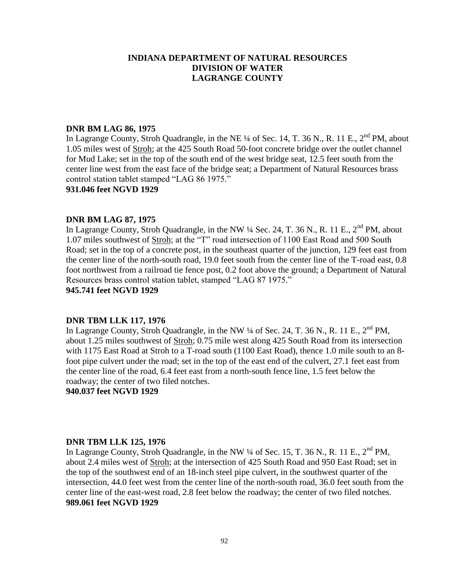## **DNR BM LAG 86, 1975**

In Lagrange County, Stroh Quadrangle, in the NE ¼ of Sec. 14, T. 36 N., R. 11 E., 2<sup>nd</sup> PM, about 1.05 miles west of Stroh; at the 425 South Road 50-foot concrete bridge over the outlet channel for Mud Lake; set in the top of the south end of the west bridge seat, 12.5 feet south from the center line west from the east face of the bridge seat; a Department of Natural Resources brass control station tablet stamped "LAG 86 1975."

#### **931.046 feet NGVD 1929**

#### **DNR BM LAG 87, 1975**

In Lagrange County, Stroh Quadrangle, in the NW  $\frac{1}{4}$  Sec. 24, T. 36 N., R. 11 E., 2<sup>nd</sup> PM, about 1.07 miles southwest of Stroh; at the "T" road intersection of 1100 East Road and 500 South Road; set in the top of a concrete post, in the southeast quarter of the junction, 129 feet east from the center line of the north-south road, 19.0 feet south from the center line of the T-road east, 0.8 foot northwest from a railroad tie fence post, 0.2 foot above the ground; a Department of Natural Resources brass control station tablet, stamped "LAG 87 1975."

**945.741 feet NGVD 1929**

#### **DNR TBM LLK 117, 1976**

In Lagrange County, Stroh Quadrangle, in the NW  $\frac{1}{4}$  of Sec. 24, T. 36 N., R. 11 E.,  $2^{nd}$  PM, about 1.25 miles southwest of Stroh; 0.75 mile west along 425 South Road from its intersection with 1175 East Road at Stroh to a T-road south (1100 East Road), thence 1.0 mile south to an 8foot pipe culvert under the road; set in the top of the east end of the culvert, 27.1 feet east from the center line of the road, 6.4 feet east from a north-south fence line, 1.5 feet below the roadway; the center of two filed notches.

**940.037 feet NGVD 1929**

#### **DNR TBM LLK 125, 1976**

In Lagrange County, Stroh Quadrangle, in the NW  $\frac{1}{4}$  of Sec. 15, T. 36 N., R. 11 E., 2<sup>nd</sup> PM, about 2.4 miles west of Stroh; at the intersection of 425 South Road and 950 East Road; set in the top of the southwest end of an 18-inch steel pipe culvert, in the southwest quarter of the intersection, 44.0 feet west from the center line of the north-south road, 36.0 feet south from the center line of the east-west road, 2.8 feet below the roadway; the center of two filed notches. **989.061 feet NGVD 1929**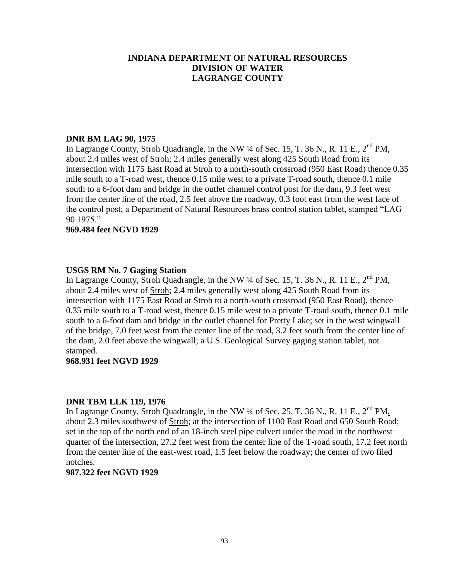#### **DNR BM LAG 90, 1975**

In Lagrange County, Stroh Quadrangle, in the NW  $\frac{1}{4}$  of Sec. 15, T. 36 N., R. 11 E.,  $2^{nd}$  PM, about 2.4 miles west of Stroh; 2.4 miles generally west along 425 South Road from its intersection with 1175 East Road at Stroh to a north-south crossroad (950 East Road) thence 0.35 mile south to a T-road west, thence 0.15 mile west to a private T-road south, thence 0.1 mile south to a 6-foot dam and bridge in the outlet channel control post for the dam, 9.3 feet west from the center line of the road, 2.5 feet above the roadway, 0.3 foot east from the west face of the control post; a Department of Natural Resources brass control station tablet, stamped "LAG 90 1975."

#### **969.484 feet NGVD 1929**

## **USGS RM No. 7 Gaging Station**

In Lagrange County, Stroh Quadrangle, in the NW  $\frac{1}{4}$  of Sec. 15, T. 36 N., R. 11 E., 2<sup>nd</sup> PM, about 2.4 miles west of Stroh; 2.4 miles generally west along 425 South Road from its intersection with 1175 East Road at Stroh to a north-south crossroad (950 East Road), thence 0.35 mile south to a T-road west, thence 0.15 mile west to a private T-road south, thence 0.1 mile south to a 6-foot dam and bridge in the outlet channel for Pretty Lake; set in the west wingwall of the bridge, 7.0 feet west from the center line of the road, 3.2 feet south from the center line of the dam, 2.0 feet above the wingwall; a U.S. Geological Survey gaging station tablet, not stamped.

## **968.931 feet NGVD 1929**

## **DNR TBM LLK 119, 1976**

In Lagrange County, Stroh Quadrangle, in the NW 1/4 of Sec. 25, T. 36 N., R. 11 E., 2<sup>nd</sup> PM, about 2.3 miles southwest of Stroh; at the intersection of 1100 East Road and 650 South Road; set in the top of the north end of an 18-inch steel pipe culvert under the road in the northwest quarter of the intersection, 27.2 feet west from the center line of the T-road south, 17.2 feet north from the center line of the east-west road, 1.5 feet below the roadway; the center of two filed notches.

#### **987.322 feet NGVD 1929**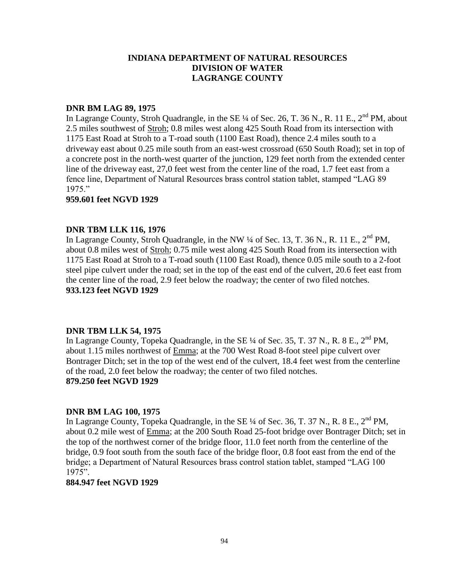#### **DNR BM LAG 89, 1975**

In Lagrange County, Stroh Quadrangle, in the SE ¼ of Sec. 26, T. 36 N., R. 11 E., 2<sup>nd</sup> PM, about 2.5 miles southwest of Stroh; 0.8 miles west along 425 South Road from its intersection with 1175 East Road at Stroh to a T-road south (1100 East Road), thence 2.4 miles south to a driveway east about 0.25 mile south from an east-west crossroad (650 South Road); set in top of a concrete post in the north-west quarter of the junction, 129 feet north from the extended center line of the driveway east, 27,0 feet west from the center line of the road, 1.7 feet east from a fence line, Department of Natural Resources brass control station tablet, stamped "LAG 89 1975."

## **959.601 feet NGVD 1929**

## **DNR TBM LLK 116, 1976**

In Lagrange County, Stroh Quadrangle, in the NW  $\frac{1}{4}$  of Sec. 13, T. 36 N., R. 11 E., 2<sup>nd</sup> PM, about 0.8 miles west of Stroh; 0.75 mile west along 425 South Road from its intersection with 1175 East Road at Stroh to a T-road south (1100 East Road), thence 0.05 mile south to a 2-foot steel pipe culvert under the road; set in the top of the east end of the culvert, 20.6 feet east from the center line of the road, 2.9 feet below the roadway; the center of two filed notches. **933.123 feet NGVD 1929**

#### **DNR TBM LLK 54, 1975**

In Lagrange County, Topeka Quadrangle, in the SE  $\frac{1}{4}$  of Sec. 35, T. 37 N., R. 8 E., 2<sup>nd</sup> PM, about 1.15 miles northwest of Emma; at the 700 West Road 8-foot steel pipe culvert over Bontrager Ditch; set in the top of the west end of the culvert, 18.4 feet west from the centerline of the road, 2.0 feet below the roadway; the center of two filed notches. **879.250 feet NGVD 1929**

#### **DNR BM LAG 100, 1975**

In Lagrange County, Topeka Quadrangle, in the SE  $\frac{1}{4}$  of Sec. 36, T. 37 N., R. 8 E., 2<sup>nd</sup> PM, about 0.2 mile west of Emma; at the 200 South Road 25-foot bridge over Bontrager Ditch; set in the top of the northwest corner of the bridge floor, 11.0 feet north from the centerline of the bridge, 0.9 foot south from the south face of the bridge floor, 0.8 foot east from the end of the bridge; a Department of Natural Resources brass control station tablet, stamped "LAG 100 1975".

#### **884.947 feet NGVD 1929**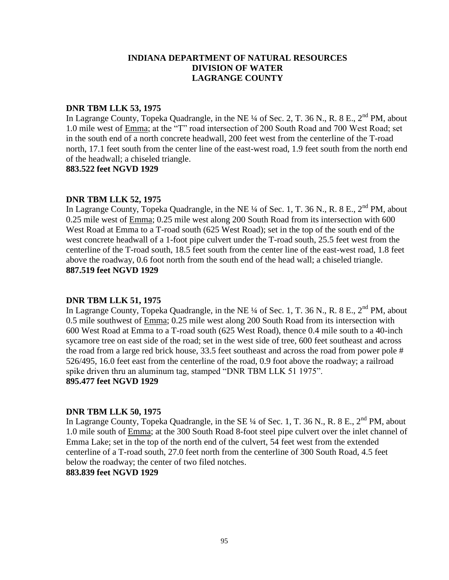#### **DNR TBM LLK 53, 1975**

In Lagrange County, Topeka Quadrangle, in the NE ¼ of Sec. 2, T. 36 N., R. 8 E., 2<sup>nd</sup> PM, about 1.0 mile west of Emma; at the "T" road intersection of 200 South Road and 700 West Road; set in the south end of a north concrete headwall, 200 feet west from the centerline of the T-road north, 17.1 feet south from the center line of the east-west road, 1.9 feet south from the north end of the headwall; a chiseled triangle.

**883.522 feet NGVD 1929**

## **DNR TBM LLK 52, 1975**

In Lagrange County, Topeka Quadrangle, in the NE  $\frac{1}{4}$  of Sec. 1, T. 36 N., R. 8 E., 2<sup>nd</sup> PM, about 0.25 mile west of Emma; 0.25 mile west along 200 South Road from its intersection with 600 West Road at Emma to a T-road south (625 West Road); set in the top of the south end of the west concrete headwall of a 1-foot pipe culvert under the T-road south, 25.5 feet west from the centerline of the T-road south, 18.5 feet south from the center line of the east-west road, 1.8 feet above the roadway, 0.6 foot north from the south end of the head wall; a chiseled triangle. **887.519 feet NGVD 1929**

## **DNR TBM LLK 51, 1975**

In Lagrange County, Topeka Quadrangle, in the NE  $\frac{1}{4}$  of Sec. 1, T. 36 N., R. 8 E., 2<sup>nd</sup> PM, about 0.5 mile southwest of Emma; 0.25 mile west along 200 South Road from its intersection with 600 West Road at Emma to a T-road south (625 West Road), thence 0.4 mile south to a 40-inch sycamore tree on east side of the road; set in the west side of tree, 600 feet southeast and across the road from a large red brick house, 33.5 feet southeast and across the road from power pole # 526/495, 16.0 feet east from the centerline of the road, 0.9 foot above the roadway; a railroad spike driven thru an aluminum tag, stamped "DNR TBM LLK 51 1975". **895.477 feet NGVD 1929**

## **DNR TBM LLK 50, 1975**

In Lagrange County, Topeka Quadrangle, in the SE  $\frac{1}{4}$  of Sec. 1, T. 36 N., R. 8 E.,  $2^{nd}$  PM, about 1.0 mile south of Emma; at the 300 South Road 8-foot steel pipe culvert over the inlet channel of Emma Lake; set in the top of the north end of the culvert, 54 feet west from the extended centerline of a T-road south, 27.0 feet north from the centerline of 300 South Road, 4.5 feet below the roadway; the center of two filed notches. **883.839 feet NGVD 1929**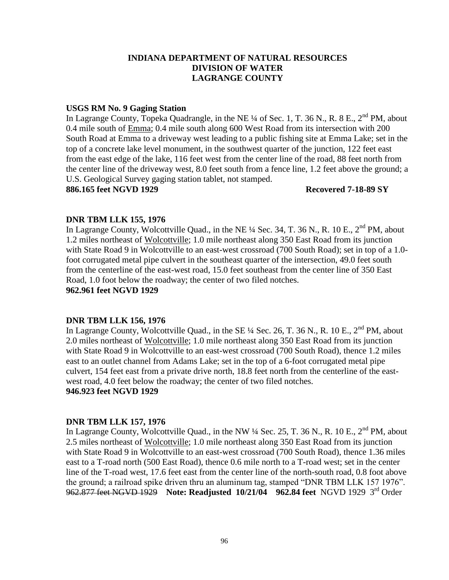## **USGS RM No. 9 Gaging Station**

In Lagrange County, Topeka Quadrangle, in the NE  $\frac{1}{4}$  of Sec. 1, T. 36 N., R. 8 E., 2<sup>nd</sup> PM, about 0.4 mile south of Emma; 0.4 mile south along 600 West Road from its intersection with 200 South Road at Emma to a driveway west leading to a public fishing site at Emma Lake; set in the top of a concrete lake level monument, in the southwest quarter of the junction, 122 feet east from the east edge of the lake, 116 feet west from the center line of the road, 88 feet north from the center line of the driveway west, 8.0 feet south from a fence line, 1.2 feet above the ground; a U.S. Geological Survey gaging station tablet, not stamped.

#### **886.165 feet NGVD 1929 Recovered 7-18-89 SY**

## **DNR TBM LLK 155, 1976**

In Lagrange County, Wolcottville Quad., in the NE  $\frac{1}{4}$  Sec. 34, T. 36 N., R. 10 E.,  $2^{nd}$  PM, about 1.2 miles northeast of Wolcottville; 1.0 mile northeast along 350 East Road from its junction with State Road 9 in Wolcottville to an east-west crossroad (700 South Road); set in top of a 1.0 foot corrugated metal pipe culvert in the southeast quarter of the intersection, 49.0 feet south from the centerline of the east-west road, 15.0 feet southeast from the center line of 350 East Road, 1.0 foot below the roadway; the center of two filed notches.

## **962.961 feet NGVD 1929**

## **DNR TBM LLK 156, 1976**

In Lagrange County, Wolcottville Quad., in the SE  $\frac{1}{4}$  Sec. 26, T. 36 N., R. 10 E., 2<sup>nd</sup> PM, about 2.0 miles northeast of Wolcottville; 1.0 mile northeast along 350 East Road from its junction with State Road 9 in Wolcottville to an east-west crossroad (700 South Road), thence 1.2 miles east to an outlet channel from Adams Lake; set in the top of a 6-foot corrugated metal pipe culvert, 154 feet east from a private drive north, 18.8 feet north from the centerline of the eastwest road, 4.0 feet below the roadway; the center of two filed notches. **946.923 feet NGVD 1929**

**DNR TBM LLK 157, 1976** In Lagrange County, Wolcottville Quad., in the NW  $\frac{1}{4}$  Sec. 25, T. 36 N., R. 10 E., 2<sup>nd</sup> PM, about 2.5 miles northeast of Wolcottville; 1.0 mile northeast along 350 East Road from its junction with State Road 9 in Wolcottville to an east-west crossroad (700 South Road), thence 1.36 miles east to a T-road north (500 East Road), thence 0.6 mile north to a T-road west; set in the center line of the T-road west, 17.6 feet east from the center line of the north-south road, 0.8 foot above the ground; a railroad spike driven thru an aluminum tag, stamped "DNR TBM LLK 157 1976". 962.877 feet NGVD 1929 **Note: Readjusted 10/21/04 962.84 feet** NGVD 1929 3rd Order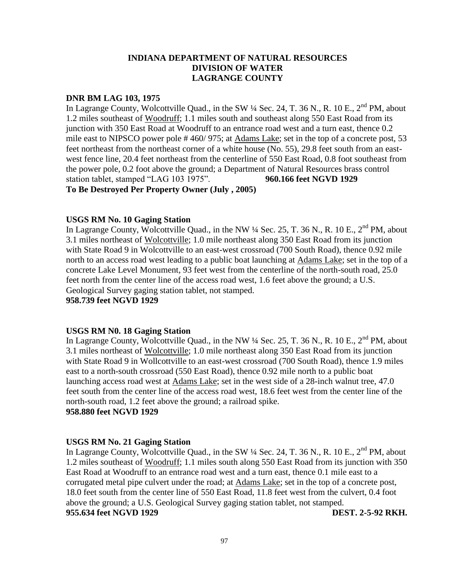#### **DNR BM LAG 103, 1975**

In Lagrange County, Wolcottville Quad., in the SW  $\frac{1}{4}$  Sec. 24, T. 36 N., R. 10 E., 2<sup>nd</sup> PM, about 1.2 miles southeast of Woodruff; 1.1 miles south and southeast along 550 East Road from its junction with 350 East Road at Woodruff to an entrance road west and a turn east, thence 0.2 mile east to NIPSCO power pole # 460/ 975; at Adams Lake; set in the top of a concrete post, 53 feet northeast from the northeast corner of a white house (No. 55), 29.8 feet south from an eastwest fence line, 20.4 feet northeast from the centerline of 550 East Road, 0.8 foot southeast from the power pole, 0.2 foot above the ground; a Department of Natural Resources brass control station tablet, stamped "LAG 103 1975". **960.166 feet NGVD 1929**

**To Be Destroyed Per Property Owner (July , 2005)**

## **USGS RM No. 10 Gaging Station**

In Lagrange County, Wolcottville Quad., in the NW  $\frac{1}{4}$  Sec. 25, T. 36 N., R. 10 E., 2<sup>nd</sup> PM, about 3.1 miles northeast of Wolcottville; 1.0 mile northeast along 350 East Road from its junction with State Road 9 in Wolcottville to an east-west crossroad (700 South Road), thence 0.92 mile north to an access road west leading to a public boat launching at Adams Lake; set in the top of a concrete Lake Level Monument, 93 feet west from the centerline of the north-south road, 25.0 feet north from the center line of the access road west, 1.6 feet above the ground; a U.S. Geological Survey gaging station tablet, not stamped. **958.739 feet NGVD 1929**

#### **USGS RM N0. 18 Gaging Station**

In Lagrange County, Wolcottville Quad., in the NW  $\frac{1}{4}$  Sec. 25, T. 36 N., R. 10 E., 2<sup>nd</sup> PM, about 3.1 miles northeast of Wolcottville; 1.0 mile northeast along 350 East Road from its junction with State Road 9 in Wollcottville to an east-west crossroad (700 South Road), thence 1.9 miles east to a north-south crossroad (550 East Road), thence 0.92 mile north to a public boat launching access road west at Adams Lake; set in the west side of a 28-inch walnut tree, 47.0 feet south from the center line of the access road west, 18.6 feet west from the center line of the north-south road, 1.2 feet above the ground; a railroad spike. **958.880 feet NGVD 1929**

# **USGS RM No. 21 Gaging Station**

In Lagrange County, Wolcottville Quad., in the SW  $\frac{1}{4}$  Sec. 24, T. 36 N., R. 10 E., 2<sup>nd</sup> PM, about 1.2 miles southeast of Woodruff; 1.1 miles south along 550 East Road from its junction with 350 East Road at Woodruff to an entrance road west and a turn east, thence 0.1 mile east to a corrugated metal pipe culvert under the road; at Adams Lake; set in the top of a concrete post, 18.0 feet south from the center line of 550 East Road, 11.8 feet west from the culvert, 0.4 foot above the ground; a U.S. Geological Survey gaging station tablet, not stamped. **955.634 feet NGVD 1929 DEST. 2-5-92 RKH.**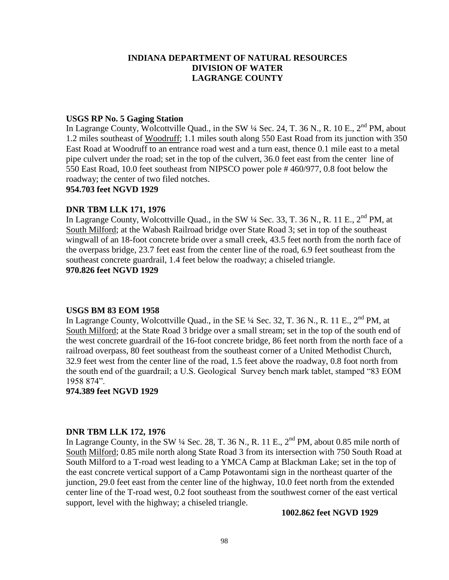#### **USGS RP No. 5 Gaging Station**

In Lagrange County, Wolcottville Quad., in the SW  $\frac{1}{4}$  Sec. 24, T. 36 N., R. 10 E., 2<sup>nd</sup> PM, about 1.2 miles southeast of Woodruff; 1.1 miles south along 550 East Road from its junction with 350 East Road at Woodruff to an entrance road west and a turn east, thence 0.1 mile east to a metal pipe culvert under the road; set in the top of the culvert, 36.0 feet east from the center line of 550 East Road, 10.0 feet southeast from NIPSCO power pole # 460/977, 0.8 foot below the roadway; the center of two filed notches.

#### **954.703 feet NGVD 1929**

#### **DNR TBM LLK 171, 1976**

In Lagrange County, Wolcottville Quad., in the SW  $\frac{1}{4}$  Sec. 33, T. 36 N., R. 11 E., 2<sup>nd</sup> PM, at South Milford; at the Wabash Railroad bridge over State Road 3; set in top of the southeast wingwall of an 18-foot concrete bride over a small creek, 43.5 feet north from the north face of the overpass bridge, 23.7 feet east from the center line of the road, 6.9 feet southeast from the southeast concrete guardrail, 1.4 feet below the roadway; a chiseled triangle. **970.826 feet NGVD 1929**

#### **USGS BM 83 EOM 1958**

In Lagrange County, Wolcottville Quad., in the SE  $\frac{1}{4}$  Sec. 32, T. 36 N., R. 11 E., 2<sup>nd</sup> PM, at South Milford; at the State Road 3 bridge over a small stream; set in the top of the south end of the west concrete guardrail of the 16-foot concrete bridge, 86 feet north from the north face of a railroad overpass, 80 feet southeast from the southeast corner of a United Methodist Church, 32.9 feet west from the center line of the road, 1.5 feet above the roadway, 0.8 foot north from the south end of the guardrail; a U.S. Geological Survey bench mark tablet, stamped "83 EOM 1958 874".

**974.389 feet NGVD 1929**

#### **DNR TBM LLK 172, 1976**

In Lagrange County, in the SW  $\frac{1}{4}$  Sec. 28, T. 36 N., R. 11 E., 2<sup>nd</sup> PM, about 0.85 mile north of South Milford; 0.85 mile north along State Road 3 from its intersection with 750 South Road at South Milford to a T-road west leading to a YMCA Camp at Blackman Lake; set in the top of the east concrete vertical support of a Camp Potawontami sign in the northeast quarter of the junction, 29.0 feet east from the center line of the highway, 10.0 feet north from the extended center line of the T-road west, 0.2 foot southeast from the southwest corner of the east vertical support, level with the highway; a chiseled triangle.

#### **1002.862 feet NGVD 1929**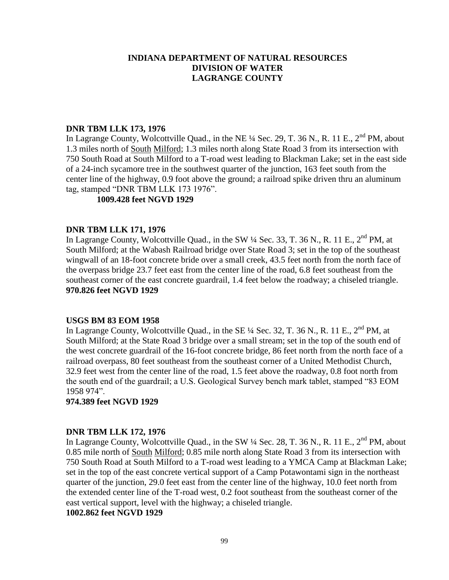## **DNR TBM LLK 173, 1976**

In Lagrange County, Wolcottville Quad., in the NE  $\frac{1}{4}$  Sec. 29, T. 36 N., R. 11 E., 2<sup>nd</sup> PM, about 1.3 miles north of South Milford; 1.3 miles north along State Road 3 from its intersection with 750 South Road at South Milford to a T-road west leading to Blackman Lake; set in the east side of a 24-inch sycamore tree in the southwest quarter of the junction, 163 feet south from the center line of the highway, 0.9 foot above the ground; a railroad spike driven thru an aluminum tag, stamped "DNR TBM LLK 173 1976".

## **1009.428 feet NGVD 1929**

## **DNR TBM LLK 171, 1976**

In Lagrange County, Wolcottville Quad., in the SW 1/4 Sec. 33, T. 36 N., R. 11 E., 2<sup>nd</sup> PM, at South Milford; at the Wabash Railroad bridge over State Road 3; set in the top of the southeast wingwall of an 18-foot concrete bride over a small creek, 43.5 feet north from the north face of the overpass bridge 23.7 feet east from the center line of the road, 6.8 feet southeast from the southeast corner of the east concrete guardrail, 1.4 feet below the roadway; a chiseled triangle. **970.826 feet NGVD 1929**

#### **USGS BM 83 EOM 1958**

In Lagrange County, Wolcottville Quad., in the SE  $\frac{1}{4}$  Sec. 32, T. 36 N., R. 11 E., 2<sup>nd</sup> PM, at South Milford; at the State Road 3 bridge over a small stream; set in the top of the south end of the west concrete guardrail of the 16-foot concrete bridge, 86 feet north from the north face of a railroad overpass, 80 feet southeast from the southeast corner of a United Methodist Church, 32.9 feet west from the center line of the road, 1.5 feet above the roadway, 0.8 foot north from the south end of the guardrail; a U.S. Geological Survey bench mark tablet, stamped "83 EOM 1958 974".

## **974.389 feet NGVD 1929**

#### **DNR TBM LLK 172, 1976**

In Lagrange County, Wolcottville Quad., in the SW 1/4 Sec. 28, T. 36 N., R. 11 E., 2<sup>nd</sup> PM, about 0.85 mile north of South Milford; 0.85 mile north along State Road 3 from its intersection with 750 South Road at South Milford to a T-road west leading to a YMCA Camp at Blackman Lake; set in the top of the east concrete vertical support of a Camp Potawontami sign in the northeast quarter of the junction, 29.0 feet east from the center line of the highway, 10.0 feet north from the extended center line of the T-road west, 0.2 foot southeast from the southeast corner of the east vertical support, level with the highway; a chiseled triangle.

#### **1002.862 feet NGVD 1929**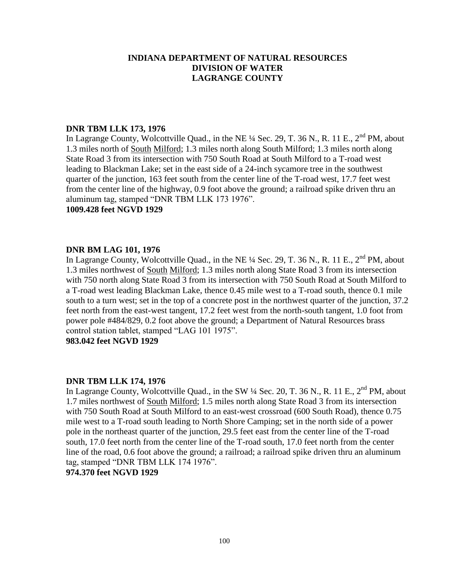## **DNR TBM LLK 173, 1976**

In Lagrange County, Wolcottville Quad., in the NE  $\frac{1}{4}$  Sec. 29, T. 36 N., R. 11 E., 2<sup>nd</sup> PM, about 1.3 miles north of South Milford; 1.3 miles north along South Milford; 1.3 miles north along State Road 3 from its intersection with 750 South Road at South Milford to a T-road west leading to Blackman Lake; set in the east side of a 24-inch sycamore tree in the southwest quarter of the junction, 163 feet south from the center line of the T-road west, 17.7 feet west from the center line of the highway, 0.9 foot above the ground; a railroad spike driven thru an aluminum tag, stamped "DNR TBM LLK 173 1976".

#### **1009.428 feet NGVD 1929**

## **DNR BM LAG 101, 1976**

In Lagrange County, Wolcottville Quad., in the NE  $\frac{1}{4}$  Sec. 29, T. 36 N., R. 11 E.,  $2^{nd}$  PM, about 1.3 miles northwest of South Milford; 1.3 miles north along State Road 3 from its intersection with 750 north along State Road 3 from its intersection with 750 South Road at South Milford to a T-road west leading Blackman Lake, thence 0.45 mile west to a T-road south, thence 0.1 mile south to a turn west; set in the top of a concrete post in the northwest quarter of the junction, 37.2 feet north from the east-west tangent, 17.2 feet west from the north-south tangent, 1.0 foot from power pole #484/829, 0.2 foot above the ground; a Department of Natural Resources brass control station tablet, stamped "LAG 101 1975".

## **983.042 feet NGVD 1929**

#### **DNR TBM LLK 174, 1976**

In Lagrange County, Wolcottville Quad., in the SW  $\frac{1}{4}$  Sec. 20, T. 36 N., R. 11 E.,  $2^{nd}$  PM, about 1.7 miles northwest of South Milford; 1.5 miles north along State Road 3 from its intersection with 750 South Road at South Milford to an east-west crossroad (600 South Road), thence 0.75 mile west to a T-road south leading to North Shore Camping; set in the north side of a power pole in the northeast quarter of the junction, 29.5 feet east from the center line of the T-road south, 17.0 feet north from the center line of the T-road south, 17.0 feet north from the center line of the road, 0.6 foot above the ground; a railroad; a railroad spike driven thru an aluminum tag, stamped "DNR TBM LLK 174 1976". **974.370 feet NGVD 1929**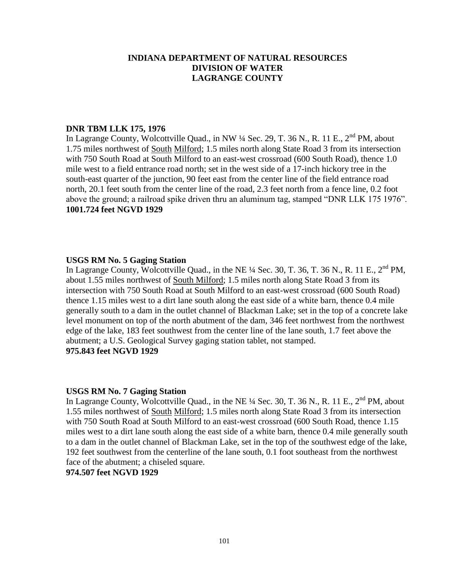## **DNR TBM LLK 175, 1976**

In Lagrange County, Wolcottville Quad., in NW ¼ Sec. 29, T. 36 N., R. 11 E., 2<sup>nd</sup> PM, about 1.75 miles northwest of South Milford; 1.5 miles north along State Road 3 from its intersection with 750 South Road at South Milford to an east-west crossroad (600 South Road), thence 1.0 mile west to a field entrance road north; set in the west side of a 17-inch hickory tree in the south-east quarter of the junction, 90 feet east from the center line of the field entrance road north, 20.1 feet south from the center line of the road, 2.3 feet north from a fence line, 0.2 foot above the ground; a railroad spike driven thru an aluminum tag, stamped "DNR LLK 175 1976". **1001.724 feet NGVD 1929**

## **USGS RM No. 5 Gaging Station**

In Lagrange County, Wolcottville Quad., in the NE  $\frac{1}{4}$  Sec. 30, T. 36, T. 36 N., R. 11 E.,  $2^{nd}$  PM, about 1.55 miles northwest of South Milford; 1.5 miles north along State Road 3 from its intersection with 750 South Road at South Milford to an east-west crossroad (600 South Road) thence 1.15 miles west to a dirt lane south along the east side of a white barn, thence 0.4 mile generally south to a dam in the outlet channel of Blackman Lake; set in the top of a concrete lake level monument on top of the north abutment of the dam, 346 feet northwest from the northwest edge of the lake, 183 feet southwest from the center line of the lane south, 1.7 feet above the abutment; a U.S. Geological Survey gaging station tablet, not stamped. **975.843 feet NGVD 1929**

#### **USGS RM No. 7 Gaging Station**

In Lagrange County, Wolcottville Quad., in the NE  $\frac{1}{4}$  Sec. 30, T. 36 N., R. 11 E.,  $2^{nd}$  PM, about 1.55 miles northwest of South Milford; 1.5 miles north along State Road 3 from its intersection with 750 South Road at South Milford to an east-west crossroad (600 South Road, thence 1.15 miles west to a dirt lane south along the east side of a white barn, thence 0.4 mile generally south to a dam in the outlet channel of Blackman Lake, set in the top of the southwest edge of the lake, 192 feet southwest from the centerline of the lane south, 0.1 foot southeast from the northwest face of the abutment; a chiseled square.

## **974.507 feet NGVD 1929**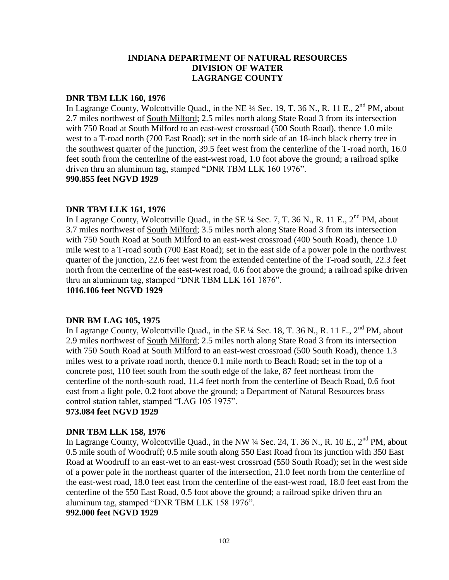#### **DNR TBM LLK 160, 1976**

In Lagrange County, Wolcottville Quad., in the NE  $\frac{1}{4}$  Sec. 19, T. 36 N., R. 11 E.,  $2^{nd}$  PM, about 2.7 miles northwest of South Milford; 2.5 miles north along State Road 3 from its intersection with 750 Road at South Milford to an east-west crossroad (500 South Road), thence 1.0 mile west to a T-road north (700 East Road); set in the north side of an 18-inch black cherry tree in the southwest quarter of the junction, 39.5 feet west from the centerline of the T-road north, 16.0 feet south from the centerline of the east-west road, 1.0 foot above the ground; a railroad spike driven thru an aluminum tag, stamped "DNR TBM LLK 160 1976". **990.855 feet NGVD 1929**

## **DNR TBM LLK 161, 1976**

In Lagrange County, Wolcottville Quad., in the SE  $\frac{1}{4}$  Sec. 7, T. 36 N., R. 11 E., 2<sup>nd</sup> PM, about 3.7 miles northwest of South Milford; 3.5 miles north along State Road 3 from its intersection with 750 South Road at South Milford to an east-west crossroad (400 South Road), thence 1.0 mile west to a T-road south (700 East Road); set in the east side of a power pole in the northwest quarter of the junction, 22.6 feet west from the extended centerline of the T-road south, 22.3 feet north from the centerline of the east-west road, 0.6 foot above the ground; a railroad spike driven thru an aluminum tag, stamped "DNR TBM LLK 161 1876".

**1016.106 feet NGVD 1929**

#### **DNR BM LAG 105, 1975**

In Lagrange County, Wolcottville Quad., in the SE  $\frac{1}{4}$  Sec. 18, T. 36 N., R. 11 E., 2<sup>nd</sup> PM, about 2.9 miles northwest of South Milford; 2.5 miles north along State Road 3 from its intersection with 750 South Road at South Milford to an east-west crossroad (500 South Road), thence 1.3 miles west to a private road north, thence 0.1 mile north to Beach Road; set in the top of a concrete post, 110 feet south from the south edge of the lake, 87 feet northeast from the centerline of the north-south road, 11.4 feet north from the centerline of Beach Road, 0.6 foot east from a light pole, 0.2 foot above the ground; a Department of Natural Resources brass control station tablet, stamped "LAG 105 1975".

## **973.084 feet NGVD 1929**

#### **DNR TBM LLK 158, 1976**

In Lagrange County, Wolcottville Quad., in the NW  $\frac{1}{4}$  Sec. 24, T. 36 N., R. 10 E., 2<sup>nd</sup> PM, about 0.5 mile south of Woodruff; 0.5 mile south along 550 East Road from its junction with 350 East Road at Woodruff to an east-wet to an east-west crossroad (550 South Road); set in the west side of a power pole in the northeast quarter of the intersection, 21.0 feet north from the centerline of the east-west road, 18.0 feet east from the centerline of the east-west road, 18.0 feet east from the centerline of the 550 East Road, 0.5 foot above the ground; a railroad spike driven thru an aluminum tag, stamped "DNR TBM LLK 158 1976".

**992.000 feet NGVD 1929**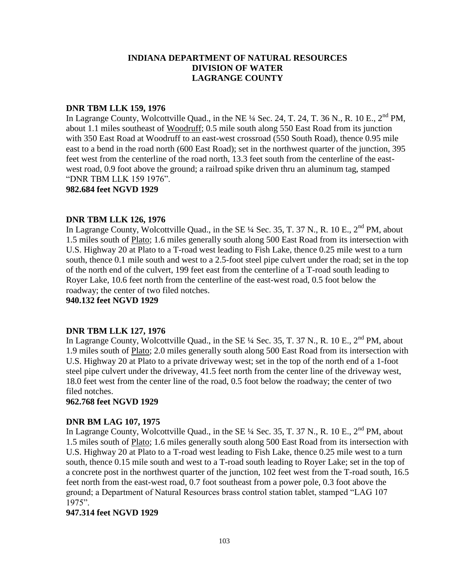## **DNR TBM LLK 159, 1976**

In Lagrange County, Wolcottville Quad., in the NE  $\frac{1}{4}$  Sec. 24, T. 24, T. 36 N., R. 10 E., 2<sup>nd</sup> PM, about 1.1 miles southeast of Woodruff; 0.5 mile south along 550 East Road from its junction with 350 East Road at Woodruff to an east-west crossroad (550 South Road), thence 0.95 mile east to a bend in the road north (600 East Road); set in the northwest quarter of the junction, 395 feet west from the centerline of the road north, 13.3 feet south from the centerline of the eastwest road, 0.9 foot above the ground; a railroad spike driven thru an aluminum tag, stamped "DNR TBM LLK 159 1976".

**982.684 feet NGVD 1929**

## **DNR TBM LLK 126, 1976**

In Lagrange County, Wolcottville Quad., in the SE  $\frac{1}{4}$  Sec. 35, T. 37 N., R. 10 E., 2<sup>nd</sup> PM, about 1.5 miles south of Plato; 1.6 miles generally south along 500 East Road from its intersection with U.S. Highway 20 at Plato to a T-road west leading to Fish Lake, thence 0.25 mile west to a turn south, thence 0.1 mile south and west to a 2.5-foot steel pipe culvert under the road; set in the top of the north end of the culvert, 199 feet east from the centerline of a T-road south leading to Royer Lake, 10.6 feet north from the centerline of the east-west road, 0.5 foot below the roadway; the center of two filed notches.

**940.132 feet NGVD 1929**

## **DNR TBM LLK 127, 1976**

In Lagrange County, Wolcottville Quad., in the SE  $\frac{1}{4}$  Sec. 35, T. 37 N., R. 10 E., 2<sup>nd</sup> PM, about 1.9 miles south of Plato; 2.0 miles generally south along 500 East Road from its intersection with U.S. Highway 20 at Plato to a private driveway west; set in the top of the north end of a 1-foot steel pipe culvert under the driveway, 41.5 feet north from the center line of the driveway west, 18.0 feet west from the center line of the road, 0.5 foot below the roadway; the center of two filed notches.

#### **962.768 feet NGVD 1929**

## **DNR BM LAG 107, 1975**

In Lagrange County, Wolcottville Quad., in the SE  $\frac{1}{4}$  Sec. 35, T. 37 N., R. 10 E., 2<sup>nd</sup> PM, about 1.5 miles south of Plato; 1.6 miles generally south along 500 East Road from its intersection with U.S. Highway 20 at Plato to a T-road west leading to Fish Lake, thence 0.25 mile west to a turn south, thence 0.15 mile south and west to a T-road south leading to Royer Lake; set in the top of a concrete post in the northwest quarter of the junction, 102 feet west from the T-road south, 16.5 feet north from the east-west road, 0.7 foot southeast from a power pole, 0.3 foot above the ground; a Department of Natural Resources brass control station tablet, stamped "LAG 107 1975".

## **947.314 feet NGVD 1929**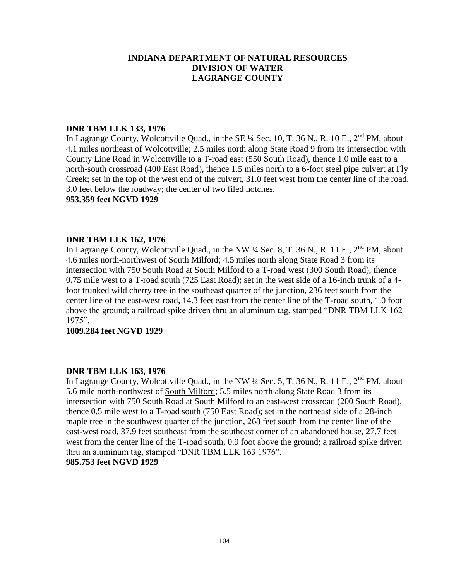## **DNR TBM LLK 133, 1976**

In Lagrange County, Wolcottville Quad., in the SE  $\frac{1}{4}$  Sec. 10, T. 36 N., R. 10 E., 2<sup>nd</sup> PM, about 4.1 miles northeast of Wolcottville; 2.5 miles north along State Road 9 from its intersection with County Line Road in Wolcottville to a T-road east (550 South Road), thence 1.0 mile east to a north-south crossroad (400 East Road), thence 1.5 miles north to a 6-foot steel pipe culvert at Fly Creek; set in the top of the west end of the culvert, 31.0 feet west from the center line of the road. 3.0 feet below the roadway; the center of two filed notches.

## **953.359 feet NGVD 1929**

## **DNR TBM LLK 162, 1976**

In Lagrange County, Wolcottville Quad., in the NW  $\frac{1}{4}$  Sec. 8, T. 36 N., R. 11 E., 2<sup>nd</sup> PM, about 4.6 miles north-northwest of South Milford; 4.5 miles north along State Road 3 from its intersection with 750 South Road at South Milford to a T-road west (300 South Road), thence 0.75 mile west to a T-road south (725 East Road); set in the west side of a 16-inch trunk of a 4 foot trunked wild cherry tree in the southeast quarter of the junction, 236 feet south from the center line of the east-west road, 14.3 feet east from the center line of the T-road south, 1.0 foot above the ground; a railroad spike driven thru an aluminum tag, stamped "DNR TBM LLK 162 1975".

#### **1009.284 feet NGVD 1929**

## **DNR TBM LLK 163, 1976**

In Lagrange County, Wolcottville Quad., in the NW ¼ Sec. 5, T. 36 N., R. 11 E., 2<sup>nd</sup> PM, about 5.6 mile north-northwest of South Milford; 5.5 miles north along State Road 3 from its intersection with 750 South Road at South Milford to an east-west crossroad (200 South Road), thence 0.5 mile west to a T-road south (750 East Road); set in the northeast side of a 28-inch maple tree in the southwest quarter of the junction, 268 feet south from the center line of the east-west road, 37.9 feet southeast from the southeast corner of an abandoned house, 27.7 feet west from the center line of the T-road south, 0.9 foot above the ground; a railroad spike driven thru an aluminum tag, stamped "DNR TBM LLK 163 1976". **985.753 feet NGVD 1929**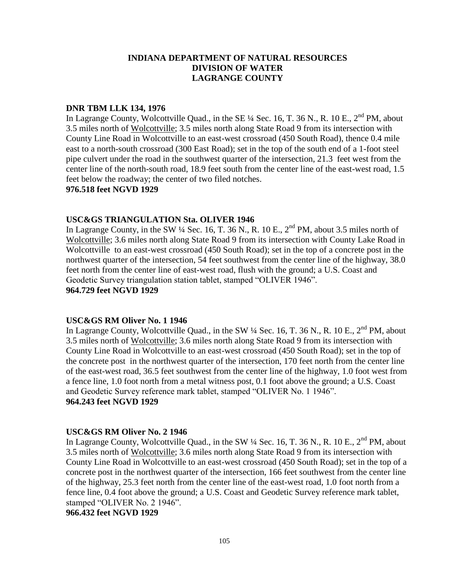## **DNR TBM LLK 134, 1976**

In Lagrange County, Wolcottville Quad., in the SE  $\frac{1}{4}$  Sec. 16, T. 36 N., R. 10 E.,  $2^{nd}$  PM, about 3.5 miles north of Wolcottville; 3.5 miles north along State Road 9 from its intersection with County Line Road in Wolcottville to an east-west crossroad (450 South Road), thence 0.4 mile east to a north-south crossroad (300 East Road); set in the top of the south end of a 1-foot steel pipe culvert under the road in the southwest quarter of the intersection, 21.3 feet west from the center line of the north-south road, 18.9 feet south from the center line of the east-west road, 1.5 feet below the roadway; the center of two filed notches.

#### **976.518 feet NGVD 1929**

## **USC&GS TRIANGULATION Sta. OLIVER 1946**

In Lagrange County, in the SW  $\frac{1}{4}$  Sec. 16, T. 36 N., R. 10 E.,  $2^{nd}$  PM, about 3.5 miles north of Wolcottville; 3.6 miles north along State Road 9 from its intersection with County Lake Road in Wolcottville to an east-west crossroad (450 South Road); set in the top of a concrete post in the northwest quarter of the intersection, 54 feet southwest from the center line of the highway, 38.0 feet north from the center line of east-west road, flush with the ground; a U.S. Coast and Geodetic Survey triangulation station tablet, stamped "OLIVER 1946". **964.729 feet NGVD 1929**

#### **USC&GS RM Oliver No. 1 1946**

In Lagrange County, Wolcottville Quad., in the SW  $\frac{1}{4}$  Sec. 16, T. 36 N., R. 10 E.,  $2^{nd}$  PM, about 3.5 miles north of Wolcottville; 3.6 miles north along State Road 9 from its intersection with County Line Road in Wolcottville to an east-west crossroad (450 South Road); set in the top of the concrete post in the northwest quarter of the intersection, 170 feet north from the center line of the east-west road, 36.5 feet southwest from the center line of the highway, 1.0 foot west from a fence line, 1.0 foot north from a metal witness post, 0.1 foot above the ground; a U.S. Coast and Geodetic Survey reference mark tablet, stamped "OLIVER No. 1 1946". **964.243 feet NGVD 1929**

#### **USC&GS RM Oliver No. 2 1946**

In Lagrange County, Wolcottville Quad., in the SW  $\frac{1}{4}$  Sec. 16, T. 36 N., R. 10 E.,  $2^{nd}$  PM, about 3.5 miles north of Wolcottville; 3.6 miles north along State Road 9 from its intersection with County Line Road in Wolcottville to an east-west crossroad (450 South Road); set in the top of a concrete post in the northwest quarter of the intersection, 166 feet southwest from the center line of the highway, 25.3 feet north from the center line of the east-west road, 1.0 foot north from a fence line, 0.4 foot above the ground; a U.S. Coast and Geodetic Survey reference mark tablet, stamped "OLIVER No. 2 1946".

**966.432 feet NGVD 1929**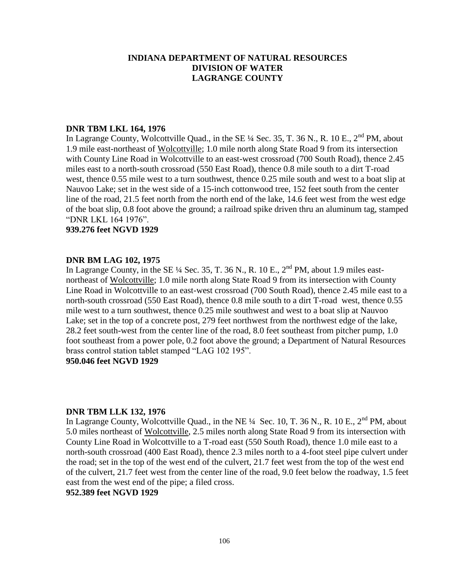## **DNR TBM LKL 164, 1976**

In Lagrange County, Wolcottville Quad., in the SE  $\frac{1}{4}$  Sec. 35, T. 36 N., R. 10 E., 2<sup>nd</sup> PM, about 1.9 mile east-northeast of Wolcottville; 1.0 mile north along State Road 9 from its intersection with County Line Road in Wolcottville to an east-west crossroad (700 South Road), thence 2.45 miles east to a north-south crossroad (550 East Road), thence 0.8 mile south to a dirt T-road west, thence 0.55 mile west to a turn southwest, thence 0.25 mile south and west to a boat slip at Nauvoo Lake; set in the west side of a 15-inch cottonwood tree, 152 feet south from the center line of the road, 21.5 feet north from the north end of the lake, 14.6 feet west from the west edge of the boat slip, 0.8 foot above the ground; a railroad spike driven thru an aluminum tag, stamped "DNR LKL 164 1976".

#### **939.276 feet NGVD 1929**

## **DNR BM LAG 102, 1975**

In Lagrange County, in the SE  $\frac{1}{4}$  Sec. 35, T. 36 N., R. 10 E., 2<sup>nd</sup> PM, about 1.9 miles eastnortheast of Wolcottville; 1.0 mile north along State Road 9 from its intersection with County Line Road in Wolcottville to an east-west crossroad (700 South Road), thence 2.45 mile east to a north-south crossroad (550 East Road), thence 0.8 mile south to a dirt T-road west, thence 0.55 mile west to a turn southwest, thence 0.25 mile southwest and west to a boat slip at Nauvoo Lake; set in the top of a concrete post, 279 feet northwest from the northwest edge of the lake, 28.2 feet south-west from the center line of the road, 8.0 feet southeast from pitcher pump, 1.0 foot southeast from a power pole, 0.2 foot above the ground; a Department of Natural Resources brass control station tablet stamped "LAG 102 195".

## **950.046 feet NGVD 1929**

## **DNR TBM LLK 132, 1976**

In Lagrange County, Wolcottville Quad., in the NE  $\frac{1}{4}$  Sec. 10, T. 36 N., R. 10 E., 2<sup>nd</sup> PM, about 5.0 miles northeast of Wolcottville, 2.5 miles north along State Road 9 from its intersection with County Line Road in Wolcottville to a T-road east (550 South Road), thence 1.0 mile east to a north-south crossroad (400 East Road), thence 2.3 miles north to a 4-foot steel pipe culvert under the road; set in the top of the west end of the culvert, 21.7 feet west from the top of the west end of the culvert, 21.7 feet west from the center line of the road, 9.0 feet below the roadway, 1.5 feet east from the west end of the pipe; a filed cross.

## **952.389 feet NGVD 1929**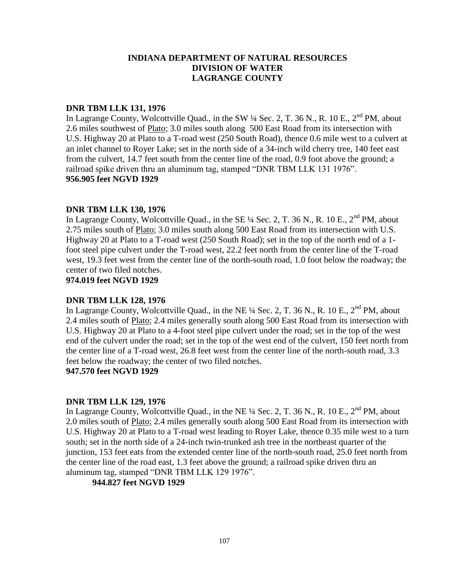## **DNR TBM LLK 131, 1976**

In Lagrange County, Wolcottville Quad., in the SW  $\frac{1}{4}$  Sec. 2, T. 36 N., R. 10 E., 2<sup>nd</sup> PM, about 2.6 miles southwest of Plato; 3.0 miles south along 500 East Road from its intersection with U.S. Highway 20 at Plato to a T-road west (250 South Road), thence 0.6 mile west to a culvert at an inlet channel to Royer Lake; set in the north side of a 34-inch wild cherry tree, 140 feet east from the culvert, 14.7 feet south from the center line of the road, 0.9 foot above the ground; a railroad spike driven thru an aluminum tag, stamped "DNR TBM LLK 131 1976". **956.905 feet NGVD 1929**

## **DNR TBM LLK 130, 1976**

In Lagrange County, Wolcottville Quad., in the SE  $\frac{1}{4}$  Sec. 2, T. 36 N., R. 10 E., 2<sup>nd</sup> PM, about 2.75 miles south of Plato; 3.0 miles south along 500 East Road from its intersection with U.S. Highway 20 at Plato to a T-road west (250 South Road); set in the top of the north end of a 1 foot steel pipe culvert under the T-road west, 22.2 feet north from the center line of the T-road west, 19.3 feet west from the center line of the north-south road, 1.0 foot below the roadway; the center of two filed notches.

## **974.019 feet NGVD 1929**

## **DNR TBM LLK 128, 1976**

In Lagrange County, Wolcottville Quad., in the NE  $\frac{1}{4}$  Sec. 2, T. 36 N., R. 10 E.,  $2^{nd}$  PM, about 2.4 miles south of Plato; 2.4 miles generally south along 500 East Road from its intersection with U.S. Highway 20 at Plato to a 4-foot steel pipe culvert under the road; set in the top of the west end of the culvert under the road; set in the top of the west end of the culvert, 150 feet north from the center line of a T-road west, 26.8 feet west from the center line of the north-south road, 3.3 feet below the roadway; the center of two filed notches.

## **947.570 feet NGVD 1929**

## **DNR TBM LLK 129, 1976**

In Lagrange County, Wolcottville Quad., in the NE <sup>1</sup>/4 Sec. 2, T. 36 N., R. 10 E., 2<sup>nd</sup> PM, about 2.0 miles south of Plato; 2.4 miles generally south along 500 East Road from its intersection with U.S. Highway 20 at Plato to a T-road west leading to Royer Lake, thence 0.35 mile west to a turn south; set in the north side of a 24-inch twin-trunked ash tree in the northeast quarter of the junction, 153 feet eats from the extended center line of the north-south road, 25.0 feet north from the center line of the road east, 1.3 feet above the ground; a railroad spike driven thru an aluminum tag, stamped "DNR TBM LLK 129 1976".

**944.827 feet NGVD 1929**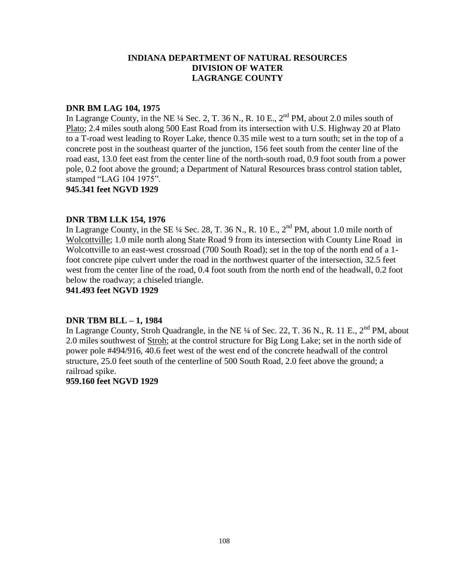## **DNR BM LAG 104, 1975**

In Lagrange County, in the NE  $\frac{1}{4}$  Sec. 2, T. 36 N., R. 10 E.,  $2^{nd}$  PM, about 2.0 miles south of Plato; 2.4 miles south along 500 East Road from its intersection with U.S. Highway 20 at Plato to a T-road west leading to Royer Lake, thence 0.35 mile west to a turn south; set in the top of a concrete post in the southeast quarter of the junction, 156 feet south from the center line of the road east, 13.0 feet east from the center line of the north-south road, 0.9 foot south from a power pole, 0.2 foot above the ground; a Department of Natural Resources brass control station tablet, stamped "LAG 104 1975".

**945.341 feet NGVD 1929**

## **DNR TBM LLK 154, 1976**

In Lagrange County, in the SE  $\frac{1}{4}$  Sec. 28, T. 36 N., R. 10 E.,  $2^{nd}$  PM, about 1.0 mile north of Wolcottville; 1.0 mile north along State Road 9 from its intersection with County Line Road in Wolcottville to an east-west crossroad (700 South Road); set in the top of the north end of a 1 foot concrete pipe culvert under the road in the northwest quarter of the intersection, 32.5 feet west from the center line of the road, 0.4 foot south from the north end of the headwall, 0.2 foot below the roadway; a chiseled triangle.

**941.493 feet NGVD 1929**

## **DNR TBM BLL – 1, 1984**

In Lagrange County, Stroh Quadrangle, in the NE  $\frac{1}{4}$  of Sec. 22, T. 36 N., R. 11 E.,  $2^{nd}$  PM, about 2.0 miles southwest of Stroh; at the control structure for Big Long Lake; set in the north side of power pole #494/916, 40.6 feet west of the west end of the concrete headwall of the control structure, 25.0 feet south of the centerline of 500 South Road, 2.0 feet above the ground; a railroad spike.

#### **959.160 feet NGVD 1929**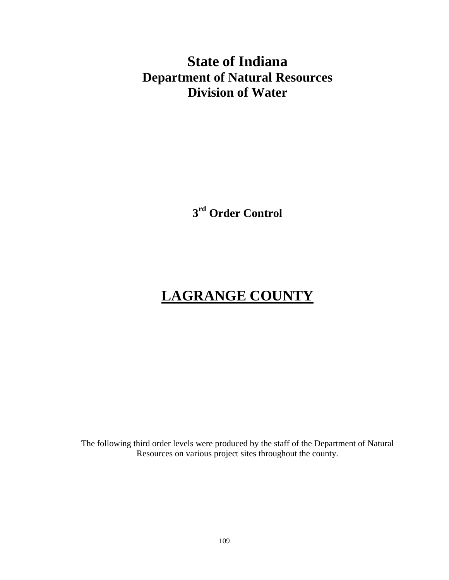# **State of Indiana Department of Natural Resources Division of Water**

**3 rd Order Control**

# **LAGRANGE COUNTY**

The following third order levels were produced by the staff of the Department of Natural Resources on various project sites throughout the county.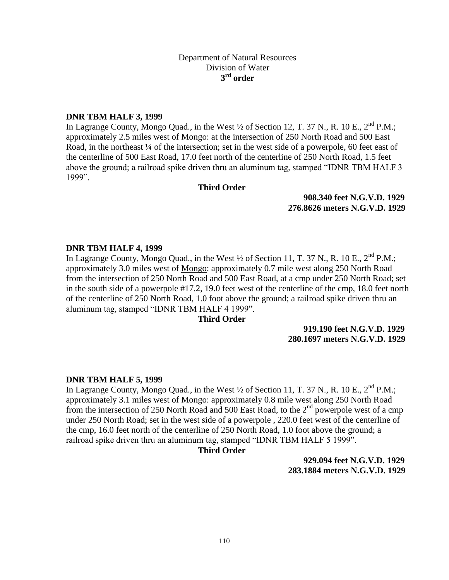# **DNR TBM HALF 3, 1999**

In Lagrange County, Mongo Quad., in the West  $\frac{1}{2}$  of Section 12, T. 37 N., R. 10 E., 2<sup>nd</sup> P.M.; approximately 2.5 miles west of Mongo: at the intersection of 250 North Road and 500 East Road, in the northeast <sup>1/4</sup> of the intersection; set in the west side of a powerpole, 60 feet east of the centerline of 500 East Road, 17.0 feet north of the centerline of 250 North Road, 1.5 feet above the ground; a railroad spike driven thru an aluminum tag, stamped "IDNR TBM HALF 3 1999".

#### **Third Order**

**feet N.A.V.D. 1988 908.340 feet N.G.V.D. 1929 meters N.A.V.D. 1988 276.8626 meters N.G.V.D. 1929**

#### **DNR TBM HALF 4, 1999**

In Lagrange County, Mongo Quad., in the West  $\frac{1}{2}$  of Section 11, T. 37 N., R. 10 E., 2<sup>nd</sup> P.M.; approximately 3.0 miles west of Mongo: approximately 0.7 mile west along 250 North Road from the intersection of 250 North Road and 500 East Road, at a cmp under 250 North Road; set in the south side of a powerpole #17.2, 19.0 feet west of the centerline of the cmp, 18.0 feet north of the centerline of 250 North Road, 1.0 foot above the ground; a railroad spike driven thru an aluminum tag, stamped "IDNR TBM HALF 4 1999".

#### **Third Order**

#### **feet N.A.V.D. 1988 919.190 feet N.G.V.D. 1929 meters N.A.V.D. 1988 280.1697 meters N.G.V.D. 1929**

#### **DNR TBM HALF 5, 1999**

In Lagrange County, Mongo Quad., in the West  $\frac{1}{2}$  of Section 11, T. 37 N., R. 10 E., 2<sup>nd</sup> P.M.; approximately 3.1 miles west of Mongo: approximately 0.8 mile west along 250 North Road from the intersection of 250 North Road and 500 East Road, to the  $2<sup>nd</sup>$  powerpole west of a cmp under 250 North Road; set in the west side of a powerpole , 220.0 feet west of the centerline of the cmp, 16.0 feet north of the centerline of 250 North Road, 1.0 foot above the ground; a railroad spike driven thru an aluminum tag, stamped "IDNR TBM HALF 5 1999".

#### **Third Order**

**feet N.A.V.D. 1988 929.094 feet N.G.V.D. 1929 meters N.A.V.D. 1988 283.1884 meters N.G.V.D. 1929**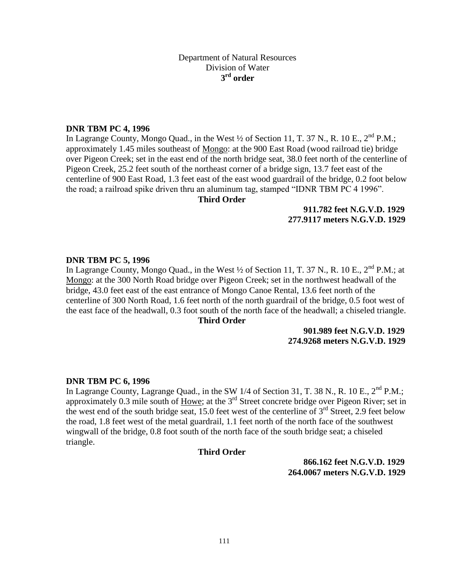# **DNR TBM PC 4, 1996**

In Lagrange County, Mongo Quad., in the West  $\frac{1}{2}$  of Section 11, T. 37 N., R. 10 E., 2<sup>nd</sup> P.M.; approximately 1.45 miles southeast of Mongo: at the 900 East Road (wood railroad tie) bridge over Pigeon Creek; set in the east end of the north bridge seat, 38.0 feet north of the centerline of Pigeon Creek, 25.2 feet south of the northeast corner of a bridge sign, 13.7 feet east of the centerline of 900 East Road, 1.3 feet east of the east wood guardrail of the bridge, 0.2 foot below the road; a railroad spike driven thru an aluminum tag, stamped "IDNR TBM PC 4 1996".

#### **Third Order**

# **feet N.A.V.D. 1988 911.782 feet N.G.V.D. 1929 meters N.A.V.D. 1988 277.9117 meters N.G.V.D. 1929**

#### **DNR TBM PC 5, 1996**

In Lagrange County, Mongo Quad., in the West  $\frac{1}{2}$  of Section 11, T. 37 N., R. 10 E.,  $2^{nd}$  P.M.; at Mongo: at the 300 North Road bridge over Pigeon Creek; set in the northwest headwall of the bridge, 43.0 feet east of the east entrance of Mongo Canoe Rental, 13.6 feet north of the centerline of 300 North Road, 1.6 feet north of the north guardrail of the bridge, 0.5 foot west of the east face of the headwall, 0.3 foot south of the north face of the headwall; a chiseled triangle.

# **Third Order**

#### **feet N.A.V.D. 1988 901.989 feet N.G.V.D. 1929 meters N.A.V.D. 1988 274.9268 meters N.G.V.D. 1929**

#### **DNR TBM PC 6, 1996**

In Lagrange County, Lagrange Quad., in the SW 1/4 of Section 31, T. 38 N., R. 10 E., 2<sup>nd</sup> P.M.; approximately 0.3 mile south of  $\overline{Howe}$ ; at the 3<sup>rd</sup> Street concrete bridge over Pigeon River; set in the west end of the south bridge seat, 15.0 feet west of the centerline of  $3<sup>rd</sup>$  Street, 2.9 feet below the road, 1.8 feet west of the metal guardrail, 1.1 feet north of the north face of the southwest wingwall of the bridge, 0.8 foot south of the north face of the south bridge seat; a chiseled triangle.

# **Third Order**

**feet N.A.V.D. 1988 866.162 feet N.G.V.D. 1929 meters N.A.V.D. 1988 264.0067 meters N.G.V.D. 1929**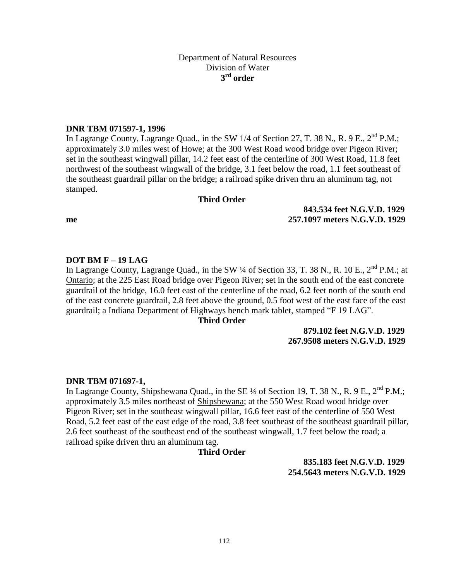# **DNR TBM 071597-1, 1996**

In Lagrange County, Lagrange Quad., in the SW 1/4 of Section 27, T. 38 N., R. 9 E., 2<sup>nd</sup> P.M.; approximately 3.0 miles west of Howe; at the 300 West Road wood bridge over Pigeon River; set in the southeast wingwall pillar, 14.2 feet east of the centerline of 300 West Road, 11.8 feet northwest of the southeast wingwall of the bridge, 3.1 feet below the road, 1.1 feet southeast of the southeast guardrail pillar on the bridge; a railroad spike driven thru an aluminum tag, not stamped.

#### **Third Order**

**meters N.A.V.D. 1988 257.1097 meters N.G.V.D. 1929**

# **DOT BM F – 19 LAG**

In Lagrange County, Lagrange Quad., in the SW  $\frac{1}{4}$  of Section 33, T. 38 N., R. 10 E., 2<sup>nd</sup> P.M.; at Ontario; at the 225 East Road bridge over Pigeon River; set in the south end of the east concrete guardrail of the bridge, 16.0 feet east of the centerline of the road, 6.2 feet north of the south end of the east concrete guardrail, 2.8 feet above the ground, 0.5 foot west of the east face of the east guardrail; a Indiana Department of Highways bench mark tablet, stamped "F 19 LAG".

#### **Third Order**

# **feet N.A.V.D. 1988 879.102 feet N.G.V.D. 1929 meters N.A.V.D. 1988 267.9508 meters N.G.V.D. 1929**

**feet N.A.V.D. 1988 843.534 feet N.G.V.D. 1929**

#### **DNR TBM 071697-1,**

In Lagrange County, Shipshewana Quad., in the SE  $\frac{1}{4}$  of Section 19, T. 38 N., R. 9 E., 2<sup>nd</sup> P.M.; approximately 3.5 miles northeast of Shipshewana; at the 550 West Road wood bridge over Pigeon River; set in the southeast wingwall pillar, 16.6 feet east of the centerline of 550 West Road, 5.2 feet east of the east edge of the road, 3.8 feet southeast of the southeast guardrail pillar, 2.6 feet southeast of the southeast end of the southeast wingwall, 1.7 feet below the road; a railroad spike driven thru an aluminum tag.

#### **Third Order**

**feet N.A.V.D. 1988 835.183 feet N.G.V.D. 1929 meters N.A.V.D. 1988 254.5643 meters N.G.V.D. 1929**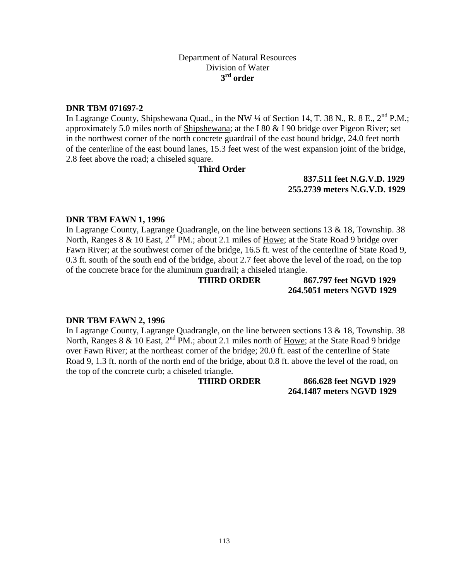# **DNR TBM 071697-2**

In Lagrange County, Shipshewana Quad., in the NW  $\frac{1}{4}$  of Section 14, T. 38 N., R. 8 E., 2<sup>nd</sup> P.M.; approximately 5.0 miles north of Shipshewana; at the I 80 & I 90 bridge over Pigeon River; set in the northwest corner of the north concrete guardrail of the east bound bridge, 24.0 feet north of the centerline of the east bound lanes, 15.3 feet west of the west expansion joint of the bridge, 2.8 feet above the road; a chiseled square.

# **Third Order**

**feet N.A.V.D. 1988 837.511 feet N.G.V.D. 1929 meters N.A.V.D. 1988 255.2739 meters N.G.V.D. 1929**

# **DNR TBM FAWN 1, 1996**

In Lagrange County, Lagrange Quadrangle, on the line between sections 13 & 18, Township. 38 North, Ranges 8  $\&$  10 East, 2<sup>nd</sup> PM.; about 2.1 miles of <u>Howe</u>; at the State Road 9 bridge over Fawn River; at the southwest corner of the bridge, 16.5 ft. west of the centerline of State Road 9, 0.3 ft. south of the south end of the bridge, about 2.7 feet above the level of the road, on the top of the concrete brace for the aluminum guardrail; a chiseled triangle.

# **THIRD ORDER 867.797 feet NGVD 1929 264.5051 meters NGVD 1929**

# **DNR TBM FAWN 2, 1996**

In Lagrange County, Lagrange Quadrangle, on the line between sections 13 & 18, Township. 38 North, Ranges 8 & 10 East, 2<sup>nd</sup> PM.; about 2.1 miles north of Howe; at the State Road 9 bridge over Fawn River; at the northeast corner of the bridge; 20.0 ft. east of the centerline of State Road 9, 1.3 ft. north of the north end of the bridge, about 0.8 ft. above the level of the road, on the top of the concrete curb; a chiseled triangle.

**THIRD ORDER 866.628 feet NGVD 1929 264.1487 meters NGVD 1929**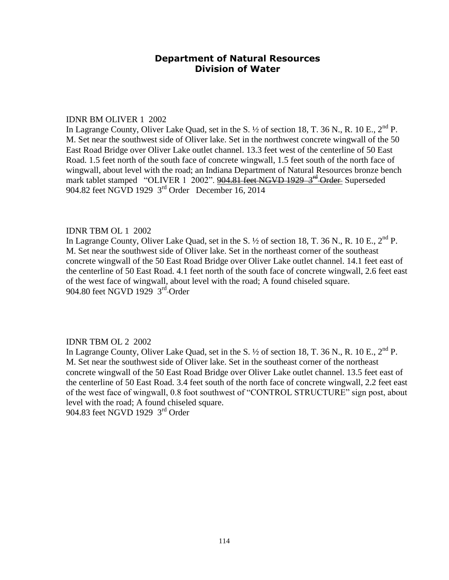#### IDNR BM OLIVER 1 2002

In Lagrange County, Oliver Lake Quad, set in the S.  $\frac{1}{2}$  of section 18, T. 36 N., R. 10 E.,  $2^{nd}$  P. M. Set near the southwest side of Oliver lake. Set in the northwest concrete wingwall of the 50 East Road Bridge over Oliver Lake outlet channel. 13.3 feet west of the centerline of 50 East Road. 1.5 feet north of the south face of concrete wingwall, 1.5 feet south of the north face of wingwall, about level with the road; an Indiana Department of Natural Resources bronze bench mark tablet stamped "OLIVER 1 2002". 904.81 feet NGVD 1929 3<sup>rd</sup> Order Superseded 904.82 feet NGVD 1929 3rd Order December 16, 2014

# IDNR TBM OL 1 2002

In Lagrange County, Oliver Lake Quad, set in the S.  $\frac{1}{2}$  of section 18, T. 36 N., R. 10 E.,  $2^{nd}$  P. M. Set near the southwest side of Oliver lake. Set in the northeast corner of the southeast concrete wingwall of the 50 East Road Bridge over Oliver Lake outlet channel. 14.1 feet east of the centerline of 50 East Road. 4.1 feet north of the south face of concrete wingwall, 2.6 feet east of the west face of wingwall, about level with the road; A found chiseled square. 904.80 feet NGVD 1929 3<sup>rd</sup> Order

# IDNR TBM OL 2 2002

In Lagrange County, Oliver Lake Quad, set in the S.  $\frac{1}{2}$  of section 18, T. 36 N., R. 10 E.,  $2^{nd}$  P. M. Set near the southwest side of Oliver lake. Set in the southeast corner of the northeast concrete wingwall of the 50 East Road Bridge over Oliver Lake outlet channel. 13.5 feet east of the centerline of 50 East Road. 3.4 feet south of the north face of concrete wingwall, 2.2 feet east of the west face of wingwall, 0.8 foot southwest of "CONTROL STRUCTURE" sign post, about level with the road; A found chiseled square.

904.83 feet NGVD 1929 3<sup>rd</sup> Order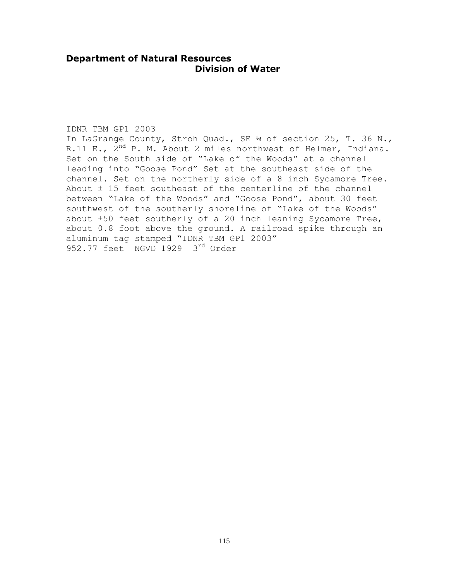#### IDNR TBM GP1 2003

In LaGrange County, Stroh Quad., SE ¼ of section 25, T. 36 N., R.11 E.,  $2^{nd}$  P. M. About 2 miles northwest of Helmer, Indiana. Set on the South side of "Lake of the Woods" at a channel leading into "Goose Pond" Set at the southeast side of the channel. Set on the northerly side of a 8 inch Sycamore Tree. About ± 15 feet southeast of the centerline of the channel between "Lake of the Woods" and "Goose Pond", about 30 feet southwest of the southerly shoreline of "Lake of the Woods" about ±50 feet southerly of a 20 inch leaning Sycamore Tree, about 0.8 foot above the ground. A railroad spike through an aluminum tag stamped "IDNR TBM GP1 2003" 952.77 feet NGVD 1929 3rd Order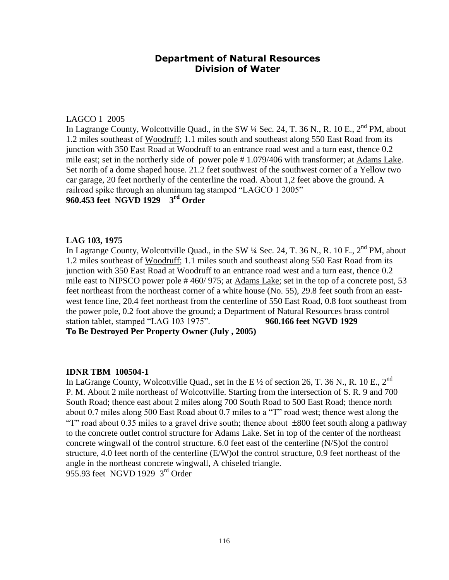# LAGCO 1 2005

In Lagrange County, Wolcottville Quad., in the SW  $\frac{1}{4}$  Sec. 24, T. 36 N., R. 10 E., 2<sup>nd</sup> PM, about 1.2 miles southeast of Woodruff; 1.1 miles south and southeast along 550 East Road from its junction with 350 East Road at Woodruff to an entrance road west and a turn east, thence 0.2 mile east; set in the northerly side of power pole # 1.079/406 with transformer; at Adams Lake. Set north of a dome shaped house. 21.2 feet southwest of the southwest corner of a Yellow two car garage, 20 feet northerly of the centerline the road. About 1,2 feet above the ground. A railroad spike through an aluminum tag stamped "LAGCO 1 2005" **960.453 feet NGVD 1929 3rd Order**

# **LAG 103, 1975**

In Lagrange County, Wolcottville Quad., in the SW  $\frac{1}{4}$  Sec. 24, T. 36 N., R. 10 E., 2<sup>nd</sup> PM, about 1.2 miles southeast of Woodruff; 1.1 miles south and southeast along 550 East Road from its junction with 350 East Road at Woodruff to an entrance road west and a turn east, thence 0.2 mile east to NIPSCO power pole # 460/ 975; at Adams Lake; set in the top of a concrete post, 53 feet northeast from the northeast corner of a white house (No. 55), 29.8 feet south from an eastwest fence line, 20.4 feet northeast from the centerline of 550 East Road, 0.8 foot southeast from the power pole, 0.2 foot above the ground; a Department of Natural Resources brass control station tablet, stamped "LAG 103 1975". **960.166 feet NGVD 1929**

**To Be Destroyed Per Property Owner (July , 2005)**

#### **IDNR TBM 100504-1**

In LaGrange County, Wolcottville Quad., set in the E  $\frac{1}{2}$  of section 26, T. 36 N., R. 10 E., 2<sup>nd</sup> P. M. About 2 mile northeast of Wolcottville. Starting from the intersection of S. R. 9 and 700 South Road; thence east about 2 miles along 700 South Road to 500 East Road; thence north about 0.7 miles along 500 East Road about 0.7 miles to a "T" road west; thence west along the "T" road about 0.35 miles to a gravel drive south; thence about  $\pm 800$  feet south along a pathway to the concrete outlet control structure for Adams Lake. Set in top of the center of the northeast concrete wingwall of the control structure. 6.0 feet east of the centerline (N/S)of the control structure, 4.0 feet north of the centerline (E/W)of the control structure, 0.9 feet northeast of the angle in the northeast concrete wingwall, A chiseled triangle.  $955.93$  feet NGVD 1929  $3<sup>rd</sup>$  Order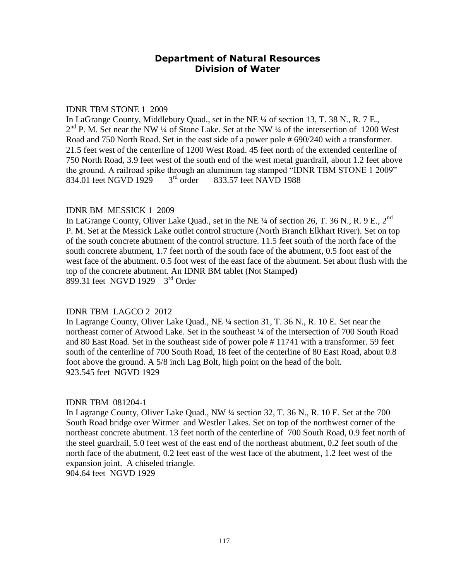#### IDNR TBM STONE 1 2009

In LaGrange County, Middlebury Quad., set in the NE ¼ of section 13, T. 38 N., R. 7 E., 2<sup>nd</sup> P. M. Set near the NW ¼ of Stone Lake. Set at the NW ¼ of the intersection of 1200 West Road and 750 North Road. Set in the east side of a power pole # 690/240 with a transformer. 21.5 feet west of the centerline of 1200 West Road. 45 feet north of the extended centerline of 750 North Road, 3.9 feet west of the south end of the west metal guardrail, about 1.2 feet above the ground. A railroad spike through an aluminum tag stamped "IDNR TBM STONE 1 2009"<br>834.01 feet NGVD 1929  $3<sup>rd</sup>$  order  $833,57$  feet NAVD 1988 834.01 feet NGVD 1929  $3<sup>rd</sup>$  order 833.57 feet NAVD 1988

# IDNR BM MESSICK 1 2009

In LaGrange County, Oliver Lake Quad., set in the NE  $\frac{1}{4}$  of section 26, T. 36 N., R. 9 E., 2<sup>nd</sup> P. M. Set at the Messick Lake outlet control structure (North Branch Elkhart River). Set on top of the south concrete abutment of the control structure. 11.5 feet south of the north face of the south concrete abutment, 1.7 feet north of the south face of the abutment, 0.5 foot east of the west face of the abutment. 0.5 foot west of the east face of the abutment. Set about flush with the top of the concrete abutment. An IDNR BM tablet (Not Stamped)  $899.31$  feet NGVD 1929  $3<sup>rd</sup>$  Order

# IDNR TBM LAGCO 2 2012

In Lagrange County, Oliver Lake Quad., NE ¼ section 31, T. 36 N., R. 10 E. Set near the northeast corner of Atwood Lake. Set in the southeast ¼ of the intersection of 700 South Road and 80 East Road. Set in the southeast side of power pole # 11741 with a transformer. 59 feet south of the centerline of 700 South Road, 18 feet of the centerline of 80 East Road, about 0.8 foot above the ground. A 5/8 inch Lag Bolt, high point on the head of the bolt. 923.545 feet NGVD 1929

# IDNR TBM 081204-1

In Lagrange County, Oliver Lake Quad., NW ¼ section 32, T. 36 N., R. 10 E. Set at the 700 South Road bridge over Witmer and Westler Lakes. Set on top of the northwest corner of the northeast concrete abutment. 13 feet north of the centerline of 700 South Road, 0.9 feet north of the steel guardrail, 5.0 feet west of the east end of the northeast abutment, 0.2 feet south of the north face of the abutment, 0.2 feet east of the west face of the abutment, 1.2 feet west of the expansion joint. A chiseled triangle.

904.64 feet NGVD 1929